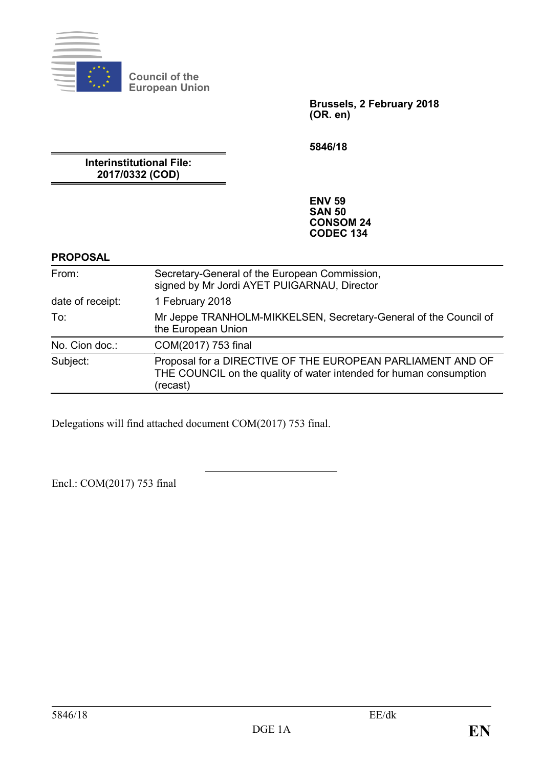

**Council of the European Union**

> **Brussels, 2 February 2018 (OR. en)**

**5846/18**

**Interinstitutional File: 2017/0332 (COD)**

> **ENV 59 SAN 50 CONSOM 24 CODEC 134**

#### **PROPOSAL**

| From:            | Secretary-General of the European Commission,<br>signed by Mr Jordi AYET PUIGARNAU, Director                                                 |  |  |
|------------------|----------------------------------------------------------------------------------------------------------------------------------------------|--|--|
| date of receipt: | 1 February 2018                                                                                                                              |  |  |
| To:              | Mr Jeppe TRANHOLM-MIKKELSEN, Secretary-General of the Council of<br>the European Union                                                       |  |  |
| No. Cion doc.:   | COM(2017) 753 final                                                                                                                          |  |  |
| Subject:         | Proposal for a DIRECTIVE OF THE EUROPEAN PARLIAMENT AND OF<br>THE COUNCIL on the quality of water intended for human consumption<br>(recast) |  |  |

Delegations will find attached document COM(2017) 753 final.

Encl.: COM(2017) 753 final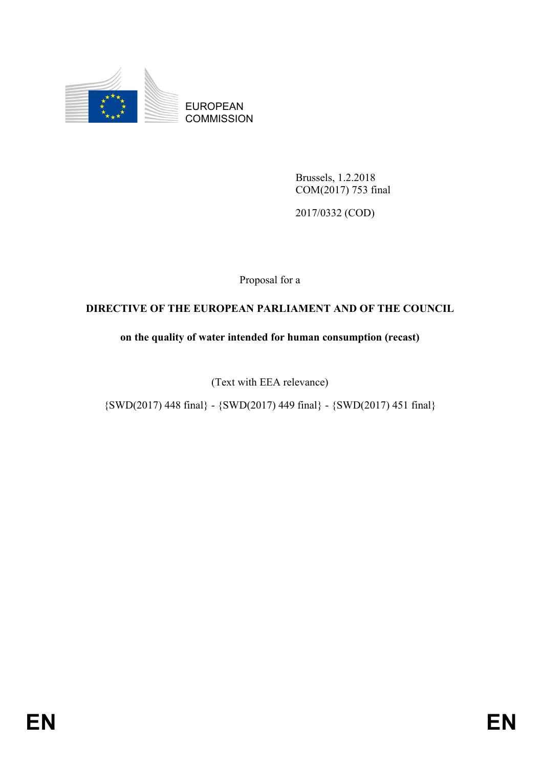

EUROPEAN **COMMISSION** 

> Brussels, 1.2.2018 COM(2017) 753 final

2017/0332 (COD)

Proposal for a

### **DIRECTIVE OF THE EUROPEAN PARLIAMENT AND OF THE COUNCIL**

### **on the quality of water intended for human consumption (recast)**

(Text with EEA relevance)

 ${\rm \{SWD(2017)\,448\,final\}}$  -  ${\rm \{SWD(2017)\,449\,final\}}$  -  ${\rm \{SWD(2017)\,451\,final\}}$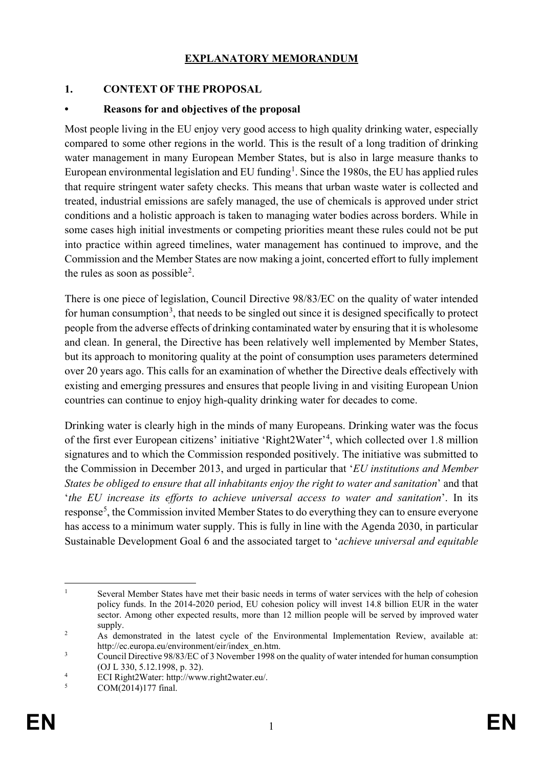### **EXPLANATORY MEMORANDUM**

### **1. CONTEXT OF THE PROPOSAL**

#### **• Reasons for and objectives of the proposal**

Most people living in the EU enjoy very good access to high quality drinking water, especially compared to some other regions in the world. This is the result of a long tradition of drinking water management in many European Member States, but is also in large measure thanks to European environmental legislation and EU funding<sup>[1](#page-2-0)</sup>. Since the 1980s, the EU has applied rules that require stringent water safety checks. This means that urban waste water is collected and treated, industrial emissions are safely managed, the use of chemicals is approved under strict conditions and a holistic approach is taken to managing water bodies across borders. While in some cases high initial investments or competing priorities meant these rules could not be put into practice within agreed timelines, water management has continued to improve, and the Commission and the Member States are now making a joint, concerted effort to fully implement the rules as soon as possible<sup>[2](#page-2-1)</sup>.

There is one piece of legislation, Council Directive 98/83/EC on the quality of water intended for human consumption<sup>[3](#page-2-2)</sup>, that needs to be singled out since it is designed specifically to protect people from the adverse effects of drinking contaminated water by ensuring that it is wholesome and clean. In general, the Directive has been relatively well implemented by Member States, but its approach to monitoring quality at the point of consumption uses parameters determined over 20 years ago. This calls for an examination of whether the Directive deals effectively with existing and emerging pressures and ensures that people living in and visiting European Union countries can continue to enjoy high-quality drinking water for decades to come.

Drinking water is clearly high in the minds of many Europeans. Drinking water was the focus of the first ever European citizens' initiative 'Right2Water'[4](#page-2-3) , which collected over 1.8 million signatures and to which the Commission responded positively. The initiative was submitted to the Commission in December 2013, and urged in particular that '*EU institutions and Member States be obliged to ensure that all inhabitants enjoy the right to water and sanitation*' and that '*the EU increase its efforts to achieve universal access to water and sanitation*'. In its response<sup>[5](#page-2-4)</sup>, the Commission invited Member States to do everything they can to ensure everyone has access to a minimum water supply. This is fully in line with the Agenda 2030, in particular Sustainable Development Goal 6 and the associated target to '*achieve universal and equitable* 

<span id="page-2-0"></span><sup>&</sup>lt;sup>1</sup> Several Member States have met their basic needs in terms of water services with the help of cohesion policy funds. In the 2014-2020 period, EU cohesion policy will invest 14.8 billion EUR in the water sector. Among other expected results, more than 12 million people will be served by improved water supply.

<span id="page-2-1"></span><sup>&</sup>lt;sup>2</sup> As demonstrated in the latest cycle of the Environmental Implementation Review, available at: http://ec.europa.eu/environment/eir/index\_en.htm.

<span id="page-2-2"></span><sup>&</sup>lt;sup>3</sup> Council Directive 98/83/EC of 3 November 1998 on the quality of water intended for human consumption (OJ L 330, 5.12.1998, p. 32).

<span id="page-2-3"></span><sup>&</sup>lt;sup>4</sup> ECI Right2Water: http://www.right2water.eu/.

<span id="page-2-4"></span>COM(2014)177 final.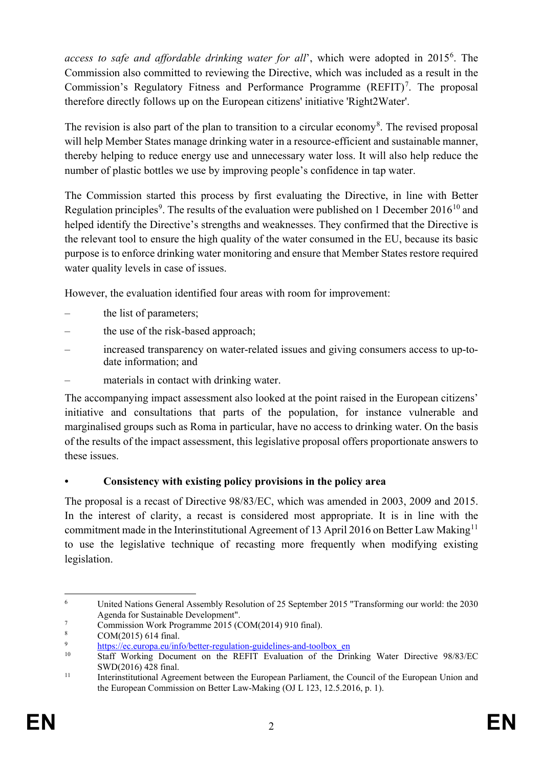access to safe and affordable drinking water for all', which were adopted in 2015<sup>[6](#page-3-0)</sup>. The Commission also committed to reviewing the Directive, which was included as a result in the Commission's Regulatory Fitness and Performance Programme  $(REFIT)^7$  $(REFIT)^7$ . The proposal therefore directly follows up on the European citizens' initiative 'Right2Water'.

The revision is also part of the plan to transition to a circular economy<sup>[8](#page-3-2)</sup>. The revised proposal will help Member States manage drinking water in a resource-efficient and sustainable manner, thereby helping to reduce energy use and unnecessary water loss. It will also help reduce the number of plastic bottles we use by improving people's confidence in tap water.

The Commission started this process by first evaluating the Directive, in line with Better Regulation principles<sup>[9](#page-3-3)</sup>. The results of the evaluation were published on 1 December 2016<sup>[10](#page-3-4)</sup> and helped identify the Directive's strengths and weaknesses. They confirmed that the Directive is the relevant tool to ensure the high quality of the water consumed in the EU, because its basic purpose is to enforce drinking water monitoring and ensure that Member States restore required water quality levels in case of issues.

However, the evaluation identified four areas with room for improvement:

- the list of parameters;
- the use of the risk-based approach;
- increased transparency on water-related issues and giving consumers access to up-todate information; and
- materials in contact with drinking water.

The accompanying impact assessment also looked at the point raised in the European citizens' initiative and consultations that parts of the population, for instance vulnerable and marginalised groups such as Roma in particular, have no access to drinking water. On the basis of the results of the impact assessment, this legislative proposal offers proportionate answers to these issues.

### **• Consistency with existing policy provisions in the policy area**

The proposal is a recast of Directive 98/83/EC, which was amended in 2003, 2009 and 2015. In the interest of clarity, a recast is considered most appropriate. It is in line with the commitment made in the Interinstitutional Agreement of 13 April 2016 on Better Law Making<sup>[11](#page-3-5)</sup> to use the legislative technique of recasting more frequently when modifying existing legislation.

<span id="page-3-0"></span> <sup>6</sup> United Nations General Assembly Resolution of 25 September 2015 "Transforming our world: the 2030 Agenda for Sustainable Development".

<span id="page-3-1"></span> $\frac{7}{8}$  Commission Work Programme 2015 (COM(2014) 910 final).

<span id="page-3-2"></span> $\frac{8}{9}$  COM(2015) 614 final.

<span id="page-3-3"></span><sup>&</sup>lt;sup>9</sup> [https://ec.europa.eu/info/better-regulation-guidelines-and-toolbox\\_en](https://ec.europa.eu/info/better-regulation-guidelines-and-toolbox_en)<br><sup>10</sup> Stoff Working Document on the PEEIT Evoluction of the Driv

<span id="page-3-4"></span><sup>10</sup> Staff Working Document on the REFIT Evaluation of the Drinking Water Directive 98/83/EC SWD(2016) 428 final.

<span id="page-3-5"></span><sup>&</sup>lt;sup>11</sup> Interinstitutional Agreement between the European Parliament, the Council of the European Union and the European Commission on Better Law-Making (OJ L 123, 12.5.2016, p. 1).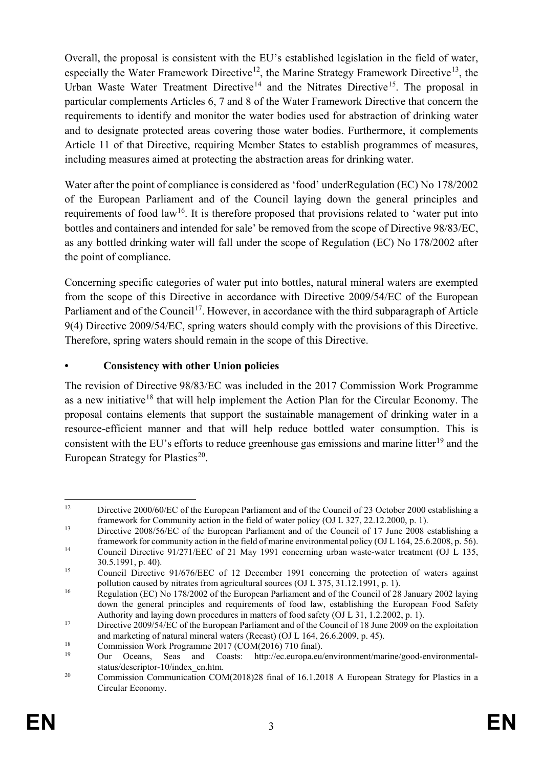Overall, the proposal is consistent with the EU's established legislation in the field of water, especially the Water Framework Directive<sup>[12](#page-4-0)</sup>, the Marine Strategy Framework Directive<sup>[13](#page-4-1)</sup>, the Urban Waste Water Treatment Directive<sup>[14](#page-4-2)</sup> and the Nitrates Directive<sup>[15](#page-4-3)</sup>. The proposal in particular complements Articles 6, 7 and 8 of the Water Framework Directive that concern the requirements to identify and monitor the water bodies used for abstraction of drinking water and to designate protected areas covering those water bodies. Furthermore, it complements Article 11 of that Directive, requiring Member States to establish programmes of measures, including measures aimed at protecting the abstraction areas for drinking water.

Water after the point of compliance is considered as 'food' underRegulation (EC) No 178/2002 of the European Parliament and of the Council laying down the general principles and requirements of food law<sup>16</sup>. It is therefore proposed that provisions related to 'water put into bottles and containers and intended for sale' be removed from the scope of Directive 98/83/EC, as any bottled drinking water will fall under the scope of Regulation (EC) No 178/2002 after the point of compliance.

Concerning specific categories of water put into bottles, natural mineral waters are exempted from the scope of this Directive in accordance with Directive 2009/54/EC of the European Parliament and of the Council<sup>17</sup>. However, in accordance with the third subparagraph of Article 9(4) Directive 2009/54/EC, spring waters should comply with the provisions of this Directive. Therefore, spring waters should remain in the scope of this Directive.

### **• Consistency with other Union policies**

The revision of Directive 98/83/EC was included in the 2017 Commission Work Programme as a new initiative<sup>[18](#page-4-6)</sup> that will help implement the Action Plan for the Circular Economy. The proposal contains elements that support the sustainable management of drinking water in a resource-efficient manner and that will help reduce bottled water consumption. This is consistent with the EU's efforts to reduce greenhouse gas emissions and marine litter<sup>[19](#page-4-7)</sup> and the European Strategy for Plastics<sup>[20](#page-4-8)</sup>.

<span id="page-4-0"></span><sup>&</sup>lt;sup>12</sup> Directive 2000/60/EC of the European Parliament and of the Council of 23 October 2000 establishing a framework for Community action in the field of water policy (OJ L 327, 22.12.2000, p. 1).

<span id="page-4-1"></span><sup>&</sup>lt;sup>13</sup> Directive 2008/56/EC of the European Parliament and of the Council of 17 June 2008 establishing a framework for community action in the field of marine environmental policy (OJ L 164, 25.6.2008, p. 56).

<span id="page-4-2"></span><sup>&</sup>lt;sup>14</sup> Council Directive 91/271/EEC of 21 May 1991 concerning urban waste-water treatment (OJ L 135, 30.5.1991, p. 40).

<span id="page-4-3"></span><sup>&</sup>lt;sup>15</sup> Council Directive 91/676/EEC of 12 December 1991 concerning the protection of waters against pollution caused by nitrates from agricultural sources (OJ L 375, 31.12.1991, p. 1).

<span id="page-4-4"></span><sup>&</sup>lt;sup>16</sup> Regulation (EC) No 178/2002 of the European Parliament and of the Council of 28 January 2002 laying down the general principles and requirements of food law, establishing the European Food Safety Authority and laying down procedures in matters of food safety (OJ L 31, 1.2.2002, p. 1).

<span id="page-4-5"></span><sup>&</sup>lt;sup>17</sup> Directive 2009/54/EC of the European Parliament and of the Council of 18 June 2009 on the exploitation and marketing of natural mineral waters (Recast) (OJ L 164, 26.6.2009, p. 45).

<span id="page-4-6"></span><sup>&</sup>lt;sup>18</sup> Commission Work Programme 2017 (COM(2016) 710 final).<br><sup>19</sup> Our Ceans, Sass, and Coasts; http://eq.europa.eu/

<span id="page-4-7"></span><sup>19</sup> Our Oceans, Seas and Coasts: http://ec.europa.eu/environment/marine/good-environmentalstatus/descriptor-10/index\_en.htm.

<span id="page-4-8"></span><sup>&</sup>lt;sup>20</sup> Commission Communication COM(2018)28 final of 16.1.2018 A European Strategy for Plastics in a Circular Economy.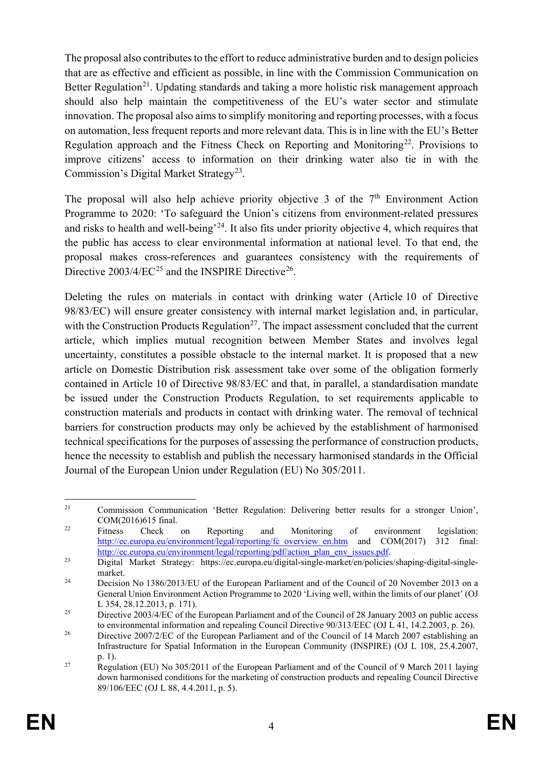The proposal also contributes to the effort to reduce administrative burden and to design policies that are as effective and efficient as possible, in line with the Commission Communication on Better Regulation<sup>21</sup>. Updating standards and taking a more holistic risk management approach should also help maintain the competitiveness of the EU's water sector and stimulate innovation. The proposal also aims to simplify monitoring and reporting processes, with a focus on automation, less frequent reports and more relevant data. This is in line with the EU's Better Regulation approach and the Fitness Check on Reporting and Monitoring<sup>[22](#page-5-1)</sup>. Provisions to improve citizens' access to information on their drinking water also tie in with the Commission's Digital Market Strategy<sup>23</sup>.

The proposal will also help achieve priority objective 3 of the  $7<sup>th</sup>$  Environment Action Programme to 2020: 'To safeguard the Union's citizens from environment-related pressures and risks to health and well-being<sup> $24$ </sup>. It also fits under priority objective 4, which requires that the public has access to clear environmental information at national level. To that end, the proposal makes cross-references and guarantees consistency with the requirements of Directive  $2003/4/EC^{25}$  $2003/4/EC^{25}$  $2003/4/EC^{25}$  and the INSPIRE Directive<sup>26</sup>.

Deleting the rules on materials in contact with drinking water (Article 10 of Directive 98/83/EC) will ensure greater consistency with internal market legislation and, in particular, with the Construction Products Regulation<sup>[27](#page-5-6)</sup>. The impact assessment concluded that the current article, which implies mutual recognition between Member States and involves legal uncertainty, constitutes a possible obstacle to the internal market. It is proposed that a new article on Domestic Distribution risk assessment take over some of the obligation formerly contained in Article 10 of Directive 98/83/EC and that, in parallel, a standardisation mandate be issued under the Construction Products Regulation, to set requirements applicable to construction materials and products in contact with drinking water. The removal of technical barriers for construction products may only be achieved by the establishment of harmonised technical specifications for the purposes of assessing the performance of construction products, hence the necessity to establish and publish the necessary harmonised standards in the Official Journal of the European Union under Regulation (EU) No 305/2011.

<span id="page-5-0"></span><sup>&</sup>lt;sup>21</sup> Commission Communication 'Better Regulation: Delivering better results for a stronger Union', COM(2016)615 final.

<span id="page-5-1"></span><sup>&</sup>lt;sup>22</sup> Fitness Check on Reporting and Monitoring of environment legislation: [http://ec.europa.eu/environment/legal/reporting/fc\\_overview\\_en.htm](http://ec.europa.eu/environment/legal/reporting/fc_overview_en.htm) and COM(2017) 312 final: [http://ec.europa.eu/environment/legal/reporting/pdf/action\\_plan\\_env\\_issues.pdf.](http://ec.europa.eu/environment/legal/reporting/pdf/action_plan_env_issues.pdf)

<span id="page-5-2"></span><sup>23</sup> Digital Market Strategy: https://ec.europa.eu/digital-single-market/en/policies/shaping-digital-singlemarket.

<span id="page-5-3"></span><sup>&</sup>lt;sup>24</sup> Decision No 1386/2013/EU of the European Parliament and of the Council of 20 November 2013 on a General Union Environment Action Programme to 2020 'Living well, within the limits of our planet' (OJ L 354, 28.12.2013, p. 171).

<span id="page-5-4"></span><sup>&</sup>lt;sup>25</sup> Directive 2003/4/EC of the European Parliament and of the Council of 28 January 2003 on public access to environmental information and repealing Council Directive 90/313/EEC (OJ L 41, 14.2.2003, p. 26).

<span id="page-5-5"></span><sup>&</sup>lt;sup>26</sup> Directive 2007/2/EC of the European Parliament and of the Council of 14 March 2007 establishing an Infrastructure for Spatial Information in the European Community (INSPIRE) (OJ L 108, 25.4.2007, p. 1).

<span id="page-5-6"></span><sup>&</sup>lt;sup>27</sup> Regulation (EU) No 305/2011 of the European Parliament and of the Council of 9 March 2011 laying down harmonised conditions for the marketing of construction products and repealing Council Directive 89/106/EEC (OJ L 88, 4.4.2011, p. 5).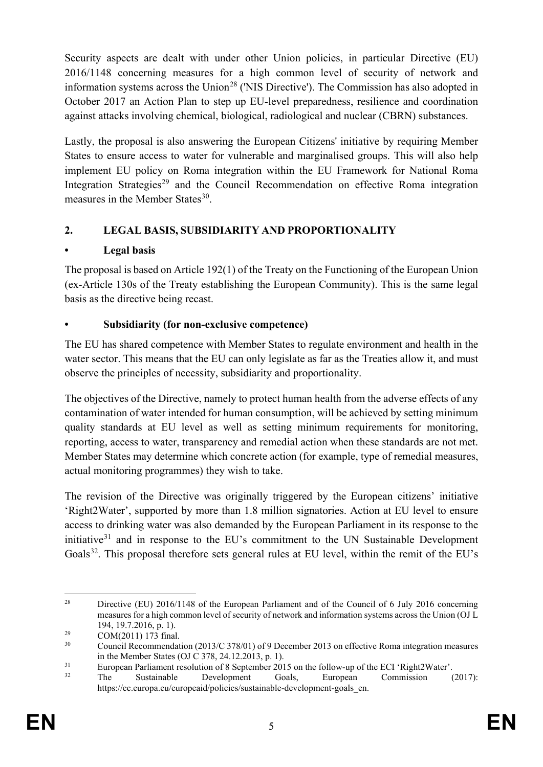Security aspects are dealt with under other Union policies, in particular Directive (EU) 2016/1148 concerning measures for a high common level of security of network and information systems across the Union<sup>[28](#page-6-0)</sup> ('NIS Directive'). The Commission has also adopted in October 2017 an Action Plan to step up EU-level preparedness, resilience and coordination against attacks involving chemical, biological, radiological and nuclear (CBRN) substances.

Lastly, the proposal is also answering the European Citizens' initiative by requiring Member States to ensure access to water for vulnerable and marginalised groups. This will also help implement EU policy on Roma integration within the EU Framework for National Roma Integration Strategies<sup>[29](#page-6-1)</sup> and the Council Recommendation on effective Roma integration measures in the Member States $^{30}$  $^{30}$  $^{30}$ .

# **2. LEGAL BASIS, SUBSIDIARITY AND PROPORTIONALITY**

# **• Legal basis**

The proposal is based on Article 192(1) of the Treaty on the Functioning of the European Union (ex-Article 130s of the Treaty establishing the European Community). This is the same legal basis as the directive being recast.

# **• Subsidiarity (for non-exclusive competence)**

The EU has shared competence with Member States to regulate environment and health in the water sector. This means that the EU can only legislate as far as the Treaties allow it, and must observe the principles of necessity, subsidiarity and proportionality.

The objectives of the Directive, namely to protect human health from the adverse effects of any contamination of water intended for human consumption, will be achieved by setting minimum quality standards at EU level as well as setting minimum requirements for monitoring, reporting, access to water, transparency and remedial action when these standards are not met. Member States may determine which concrete action (for example, type of remedial measures, actual monitoring programmes) they wish to take.

The revision of the Directive was originally triggered by the European citizens' initiative 'Right2Water', supported by more than 1.8 million signatories. Action at EU level to ensure access to drinking water was also demanded by the European Parliament in its response to the initiative $31$  and in response to the EU's commitment to the UN Sustainable Development Goals<sup>[32](#page-6-4)</sup>. This proposal therefore sets general rules at EU level, within the remit of the EU's

<span id="page-6-0"></span><sup>&</sup>lt;sup>28</sup> Directive (EU) 2016/1148 of the European Parliament and of the Council of 6 July 2016 concerning measures for a high common level of security of network and information systems across the Union (OJ L 194, 19.7.2016, p. 1).

<span id="page-6-1"></span> $29 \qquad \qquad \text{COM}(2011) \, 173 \text{ final.}$ <br>  $29 \qquad \qquad \text{Count}(2011) \, 173 \text{ final.}$ 

<span id="page-6-2"></span><sup>30</sup> Council Recommendation (2013/C 378/01) of 9 December 2013 on effective Roma integration measures in the Member States (OJ C 378, 24.12.2013, p. 1).

<span id="page-6-3"></span><sup>&</sup>lt;sup>31</sup><br>European Parliament resolution of 8 September 2015 on the follow-up of the ECI 'Right2Water'.<br>Cools European Commission

<span id="page-6-4"></span><sup>32</sup> The Sustainable Development Goals, European Commission (2017): https://ec.europa.eu/europeaid/policies/sustainable-development-goals\_en.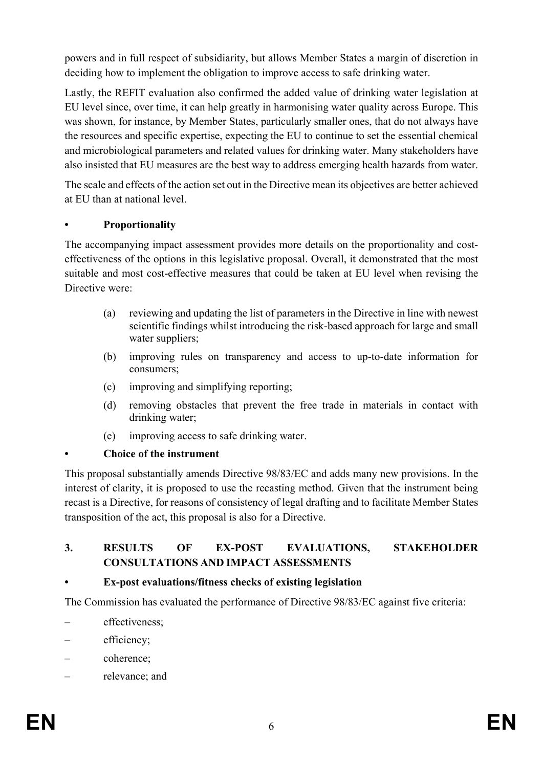powers and in full respect of subsidiarity, but allows Member States a margin of discretion in deciding how to implement the obligation to improve access to safe drinking water.

Lastly, the REFIT evaluation also confirmed the added value of drinking water legislation at EU level since, over time, it can help greatly in harmonising water quality across Europe. This was shown, for instance, by Member States, particularly smaller ones, that do not always have the resources and specific expertise, expecting the EU to continue to set the essential chemical and microbiological parameters and related values for drinking water. Many stakeholders have also insisted that EU measures are the best way to address emerging health hazards from water.

The scale and effects of the action set out in the Directive mean its objectives are better achieved at EU than at national level.

### **• Proportionality**

The accompanying impact assessment provides more details on the proportionality and costeffectiveness of the options in this legislative proposal. Overall, it demonstrated that the most suitable and most cost-effective measures that could be taken at EU level when revising the Directive were:

- (a) reviewing and updating the list of parameters in the Directive in line with newest scientific findings whilst introducing the risk-based approach for large and small water suppliers;
- (b) improving rules on transparency and access to up-to-date information for consumers;
- (c) improving and simplifying reporting;
- (d) removing obstacles that prevent the free trade in materials in contact with drinking water;
- (e) improving access to safe drinking water.

### **• Choice of the instrument**

This proposal substantially amends Directive 98/83/EC and adds many new provisions. In the interest of clarity, it is proposed to use the recasting method. Given that the instrument being recast is a Directive, for reasons of consistency of legal drafting and to facilitate Member States transposition of the act, this proposal is also for a Directive.

### **3. RESULTS OF EX-POST EVALUATIONS, STAKEHOLDER CONSULTATIONS AND IMPACT ASSESSMENTS**

### **• Ex-post evaluations/fitness checks of existing legislation**

The Commission has evaluated the performance of Directive 98/83/EC against five criteria:

- effectiveness;
- efficiency;
- coherence;
- relevance; and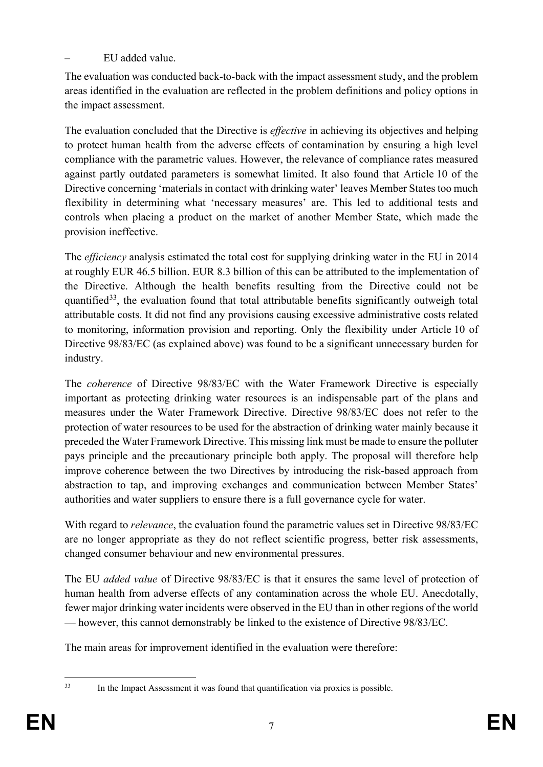### – EU added value.

The evaluation was conducted back-to-back with the impact assessment study, and the problem areas identified in the evaluation are reflected in the problem definitions and policy options in the impact assessment.

The evaluation concluded that the Directive is *effective* in achieving its objectives and helping to protect human health from the adverse effects of contamination by ensuring a high level compliance with the parametric values. However, the relevance of compliance rates measured against partly outdated parameters is somewhat limited. It also found that Article 10 of the Directive concerning 'materials in contact with drinking water' leaves Member States too much flexibility in determining what 'necessary measures' are. This led to additional tests and controls when placing a product on the market of another Member State, which made the provision ineffective.

The *efficiency* analysis estimated the total cost for supplying drinking water in the EU in 2014 at roughly EUR 46.5 billion. EUR 8.3 billion of this can be attributed to the implementation of the Directive. Although the health benefits resulting from the Directive could not be quantified<sup>[33](#page-8-0)</sup>, the evaluation found that total attributable benefits significantly outweigh total attributable costs. It did not find any provisions causing excessive administrative costs related to monitoring, information provision and reporting. Only the flexibility under Article 10 of Directive 98/83/EC (as explained above) was found to be a significant unnecessary burden for industry.

The *coherence* of Directive 98/83/EC with the Water Framework Directive is especially important as protecting drinking water resources is an indispensable part of the plans and measures under the Water Framework Directive. Directive 98/83/EC does not refer to the protection of water resources to be used for the abstraction of drinking water mainly because it preceded the Water Framework Directive. This missing link must be made to ensure the polluter pays principle and the precautionary principle both apply. The proposal will therefore help improve coherence between the two Directives by introducing the risk-based approach from abstraction to tap, and improving exchanges and communication between Member States' authorities and water suppliers to ensure there is a full governance cycle for water.

With regard to *relevance*, the evaluation found the parametric values set in Directive 98/83/EC are no longer appropriate as they do not reflect scientific progress, better risk assessments, changed consumer behaviour and new environmental pressures.

The EU *added value* of Directive 98/83/EC is that it ensures the same level of protection of human health from adverse effects of any contamination across the whole EU. Anecdotally, fewer major drinking water incidents were observed in the EU than in other regions of the world — however, this cannot demonstrably be linked to the existence of Directive 98/83/EC.

The main areas for improvement identified in the evaluation were therefore:

<span id="page-8-0"></span>

 <sup>33</sup> In the Impact Assessment it was found that quantification via proxies is possible.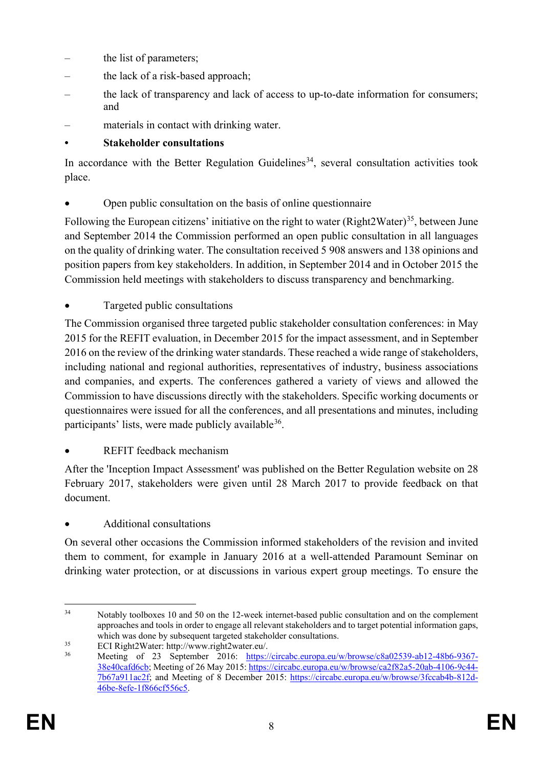- the list of parameters:
- the lack of a risk-based approach;
- the lack of transparency and lack of access to up-to-date information for consumers; and
- materials in contact with drinking water.

# **• Stakeholder consultations**

In accordance with the Better Regulation Guidelines<sup>34</sup>, several consultation activities took place.

• Open public consultation on the basis of online questionnaire

Following the European citizens' initiative on the right to water (Right2Water)<sup>[35](#page-9-1)</sup>, between June and September 2014 the Commission performed an open public consultation in all languages on the quality of drinking water. The consultation received 5 908 answers and 138 opinions and position papers from key stakeholders. In addition, in September 2014 and in October 2015 the Commission held meetings with stakeholders to discuss transparency and benchmarking.

• Targeted public consultations

The Commission organised three targeted public stakeholder consultation conferences: in May 2015 for the REFIT evaluation, in December 2015 for the impact assessment, and in September 2016 on the review of the drinking water standards. These reached a wide range of stakeholders, including national and regional authorities, representatives of industry, business associations and companies, and experts. The conferences gathered a variety of views and allowed the Commission to have discussions directly with the stakeholders. Specific working documents or questionnaires were issued for all the conferences, and all presentations and minutes, including participants' lists, were made publicly available  $36$ .

• REFIT feedback mechanism

After the 'Inception Impact Assessment' was published on the Better Regulation website on 28 February 2017, stakeholders were given until 28 March 2017 to provide feedback on that document.

• Additional consultations

On several other occasions the Commission informed stakeholders of the revision and invited them to comment, for example in January 2016 at a well-attended Paramount Seminar on drinking water protection, or at discussions in various expert group meetings. To ensure the

<span id="page-9-0"></span><sup>&</sup>lt;sup>34</sup> Notably toolboxes 10 and 50 on the 12-week internet-based public consultation and on the complement approaches and tools in order to engage all relevant stakeholders and to target potential information gaps, which was done by subsequent targeted stakeholder consultations.

<span id="page-9-1"></span><sup>&</sup>lt;sup>35</sup> ECI Right2Water: http://www.right2water.eu/.<br>36 Meeting of 23 September 2016: https:/

<span id="page-9-2"></span>Meeting of 23 September 2016: [https://circabc.europa.eu/w/browse/c8a02539-ab12-48b6-9367-](https://circabc.europa.eu/w/browse/c8a02539-ab12-48b6-9367-38e40cafd6cb) [38e40cafd6cb;](https://circabc.europa.eu/w/browse/c8a02539-ab12-48b6-9367-38e40cafd6cb) Meeting of 26 May 2015: [https://circabc.europa.eu/w/browse/ca2f82a5-20ab-4106-9c44-](https://circabc.europa.eu/w/browse/ca2f82a5-20ab-4106-9c44-7b67a911ac2f) [7b67a911ac2f;](https://circabc.europa.eu/w/browse/ca2f82a5-20ab-4106-9c44-7b67a911ac2f) and Meeting of 8 December 2015: [https://circabc.europa.eu/w/browse/3fccab4b-812d-](https://circabc.europa.eu/w/browse/3fccab4b-812d-46be-8efe-1f866cf556c5)[46be-8efe-1f866cf556c5.](https://circabc.europa.eu/w/browse/3fccab4b-812d-46be-8efe-1f866cf556c5)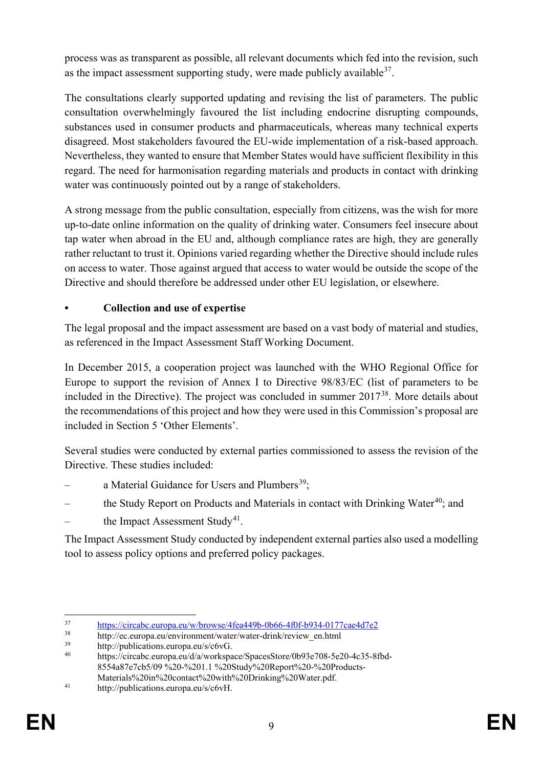process was as transparent as possible, all relevant documents which fed into the revision, such as the impact assessment supporting study, were made publicly available  $37$ .

The consultations clearly supported updating and revising the list of parameters. The public consultation overwhelmingly favoured the list including endocrine disrupting compounds, substances used in consumer products and pharmaceuticals, whereas many technical experts disagreed. Most stakeholders favoured the EU-wide implementation of a risk-based approach. Nevertheless, they wanted to ensure that Member States would have sufficient flexibility in this regard. The need for harmonisation regarding materials and products in contact with drinking water was continuously pointed out by a range of stakeholders.

A strong message from the public consultation, especially from citizens, was the wish for more up-to-date online information on the quality of drinking water. Consumers feel insecure about tap water when abroad in the EU and, although compliance rates are high, they are generally rather reluctant to trust it. Opinions varied regarding whether the Directive should include rules on access to water. Those against argued that access to water would be outside the scope of the Directive and should therefore be addressed under other EU legislation, or elsewhere.

# **• Collection and use of expertise**

The legal proposal and the impact assessment are based on a vast body of material and studies, as referenced in the Impact Assessment Staff Working Document.

In December 2015, a cooperation project was launched with the WHO Regional Office for Europe to support the revision of Annex I to Directive 98/83/EC (list of parameters to be included in the Directive). The project was concluded in summer 2017[38](#page-10-1). More details about the recommendations of this project and how they were used in this Commission's proposal are included in Section 5 'Other Elements'.

Several studies were conducted by external parties commissioned to assess the revision of the Directive. These studies included:

- a Material Guidance for Users and Plumbers<sup>39</sup>:
- the Study Report on Products and Materials in contact with Drinking Water<sup>40</sup>; and
- the Impact Assessment Study<sup>41</sup>.

The Impact Assessment Study conducted by independent external parties also used a modelling tool to assess policy options and preferred policy packages.

<span id="page-10-0"></span><sup>&</sup>lt;sup>37</sup> <https://circabc.europa.eu/w/browse/4fea449b-0b66-4f0f-b934-0177cae4d7e2>

<span id="page-10-1"></span><sup>&</sup>lt;sup>38</sup> http://ec.europa.eu/environment/water/water-drink/review\_en.html<br><sup>39</sup> http://publications.europa.eu/s/c6yG

<span id="page-10-3"></span><span id="page-10-2"></span> $39$  http://publications.europa.eu/s/c6vG.

https://circabc.europa.eu/d/a/workspace/SpacesStore/0b93e708-5e20-4c35-8fbd-8554a87e7cb5/09 %20-%201.1 %20Study%20Report%20-%20Products-Materials%20in%20contact%20with%20Drinking%20Water.pdf.

<span id="page-10-4"></span><sup>41</sup> http://publications.europa.eu/s/c6vH.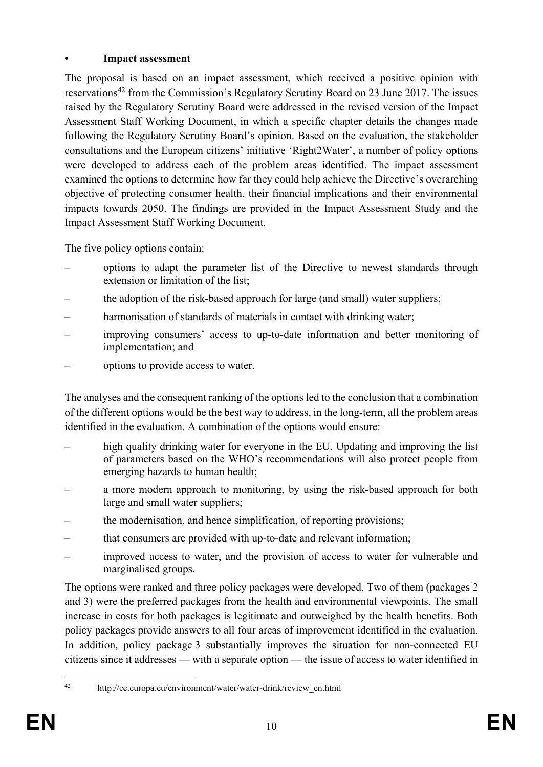### **• Impact assessment**

The proposal is based on an impact assessment, which received a positive opinion with reservations<sup>[42](#page-11-0)</sup> from the Commission's Regulatory Scrutiny Board on 23 June 2017. The issues raised by the Regulatory Scrutiny Board were addressed in the revised version of the Impact Assessment Staff Working Document, in which a specific chapter details the changes made following the Regulatory Scrutiny Board's opinion. Based on the evaluation, the stakeholder consultations and the European citizens' initiative 'Right2Water', a number of policy options were developed to address each of the problem areas identified. The impact assessment examined the options to determine how far they could help achieve the Directive's overarching objective of protecting consumer health, their financial implications and their environmental impacts towards 2050. The findings are provided in the Impact Assessment Study and the Impact Assessment Staff Working Document.

The five policy options contain:

- options to adapt the parameter list of the Directive to newest standards through extension or limitation of the list;
- the adoption of the risk-based approach for large (and small) water suppliers;
- harmonisation of standards of materials in contact with drinking water;
- improving consumers' access to up-to-date information and better monitoring of implementation; and
- options to provide access to water.

The analyses and the consequent ranking of the options led to the conclusion that a combination of the different options would be the best way to address, in the long-term, all the problem areas identified in the evaluation. A combination of the options would ensure:

- high quality drinking water for everyone in the EU. Updating and improving the list of parameters based on the WHO's recommendations will also protect people from emerging hazards to human health;
- a more modern approach to monitoring, by using the risk-based approach for both large and small water suppliers;
- the modernisation, and hence simplification, of reporting provisions;
- that consumers are provided with up-to-date and relevant information;
- improved access to water, and the provision of access to water for vulnerable and marginalised groups.

The options were ranked and three policy packages were developed. Two of them (packages 2 and 3) were the preferred packages from the health and environmental viewpoints. The small increase in costs for both packages is legitimate and outweighed by the health benefits. Both policy packages provide answers to all four areas of improvement identified in the evaluation. In addition, policy package 3 substantially improves the situation for non-connected EU citizens since it addresses — with a separate option — the issue of access to water identified in

<span id="page-11-0"></span>

 <sup>42</sup> http://ec.europa.eu/environment/water/water-drink/review\_en.html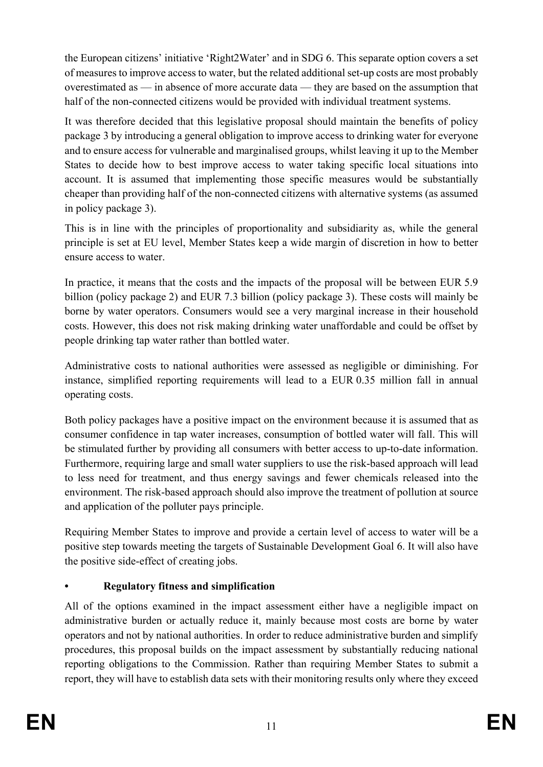the European citizens' initiative 'Right2Water' and in SDG 6. This separate option covers a set of measures to improve access to water, but the related additional set-up costs are most probably overestimated as — in absence of more accurate data — they are based on the assumption that half of the non-connected citizens would be provided with individual treatment systems.

It was therefore decided that this legislative proposal should maintain the benefits of policy package 3 by introducing a general obligation to improve access to drinking water for everyone and to ensure access for vulnerable and marginalised groups, whilst leaving it up to the Member States to decide how to best improve access to water taking specific local situations into account. It is assumed that implementing those specific measures would be substantially cheaper than providing half of the non-connected citizens with alternative systems (as assumed in policy package 3).

This is in line with the principles of proportionality and subsidiarity as, while the general principle is set at EU level, Member States keep a wide margin of discretion in how to better ensure access to water.

In practice, it means that the costs and the impacts of the proposal will be between EUR 5.9 billion (policy package 2) and EUR 7.3 billion (policy package 3). These costs will mainly be borne by water operators. Consumers would see a very marginal increase in their household costs. However, this does not risk making drinking water unaffordable and could be offset by people drinking tap water rather than bottled water.

Administrative costs to national authorities were assessed as negligible or diminishing. For instance, simplified reporting requirements will lead to a EUR 0.35 million fall in annual operating costs.

Both policy packages have a positive impact on the environment because it is assumed that as consumer confidence in tap water increases, consumption of bottled water will fall. This will be stimulated further by providing all consumers with better access to up-to-date information. Furthermore, requiring large and small water suppliers to use the risk-based approach will lead to less need for treatment, and thus energy savings and fewer chemicals released into the environment. The risk-based approach should also improve the treatment of pollution at source and application of the polluter pays principle.

Requiring Member States to improve and provide a certain level of access to water will be a positive step towards meeting the targets of Sustainable Development Goal 6. It will also have the positive side-effect of creating jobs.

# **• Regulatory fitness and simplification**

All of the options examined in the impact assessment either have a negligible impact on administrative burden or actually reduce it, mainly because most costs are borne by water operators and not by national authorities. In order to reduce administrative burden and simplify procedures, this proposal builds on the impact assessment by substantially reducing national reporting obligations to the Commission. Rather than requiring Member States to submit a report, they will have to establish data sets with their monitoring results only where they exceed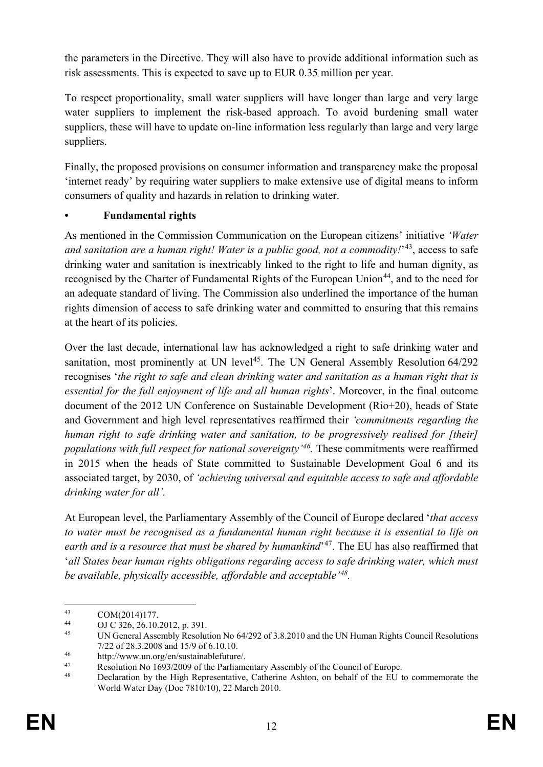the parameters in the Directive. They will also have to provide additional information such as risk assessments. This is expected to save up to EUR 0.35 million per year.

To respect proportionality, small water suppliers will have longer than large and very large water suppliers to implement the risk-based approach. To avoid burdening small water suppliers, these will have to update on-line information less regularly than large and very large suppliers.

Finally, the proposed provisions on consumer information and transparency make the proposal 'internet ready' by requiring water suppliers to make extensive use of digital means to inform consumers of quality and hazards in relation to drinking water.

# **• Fundamental rights**

As mentioned in the Commission Communication on the European citizens' initiative *'Water and sanitation are a human right! Water is a public good, not a commodity!*'[43](#page-13-0), access to safe drinking water and sanitation is inextricably linked to the right to life and human dignity, as recognised by the Charter of Fundamental Rights of the European Union<sup>44</sup>, and to the need for an adequate standard of living. The Commission also underlined the importance of the human rights dimension of access to safe drinking water and committed to ensuring that this remains at the heart of its policies.

Over the last decade, international law has acknowledged a right to safe drinking water and sanitation, most prominently at UN level<sup>45</sup>. The UN General Assembly Resolution  $64/292$ recognises '*the right to safe and clean drinking water and sanitation as a human right that is essential for the full enjoyment of life and all human rights*'. Moreover, in the final outcome document of the 2012 UN Conference on Sustainable Development (Rio+20), heads of State and Government and high level representatives reaffirmed their *'commitments regarding the human right to safe drinking water and sanitation, to be progressively realised for [their] populations with full respect for national sovereignty'[46](#page-13-3).* These commitments were reaffirmed in 2015 when the heads of State committed to Sustainable Development Goal 6 and its associated target, by 2030, of *'achieving universal and equitable access to safe and affordable drinking water for all'.*

At European level, the Parliamentary Assembly of the Council of Europe declared '*that access to water must be recognised as a fundamental human right because it is essential to life on earth and is a resource that must be shared by humankind*'[47](#page-13-4). The EU has also reaffirmed that '*all States bear human rights obligations regarding access to safe drinking water, which must be available, physically accessible, affordable and acceptable'[48](#page-13-5).*

<span id="page-13-0"></span> $^{43}$  COM(2014)177.<br>  $^{44}$  OLC 326 26 10

<span id="page-13-1"></span> $^{44}$  OJ C 326, 26.10.2012, p. 391.

<span id="page-13-2"></span><sup>45</sup> UN General Assembly Resolution No 64/292 of 3.8.2010 and the UN Human Rights Council Resolutions 7/22 of 28.3.2008 and 15/9 of 6.10.10.

<span id="page-13-3"></span><sup>46</sup> http://www.un.org/en/sustainablefuture/.<br>47 Becolution No. 1603/2000 of the Berlinma

<span id="page-13-4"></span><sup>&</sup>lt;sup>47</sup><br>Resolution No 1693/2009 of the Parliamentary Assembly of the Council of Europe.<br>Resolution by the High Penresontative, Catherine, Ashton, on behalf of the EU

<span id="page-13-5"></span><sup>48</sup> Declaration by the High Representative, Catherine Ashton, on behalf of the EU to commemorate the World Water Day (Doc 7810/10), 22 March 2010.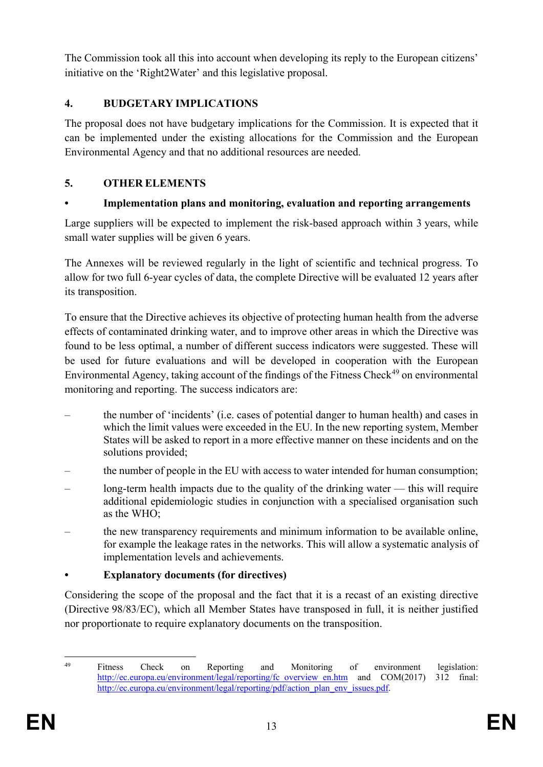The Commission took all this into account when developing its reply to the European citizens' initiative on the 'Right2Water' and this legislative proposal.

## **4. BUDGETARY IMPLICATIONS**

The proposal does not have budgetary implications for the Commission. It is expected that it can be implemented under the existing allocations for the Commission and the European Environmental Agency and that no additional resources are needed.

# **5. OTHER ELEMENTS**

# **• Implementation plans and monitoring, evaluation and reporting arrangements**

Large suppliers will be expected to implement the risk-based approach within 3 years, while small water supplies will be given 6 years.

The Annexes will be reviewed regularly in the light of scientific and technical progress. To allow for two full 6-year cycles of data, the complete Directive will be evaluated 12 years after its transposition.

To ensure that the Directive achieves its objective of protecting human health from the adverse effects of contaminated drinking water, and to improve other areas in which the Directive was found to be less optimal, a number of different success indicators were suggested. These will be used for future evaluations and will be developed in cooperation with the European Environmental Agency, taking account of the findings of the Fitness Check<sup>[49](#page-14-0)</sup> on environmental monitoring and reporting. The success indicators are:

- the number of 'incidents' (i.e. cases of potential danger to human health) and cases in which the limit values were exceeded in the EU. In the new reporting system, Member States will be asked to report in a more effective manner on these incidents and on the solutions provided;
- the number of people in the EU with access to water intended for human consumption;
- long-term health impacts due to the quality of the drinking water this will require additional epidemiologic studies in conjunction with a specialised organisation such as the WHO;
- the new transparency requirements and minimum information to be available online, for example the leakage rates in the networks. This will allow a systematic analysis of implementation levels and achievements.

### **• Explanatory documents (for directives)**

Considering the scope of the proposal and the fact that it is a recast of an existing directive (Directive 98/83/EC), which all Member States have transposed in full, it is neither justified nor proportionate to require explanatory documents on the transposition.

<span id="page-14-0"></span>

The Titness Check on Reporting and Monitoring of environment legislation: [http://ec.europa.eu/environment/legal/reporting/fc\\_overview\\_en.htm](http://ec.europa.eu/environment/legal/reporting/fc_overview_en.htm) and COM(2017) 312 final: [http://ec.europa.eu/environment/legal/reporting/pdf/action\\_plan\\_env\\_issues.pdf.](http://ec.europa.eu/environment/legal/reporting/pdf/action_plan_env_issues.pdf)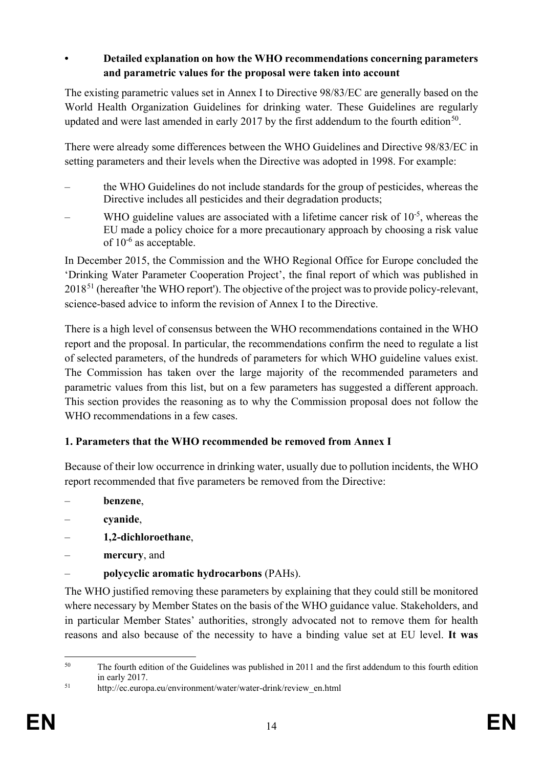### **• Detailed explanation on how the WHO recommendations concerning parameters and parametric values for the proposal were taken into account**

The existing parametric values set in Annex I to Directive 98/83/EC are generally based on the World Health Organization Guidelines for drinking water. These Guidelines are regularly updated and were last amended in early 2017 by the first addendum to the fourth edition<sup>50</sup>.

There were already some differences between the WHO Guidelines and Directive 98/83/EC in setting parameters and their levels when the Directive was adopted in 1998. For example:

- the WHO Guidelines do not include standards for the group of pesticides, whereas the Directive includes all pesticides and their degradation products;
- WHO guideline values are associated with a lifetime cancer risk of 10<sup>-5</sup>, whereas the EU made a policy choice for a more precautionary approach by choosing a risk value of 10-6 as acceptable.

In December 2015, the Commission and the WHO Regional Office for Europe concluded the 'Drinking Water Parameter Cooperation Project', the final report of which was published in 2018[51](#page-15-1) (hereafter 'the WHO report'). The objective of the project was to provide policy-relevant, science-based advice to inform the revision of Annex I to the Directive.

There is a high level of consensus between the WHO recommendations contained in the WHO report and the proposal. In particular, the recommendations confirm the need to regulate a list of selected parameters, of the hundreds of parameters for which WHO guideline values exist. The Commission has taken over the large majority of the recommended parameters and parametric values from this list, but on a few parameters has suggested a different approach. This section provides the reasoning as to why the Commission proposal does not follow the WHO recommendations in a few cases.

# **1. Parameters that the WHO recommended be removed from Annex I**

Because of their low occurrence in drinking water, usually due to pollution incidents, the WHO report recommended that five parameters be removed from the Directive:

- **benzene**,
- **cyanide**,
- **1,2-dichloroethane**,
- **mercury**, and
- **polycyclic aromatic hydrocarbons** (PAHs).

The WHO justified removing these parameters by explaining that they could still be monitored where necessary by Member States on the basis of the WHO guidance value. Stakeholders, and in particular Member States' authorities, strongly advocated not to remove them for health reasons and also because of the necessity to have a binding value set at EU level. **It was** 

<span id="page-15-0"></span><sup>&</sup>lt;sup>50</sup> The fourth edition of the Guidelines was published in 2011 and the first addendum to this fourth edition in early 2017.

<span id="page-15-1"></span><sup>51</sup> http://ec.europa.eu/environment/water/water-drink/review\_en.html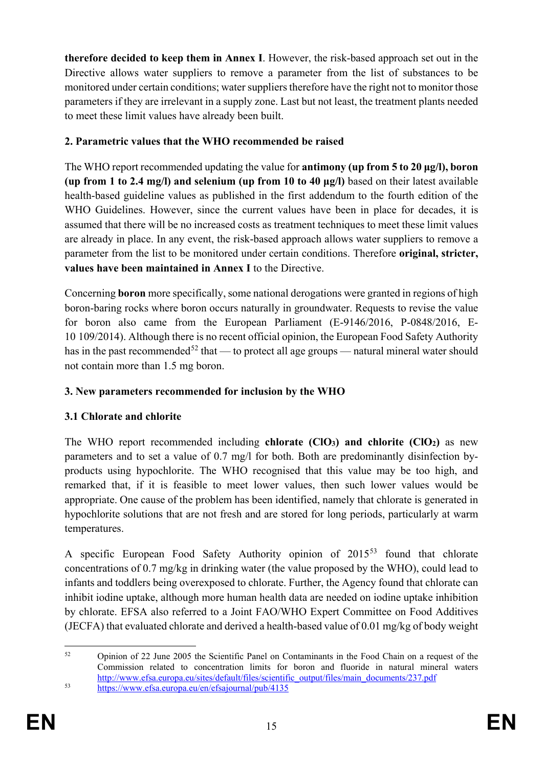**therefore decided to keep them in Annex I**. However, the risk-based approach set out in the Directive allows water suppliers to remove a parameter from the list of substances to be monitored under certain conditions; water suppliers therefore have the right not to monitor those parameters if they are irrelevant in a supply zone. Last but not least, the treatment plants needed to meet these limit values have already been built.

# **2. Parametric values that the WHO recommended be raised**

The WHO report recommended updating the value for **antimony (up from 5 to 20 μg/l), boron (up from 1 to 2.4 mg/l) and selenium (up from 10 to 40 μg/l)** based on their latest available health-based guideline values as published in the first addendum to the fourth edition of the WHO Guidelines. However, since the current values have been in place for decades, it is assumed that there will be no increased costs as treatment techniques to meet these limit values are already in place. In any event, the risk-based approach allows water suppliers to remove a parameter from the list to be monitored under certain conditions. Therefore **original, stricter, values have been maintained in Annex I** to the Directive.

Concerning **boron** more specifically, some national derogations were granted in regions of high boron-baring rocks where boron occurs naturally in groundwater. Requests to revise the value for boron also came from the European Parliament (E-9146/2016, P-0848/2016, E-10 109/2014). Although there is no recent official opinion, the European Food Safety Authority has in the past recommended<sup>[52](#page-16-0)</sup> that — to protect all age groups — natural mineral water should not contain more than 1.5 mg boron.

# **3. New parameters recommended for inclusion by the WHO**

# **3.1 Chlorate and chlorite**

The WHO report recommended including **chlorate (ClO3) and chlorite (ClO2)** as new parameters and to set a value of 0.7 mg/l for both. Both are predominantly disinfection byproducts using hypochlorite. The WHO recognised that this value may be too high, and remarked that, if it is feasible to meet lower values, then such lower values would be appropriate. One cause of the problem has been identified, namely that chlorate is generated in hypochlorite solutions that are not fresh and are stored for long periods, particularly at warm temperatures.

A specific European Food Safety Authority opinion of 2015[53](#page-16-1) found that chlorate concentrations of 0.7 mg/kg in drinking water (the value proposed by the WHO), could lead to infants and toddlers being overexposed to chlorate. Further, the Agency found that chlorate can inhibit iodine uptake, although more human health data are needed on iodine uptake inhibition by chlorate. EFSA also referred to a Joint FAO/WHO Expert Committee on Food Additives (JECFA) that evaluated chlorate and derived a health-based value of 0.01 mg/kg of body weight

<span id="page-16-0"></span> <sup>52</sup> Opinion of 22 June 2005 the Scientific Panel on Contaminants in the Food Chain on a request of the Commission related to concentration limits for boron and fluoride in natural mineral waters [http://www.efsa.europa.eu/sites/default/files/scientific\\_output/files/main\\_documents/237.pdf](http://www.efsa.europa.eu/sites/default/files/scientific_output/files/main_documents/237.pdf)

<span id="page-16-1"></span><sup>53</sup> <https://www.efsa.europa.eu/en/efsajournal/pub/4135>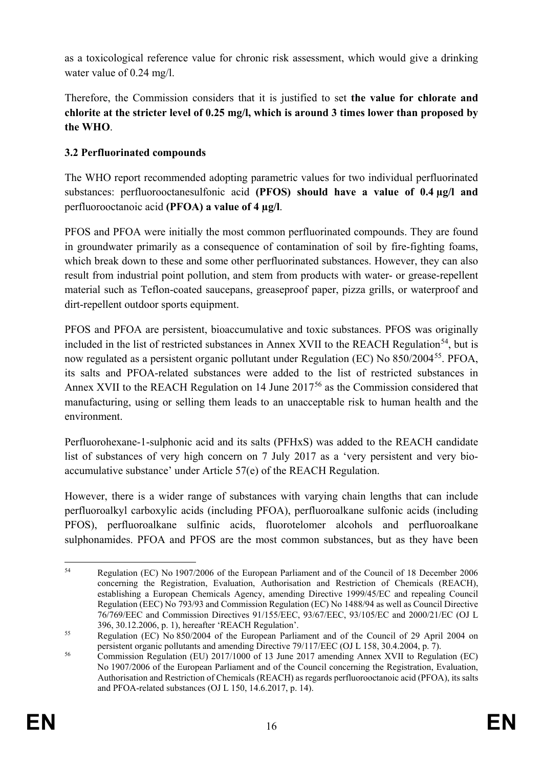as a toxicological reference value for chronic risk assessment, which would give a drinking water value of 0.24 mg/l.

Therefore, the Commission considers that it is justified to set **the value for chlorate and chlorite at the stricter level of 0.25 mg/l, which is around 3 times lower than proposed by the WHO**.

# **3.2 Perfluorinated compounds**

The WHO report recommended adopting parametric values for two individual perfluorinated substances: perfluorooctanesulfonic acid **(PFOS) should have a value of 0.4 µg/l and**  perfluorooctanoic acid **(PFOA) a value of 4 µg/l**.

PFOS and PFOA were initially the most common perfluorinated compounds. They are found in groundwater primarily as a consequence of contamination of soil by fire-fighting foams, which break down to these and some other perfluorinated substances. However, they can also result from industrial point pollution, and stem from products with water- or grease-repellent material such as Teflon-coated saucepans, greaseproof paper, pizza grills, or waterproof and dirt-repellent outdoor sports equipment.

PFOS and PFOA are persistent, bioaccumulative and toxic substances. PFOS was originally included in the list of restricted substances in Annex XVII to the REACH Regulation<sup>54</sup>, but is now regulated as a persistent organic pollutant under Regulation (EC) No 850/2004[55](#page-17-1). PFOA, its salts and PFOA-related substances were added to the list of restricted substances in Annex XVII to the REACH Regulation on 14 June 2017<sup>[56](#page-17-2)</sup> as the Commission considered that manufacturing, using or selling them leads to an unacceptable risk to human health and the environment.

Perfluorohexane-1-sulphonic acid and its salts (PFHxS) was added to the REACH candidate list of substances of very high concern on 7 July 2017 as a 'very persistent and very bioaccumulative substance' under Article 57(e) of the REACH Regulation.

However, there is a wider range of substances with varying chain lengths that can include perfluoroalkyl carboxylic acids (including PFOA), perfluoroalkane sulfonic acids (including PFOS), perfluoroalkane sulfinic acids, fluorotelomer alcohols and perfluoroalkane sulphonamides. PFOA and PFOS are the most common substances, but as they have been

<span id="page-17-0"></span> <sup>54</sup> Regulation (EC) No 1907/2006 of the European Parliament and of the Council of 18 December 2006 concerning the Registration, Evaluation, Authorisation and Restriction of Chemicals (REACH), establishing a European Chemicals Agency, amending Directive 1999/45/EC and repealing Council Regulation (EEC) No 793/93 and Commission Regulation (EC) No 1488/94 as well as Council Directive 76/769/EEC and Commission Directives 91/155/EEC, 93/67/EEC, 93/105/EC and 2000/21/EC (OJ L 396, 30.12.2006, p. 1), hereafter 'REACH Regulation'.

<span id="page-17-1"></span><sup>&</sup>lt;sup>55</sup> Regulation (EC) No 850/2004 of the European Parliament and of the Council of 29 April 2004 on persistent organic pollutants and amending Directive 79/117/EEC (OJ L 158, 30.4.2004, p. 7).

<span id="page-17-2"></span><sup>&</sup>lt;sup>56</sup> Commission Regulation (EU) 2017/1000 of 13 June 2017 amending Annex XVII to Regulation (EC) No 1907/2006 of the European Parliament and of the Council concerning the Registration, Evaluation, Authorisation and Restriction of Chemicals (REACH) as regards perfluorooctanoic acid (PFOA), its salts and PFOA-related substances (OJ L 150, 14.6.2017, p. 14).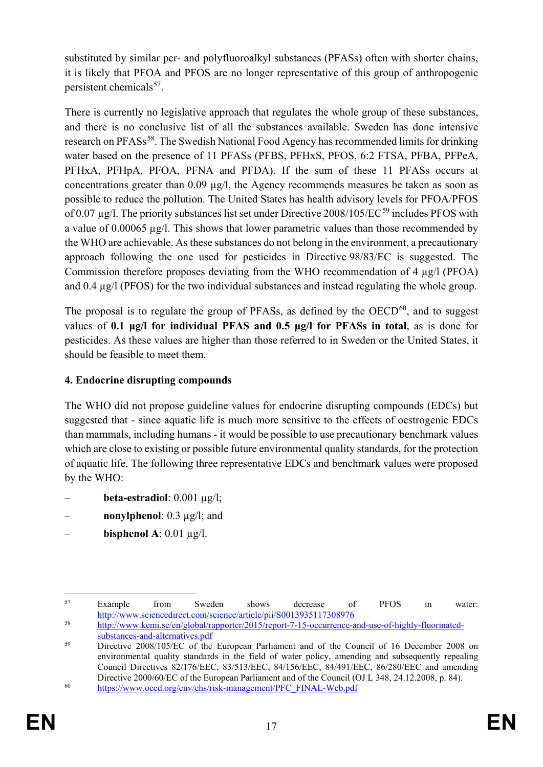substituted by similar per- and polyfluoroalkyl substances (PFASs) often with shorter chains, it is likely that PFOA and PFOS are no longer representative of this group of anthropogenic persistent chemicals<sup>[57](#page-18-0)</sup>.

There is currently no legislative approach that regulates the whole group of these substances, and there is no conclusive list of all the substances available. Sweden has done intensive research on PFASs<sup>[58](#page-18-1)</sup>. The Swedish National Food Agency has recommended limits for drinking water based on the presence of 11 PFASs (PFBS, PFHxS, PFOS, 6:2 FTSA, PFBA, PFPeA, PFHxA, PFHpA, PFOA, PFNA and PFDA). If the sum of these 11 PFASs occurs at concentrations greater than 0.09 µg/l, the Agency recommends measures be taken as soon as possible to reduce the pollution. The United States has health advisory levels for PFOA/PFOS of 0.07 µg/l. The priority substances list set under Directive 2008/105/EC<sup>[59](#page-18-2)</sup> includes PFOS with a value of 0.00065 µg/l. This shows that lower parametric values than those recommended by the WHO are achievable. As these substances do not belong in the environment, a precautionary approach following the one used for pesticides in Directive 98/83/EC is suggested. The Commission therefore proposes deviating from the WHO recommendation of 4 µg/l (PFOA) and 0.4 µg/l (PFOS) for the two individual substances and instead regulating the whole group.

The proposal is to regulate the group of PFASs, as defined by the  $OECD<sup>60</sup>$ , and to suggest values of **0.1 μg/l for individual PFAS and 0.5 μg/l for PFASs in total**, as is done for pesticides. As these values are higher than those referred to in Sweden or the United States, it should be feasible to meet them.

# **4. Endocrine disrupting compounds**

The WHO did not propose guideline values for endocrine disrupting compounds (EDCs) but suggested that - since aquatic life is much more sensitive to the effects of oestrogenic EDCs than mammals, including humans - it would be possible to use precautionary benchmark values which are close to existing or possible future environmental quality standards, for the protection of aquatic life. The following three representative EDCs and benchmark values were proposed by the WHO:

- **beta-estradiol**: 0.001 µg/l;
- **nonylphenol**: 0.3 µg/l; and
- **bisphenol A**: 0.01 µg/l.

<span id="page-18-0"></span>Example from Sweden shows decrease of PFOS in water: <http://www.sciencedirect.com/science/article/pii/S0013935117308976>

<span id="page-18-1"></span><sup>58</sup> [http://www.kemi.se/en/global/rapporter/2015/report-7-15-occurrence-and-use-of-highly-fluorinated](http://www.kemi.se/en/global/rapporter/2015/report-7-15-occurrence-and-use-of-highly-fluorinated-substances-and-alternatives.pdf)[substances-and-alternatives.pdf](http://www.kemi.se/en/global/rapporter/2015/report-7-15-occurrence-and-use-of-highly-fluorinated-substances-and-alternatives.pdf)

<span id="page-18-2"></span><sup>&</sup>lt;sup>59</sup> Directive 2008/105/EC of the European Parliament and of the Council of 16 December 2008 on environmental quality standards in the field of water policy, amending and subsequently repealing Council Directives 82/176/EEC, 83/513/EEC, 84/156/EEC, 84/491/EEC, 86/280/EEC and amending Directive 2000/60/EC of the European Parliament and of the Council (OJ L 348, 24.12.2008, p. 84).

<span id="page-18-3"></span><sup>60</sup> [https://www.oecd.org/env/ehs/risk-management/PFC\\_FINAL-Web.pdf](https://www.oecd.org/env/ehs/risk-management/PFC_FINAL-Web.pdf)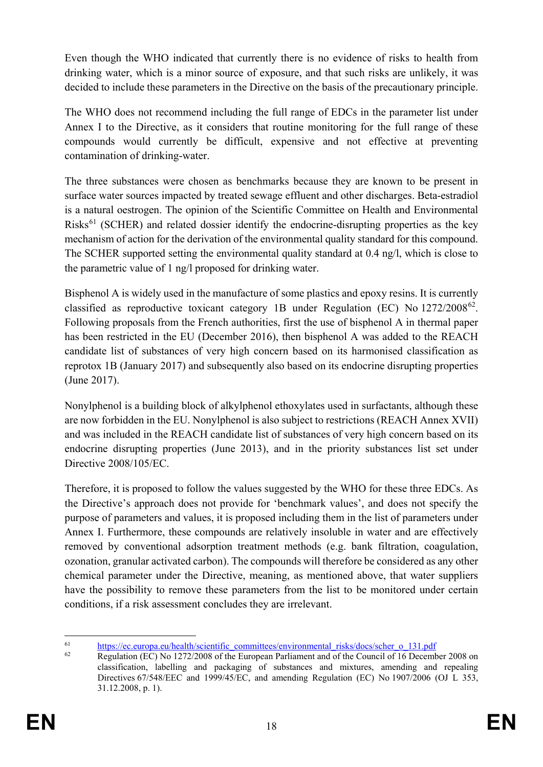Even though the WHO indicated that currently there is no evidence of risks to health from drinking water, which is a minor source of exposure, and that such risks are unlikely, it was decided to include these parameters in the Directive on the basis of the precautionary principle.

The WHO does not recommend including the full range of EDCs in the parameter list under Annex I to the Directive, as it considers that routine monitoring for the full range of these compounds would currently be difficult, expensive and not effective at preventing contamination of drinking-water.

The three substances were chosen as benchmarks because they are known to be present in surface water sources impacted by treated sewage effluent and other discharges. Beta-estradiol is a natural oestrogen. The opinion of the Scientific Committee on Health and Environmental  $Risk<sup>61</sup>$  $Risk<sup>61</sup>$  $Risk<sup>61</sup>$  (SCHER) and related dossier identify the endocrine-disrupting properties as the key mechanism of action for the derivation of the environmental quality standard for this compound. The SCHER supported setting the environmental quality standard at 0.4 ng/l, which is close to the parametric value of 1 ng/l proposed for drinking water.

Bisphenol A is widely used in the manufacture of some plastics and epoxy resins. It is currently classified as reproductive toxicant category 1B under Regulation (EC) No 1272/2008[62](#page-19-1). Following proposals from the French authorities, first the use of bisphenol A in thermal paper has been restricted in the EU (December 2016), then bisphenol A was added to the REACH candidate list of substances of very high concern based on its harmonised classification as reprotox 1B (January 2017) and subsequently also based on its endocrine disrupting properties (June 2017).

Nonylphenol is a building block of alkylphenol ethoxylates used in surfactants, although these are now forbidden in the EU. Nonylphenol is also subject to restrictions (REACH Annex XVII) and was included in the REACH candidate list of substances of very high concern based on its endocrine disrupting properties (June 2013), and in the priority substances list set under Directive 2008/105/EC.

Therefore, it is proposed to follow the values suggested by the WHO for these three EDCs. As the Directive's approach does not provide for 'benchmark values', and does not specify the purpose of parameters and values, it is proposed including them in the list of parameters under Annex I. Furthermore, these compounds are relatively insoluble in water and are effectively removed by conventional adsorption treatment methods (e.g. bank filtration, coagulation, ozonation, granular activated carbon). The compounds will therefore be considered as any other chemical parameter under the Directive, meaning, as mentioned above, that water suppliers have the possibility to remove these parameters from the list to be monitored under certain conditions, if a risk assessment concludes they are irrelevant.

<span id="page-19-0"></span><sup>&</sup>lt;sup>61</sup> [https://ec.europa.eu/health/scientific\\_committees/environmental\\_risks/docs/scher\\_o\\_131.pdf](https://ec.europa.eu/health/scientific_committees/environmental_risks/docs/scher_o_131.pdf)<br> $\frac{62}{5}$  Regulation (EC) No. 1272/2008 of the European Perliament and of the Council of 16 December

<span id="page-19-1"></span><sup>62</sup> Regulation (EC) No 1272/2008 of the European Parliament and of the Council of 16 December 2008 on classification, labelling and packaging of substances and mixtures, amending and repealing Directives 67/548/EEC and 1999/45/EC, and amending Regulation (EC) No 1907/2006 (OJ L 353, 31.12.2008, p. 1).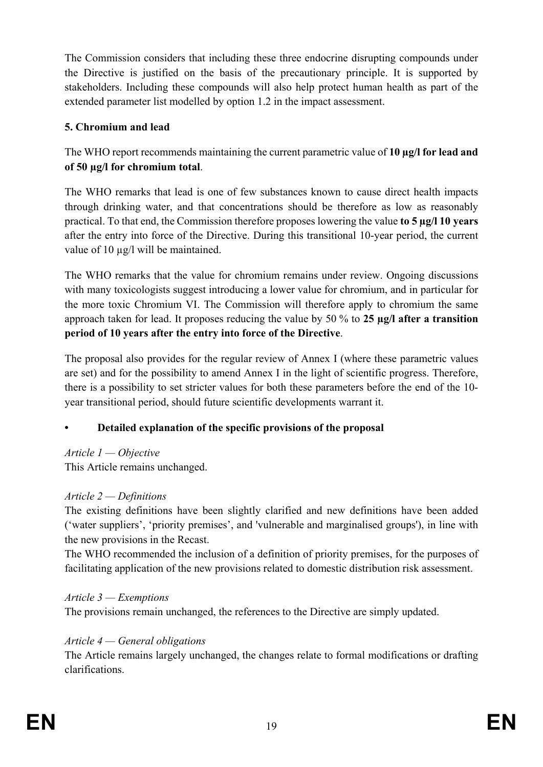The Commission considers that including these three endocrine disrupting compounds under the Directive is justified on the basis of the precautionary principle. It is supported by stakeholders. Including these compounds will also help protect human health as part of the extended parameter list modelled by option 1.2 in the impact assessment.

## **5. Chromium and lead**

The WHO report recommends maintaining the current parametric value of **10 µg/l for lead and of 50 µg/l for chromium total**.

The WHO remarks that lead is one of few substances known to cause direct health impacts through drinking water, and that concentrations should be therefore as low as reasonably practical. To that end, the Commission therefore proposes lowering the value **to 5 µg/l 10 years** after the entry into force of the Directive. During this transitional 10-year period, the current value of 10 µg/l will be maintained.

The WHO remarks that the value for chromium remains under review. Ongoing discussions with many toxicologists suggest introducing a lower value for chromium, and in particular for the more toxic Chromium VI. The Commission will therefore apply to chromium the same approach taken for lead. It proposes reducing the value by 50 % to **25 µg/l after a transition period of 10 years after the entry into force of the Directive**.

The proposal also provides for the regular review of Annex I (where these parametric values are set) and for the possibility to amend Annex I in the light of scientific progress. Therefore, there is a possibility to set stricter values for both these parameters before the end of the 10 year transitional period, should future scientific developments warrant it.

# **• Detailed explanation of the specific provisions of the proposal**

### *Article 1 — Objective*

This Article remains unchanged.

# *Article 2 — Definitions*

The existing definitions have been slightly clarified and new definitions have been added ('water suppliers', 'priority premises', and 'vulnerable and marginalised groups'), in line with the new provisions in the Recast.

The WHO recommended the inclusion of a definition of priority premises, for the purposes of facilitating application of the new provisions related to domestic distribution risk assessment.

# *Article 3 — Exemptions*

The provisions remain unchanged, the references to the Directive are simply updated.

# *Article 4 — General obligations*

The Article remains largely unchanged, the changes relate to formal modifications or drafting clarifications.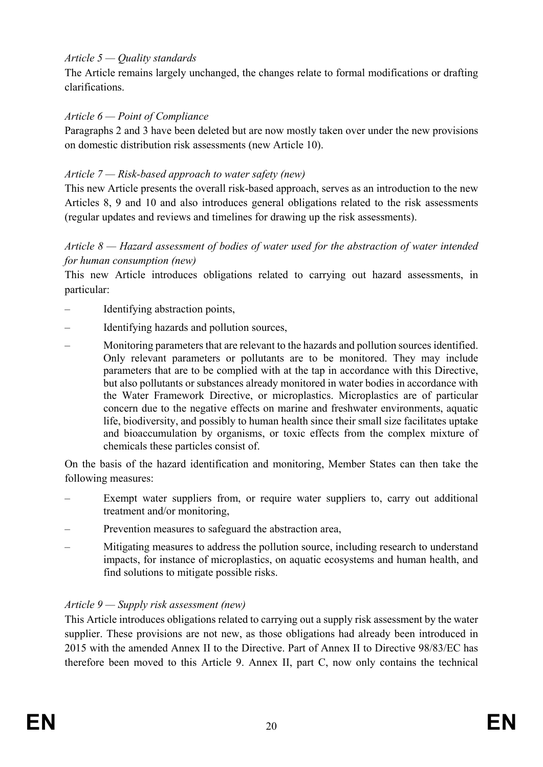### *Article 5 — Quality standards*

The Article remains largely unchanged, the changes relate to formal modifications or drafting clarifications.

### *Article 6 — Point of Compliance*

Paragraphs 2 and 3 have been deleted but are now mostly taken over under the new provisions on domestic distribution risk assessments (new Article 10).

### *Article 7 — Risk-based approach to water safety (new)*

This new Article presents the overall risk-based approach, serves as an introduction to the new Articles 8, 9 and 10 and also introduces general obligations related to the risk assessments (regular updates and reviews and timelines for drawing up the risk assessments).

### *Article 8 — Hazard assessment of bodies of water used for the abstraction of water intended for human consumption (new)*

This new Article introduces obligations related to carrying out hazard assessments, in particular:

- Identifying abstraction points,
- Identifying hazards and pollution sources,
- Monitoring parameters that are relevant to the hazards and pollution sources identified. Only relevant parameters or pollutants are to be monitored. They may include parameters that are to be complied with at the tap in accordance with this Directive, but also pollutants or substances already monitored in water bodies in accordance with the Water Framework Directive, or microplastics. Microplastics are of particular concern due to the negative effects on marine and freshwater environments, aquatic life, biodiversity, and possibly to human health since their small size facilitates uptake and bioaccumulation by organisms, or toxic effects from the complex mixture of chemicals these particles consist of.

On the basis of the hazard identification and monitoring, Member States can then take the following measures:

- Exempt water suppliers from, or require water suppliers to, carry out additional treatment and/or monitoring,
- Prevention measures to safeguard the abstraction area,
- Mitigating measures to address the pollution source, including research to understand impacts, for instance of microplastics, on aquatic ecosystems and human health, and find solutions to mitigate possible risks.

### *Article 9 — Supply risk assessment (new)*

This Article introduces obligations related to carrying out a supply risk assessment by the water supplier. These provisions are not new, as those obligations had already been introduced in 2015 with the amended Annex II to the Directive. Part of Annex II to Directive 98/83/EC has therefore been moved to this Article 9. Annex II, part C, now only contains the technical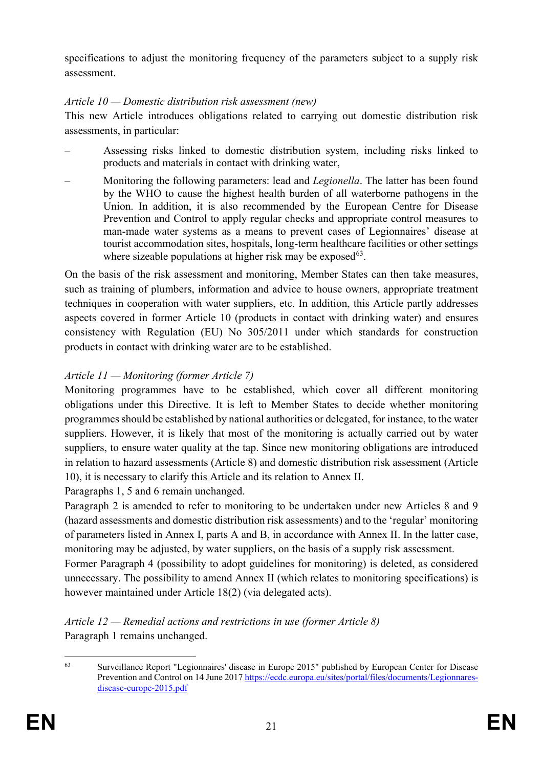specifications to adjust the monitoring frequency of the parameters subject to a supply risk assessment.

### *Article 10 — Domestic distribution risk assessment (new)*

This new Article introduces obligations related to carrying out domestic distribution risk assessments, in particular:

- Assessing risks linked to domestic distribution system, including risks linked to products and materials in contact with drinking water,
- Monitoring the following parameters: lead and *Legionella*. The latter has been found by the WHO to cause the highest health burden of all waterborne pathogens in the Union. In addition, it is also recommended by the European Centre for Disease Prevention and Control to apply regular checks and appropriate control measures to man-made water systems as a means to prevent cases of Legionnaires' disease at tourist accommodation sites, hospitals, long-term healthcare facilities or other settings where sizeable populations at higher risk may be exposed  $63$ .

On the basis of the risk assessment and monitoring, Member States can then take measures, such as training of plumbers, information and advice to house owners, appropriate treatment techniques in cooperation with water suppliers, etc. In addition, this Article partly addresses aspects covered in former Article 10 (products in contact with drinking water) and ensures consistency with Regulation (EU) No 305/2011 under which standards for construction products in contact with drinking water are to be established.

# *Article 11 — Monitoring (former Article 7)*

Monitoring programmes have to be established, which cover all different monitoring obligations under this Directive. It is left to Member States to decide whether monitoring programmes should be established by national authorities or delegated, for instance, to the water suppliers. However, it is likely that most of the monitoring is actually carried out by water suppliers, to ensure water quality at the tap. Since new monitoring obligations are introduced in relation to hazard assessments (Article 8) and domestic distribution risk assessment (Article 10), it is necessary to clarify this Article and its relation to Annex II.

Paragraphs 1, 5 and 6 remain unchanged.

Paragraph 2 is amended to refer to monitoring to be undertaken under new Articles 8 and 9 (hazard assessments and domestic distribution risk assessments) and to the 'regular' monitoring of parameters listed in Annex I, parts A and B, in accordance with Annex II. In the latter case, monitoring may be adjusted, by water suppliers, on the basis of a supply risk assessment.

Former Paragraph 4 (possibility to adopt guidelines for monitoring) is deleted, as considered unnecessary. The possibility to amend Annex II (which relates to monitoring specifications) is however maintained under Article 18(2) (via delegated acts).

*Article 12 — Remedial actions and restrictions in use (former Article 8)* Paragraph 1 remains unchanged.

<span id="page-22-0"></span> <sup>63</sup> Surveillance Report "Legionnaires' disease in Europe 2015" published by European Center for Disease Prevention and Control on 14 June 201[7 https://ecdc.europa.eu/sites/portal/files/documents/Legionnares](https://ecdc.europa.eu/sites/portal/files/documents/Legionnares-disease-europe-2015.pdf)[disease-europe-2015.pdf](https://ecdc.europa.eu/sites/portal/files/documents/Legionnares-disease-europe-2015.pdf)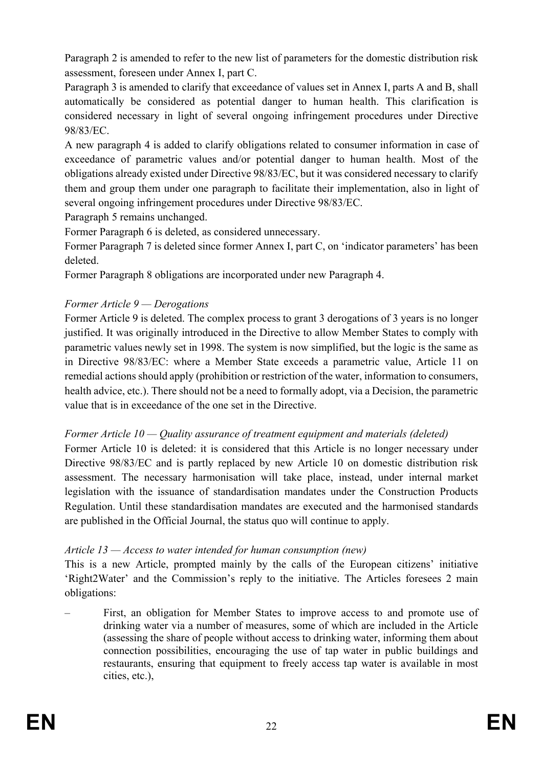Paragraph 2 is amended to refer to the new list of parameters for the domestic distribution risk assessment, foreseen under Annex I, part C.

Paragraph 3 is amended to clarify that exceedance of values set in Annex I, parts A and B, shall automatically be considered as potential danger to human health. This clarification is considered necessary in light of several ongoing infringement procedures under Directive 98/83/EC.

A new paragraph 4 is added to clarify obligations related to consumer information in case of exceedance of parametric values and/or potential danger to human health. Most of the obligations already existed under Directive 98/83/EC, but it was considered necessary to clarify them and group them under one paragraph to facilitate their implementation, also in light of several ongoing infringement procedures under Directive 98/83/EC.

Paragraph 5 remains unchanged.

Former Paragraph 6 is deleted, as considered unnecessary.

Former Paragraph 7 is deleted since former Annex I, part C, on 'indicator parameters' has been deleted.

Former Paragraph 8 obligations are incorporated under new Paragraph 4.

# *Former Article 9 — Derogations*

Former Article 9 is deleted. The complex process to grant 3 derogations of 3 years is no longer justified. It was originally introduced in the Directive to allow Member States to comply with parametric values newly set in 1998. The system is now simplified, but the logic is the same as in Directive 98/83/EC: where a Member State exceeds a parametric value, Article 11 on remedial actions should apply (prohibition or restriction of the water, information to consumers, health advice, etc.). There should not be a need to formally adopt, via a Decision, the parametric value that is in exceedance of the one set in the Directive.

# *Former Article 10 — Quality assurance of treatment equipment and materials (deleted)*

Former Article 10 is deleted: it is considered that this Article is no longer necessary under Directive 98/83/EC and is partly replaced by new Article 10 on domestic distribution risk assessment. The necessary harmonisation will take place, instead, under internal market legislation with the issuance of standardisation mandates under the Construction Products Regulation. Until these standardisation mandates are executed and the harmonised standards are published in the Official Journal, the status quo will continue to apply.

# *Article 13 — Access to water intended for human consumption (new)*

This is a new Article, prompted mainly by the calls of the European citizens' initiative 'Right2Water' and the Commission's reply to the initiative. The Articles foresees 2 main obligations:

– First, an obligation for Member States to improve access to and promote use of drinking water via a number of measures, some of which are included in the Article (assessing the share of people without access to drinking water, informing them about connection possibilities, encouraging the use of tap water in public buildings and restaurants, ensuring that equipment to freely access tap water is available in most cities, etc.),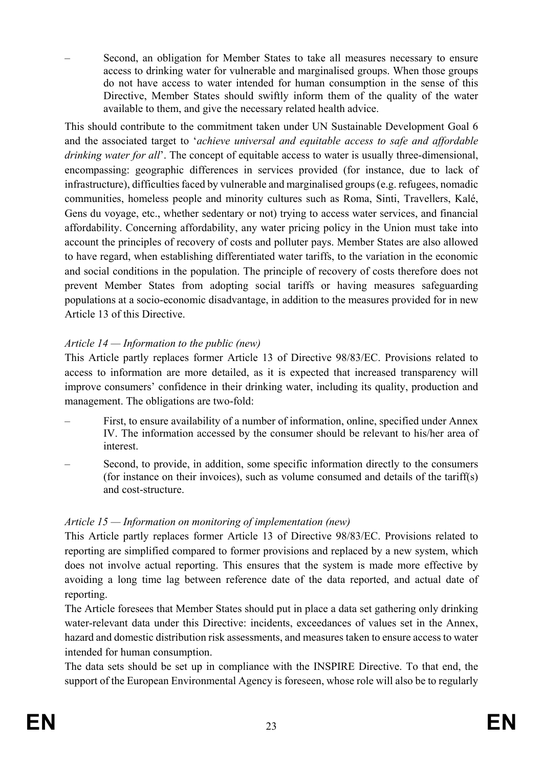– Second, an obligation for Member States to take all measures necessary to ensure access to drinking water for vulnerable and marginalised groups. When those groups do not have access to water intended for human consumption in the sense of this Directive, Member States should swiftly inform them of the quality of the water available to them, and give the necessary related health advice.

This should contribute to the commitment taken under UN Sustainable Development Goal 6 and the associated target to '*achieve universal and equitable access to safe and affordable drinking water for all*'. The concept of equitable access to water is usually three-dimensional, encompassing: geographic differences in services provided (for instance, due to lack of infrastructure), difficulties faced by vulnerable and marginalised groups (e.g. refugees, nomadic communities, homeless people and minority cultures such as Roma, Sinti, Travellers, Kalé, Gens du voyage, etc., whether sedentary or not) trying to access water services, and financial affordability. Concerning affordability, any water pricing policy in the Union must take into account the principles of recovery of costs and polluter pays. Member States are also allowed to have regard, when establishing differentiated water tariffs, to the variation in the economic and social conditions in the population. The principle of recovery of costs therefore does not prevent Member States from adopting social tariffs or having measures safeguarding populations at a socio-economic disadvantage, in addition to the measures provided for in new Article 13 of this Directive.

# *Article 14 — Information to the public (new)*

This Article partly replaces former Article 13 of Directive 98/83/EC. Provisions related to access to information are more detailed, as it is expected that increased transparency will improve consumers' confidence in their drinking water, including its quality, production and management. The obligations are two-fold:

- First, to ensure availability of a number of information, online, specified under Annex IV. The information accessed by the consumer should be relevant to his/her area of interest.
- Second, to provide, in addition, some specific information directly to the consumers (for instance on their invoices), such as volume consumed and details of the tariff(s) and cost-structure.

### *Article 15 — Information on monitoring of implementation (new)*

This Article partly replaces former Article 13 of Directive 98/83/EC. Provisions related to reporting are simplified compared to former provisions and replaced by a new system, which does not involve actual reporting. This ensures that the system is made more effective by avoiding a long time lag between reference date of the data reported, and actual date of reporting.

The Article foresees that Member States should put in place a data set gathering only drinking water-relevant data under this Directive: incidents, exceedances of values set in the Annex, hazard and domestic distribution risk assessments, and measures taken to ensure access to water intended for human consumption.

The data sets should be set up in compliance with the INSPIRE Directive. To that end, the support of the European Environmental Agency is foreseen, whose role will also be to regularly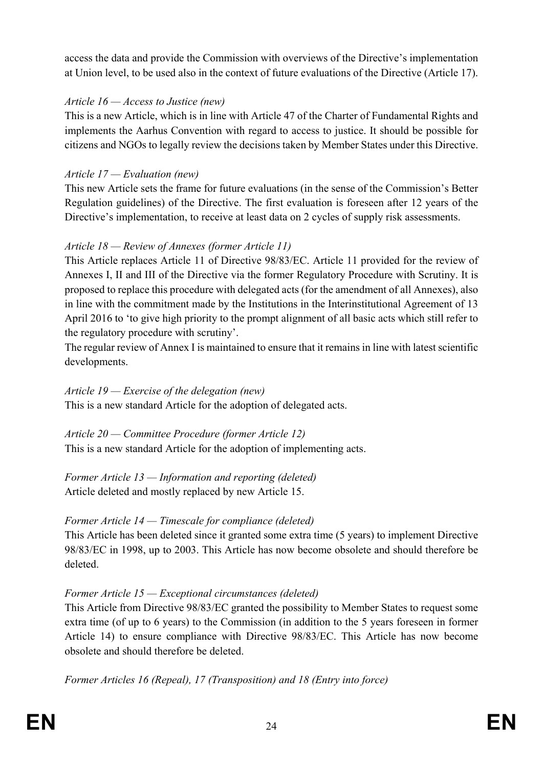access the data and provide the Commission with overviews of the Directive's implementation at Union level, to be used also in the context of future evaluations of the Directive (Article 17).

### *Article 16 — Access to Justice (new)*

This is a new Article, which is in line with Article 47 of the Charter of Fundamental Rights and implements the Aarhus Convention with regard to access to justice. It should be possible for citizens and NGOs to legally review the decisions taken by Member States under this Directive.

# *Article 17 — Evaluation (new)*

This new Article sets the frame for future evaluations (in the sense of the Commission's Better Regulation guidelines) of the Directive. The first evaluation is foreseen after 12 years of the Directive's implementation, to receive at least data on 2 cycles of supply risk assessments.

# *Article 18 — Review of Annexes (former Article 11)*

This Article replaces Article 11 of Directive 98/83/EC. Article 11 provided for the review of Annexes I, II and III of the Directive via the former Regulatory Procedure with Scrutiny. It is proposed to replace this procedure with delegated acts (for the amendment of all Annexes), also in line with the commitment made by the Institutions in the Interinstitutional Agreement of 13 April 2016 to 'to give high priority to the prompt alignment of all basic acts which still refer to the regulatory procedure with scrutiny'.

The regular review of Annex I is maintained to ensure that it remains in line with latest scientific developments.

## *Article 19 — Exercise of the delegation (new)*

This is a new standard Article for the adoption of delegated acts.

*Article 20 — Committee Procedure (former Article 12)* This is a new standard Article for the adoption of implementing acts.

*Former Article 13 — Information and reporting (deleted)* Article deleted and mostly replaced by new Article 15.

# *Former Article 14 — Timescale for compliance (deleted)*

This Article has been deleted since it granted some extra time (5 years) to implement Directive 98/83/EC in 1998, up to 2003. This Article has now become obsolete and should therefore be deleted.

# *Former Article 15 — Exceptional circumstances (deleted)*

This Article from Directive 98/83/EC granted the possibility to Member States to request some extra time (of up to 6 years) to the Commission (in addition to the 5 years foreseen in former Article 14) to ensure compliance with Directive 98/83/EC. This Article has now become obsolete and should therefore be deleted.

*Former Articles 16 (Repeal), 17 (Transposition) and 18 (Entry into force)*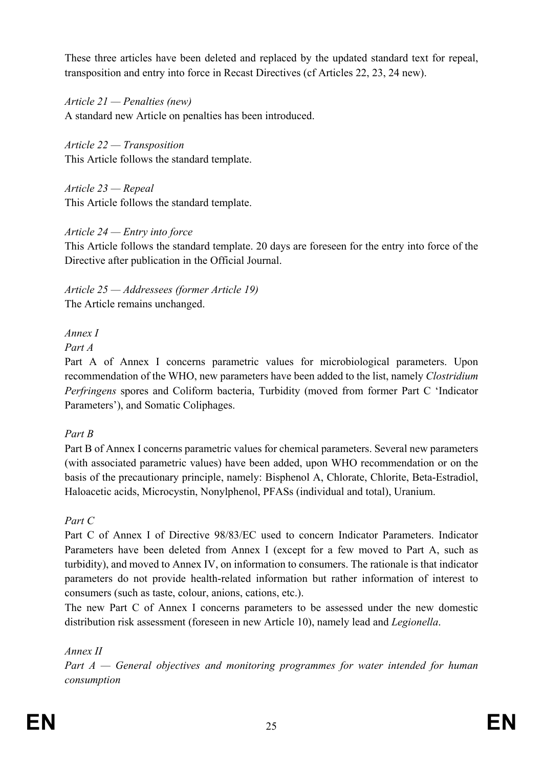These three articles have been deleted and replaced by the updated standard text for repeal, transposition and entry into force in Recast Directives (cf Articles 22, 23, 24 new).

*Article 21 — Penalties (new)* A standard new Article on penalties has been introduced.

*Article 22 — Transposition* This Article follows the standard template.

*Article 23 — Repeal* This Article follows the standard template.

# *Article 24 — Entry into force*

This Article follows the standard template. 20 days are foreseen for the entry into force of the Directive after publication in the Official Journal.

*Article 25 — Addressees (former Article 19)* The Article remains unchanged.

# *Annex I*

*Part A*

Part A of Annex I concerns parametric values for microbiological parameters. Upon recommendation of the WHO, new parameters have been added to the list, namely *Clostridium Perfringens* spores and Coliform bacteria, Turbidity (moved from former Part C 'Indicator Parameters'), and Somatic Coliphages.

### *Part B*

Part B of Annex I concerns parametric values for chemical parameters. Several new parameters (with associated parametric values) have been added, upon WHO recommendation or on the basis of the precautionary principle, namely: Bisphenol A, Chlorate, Chlorite, Beta-Estradiol, Haloacetic acids, Microcystin, Nonylphenol, PFASs (individual and total), Uranium.

# *Part C*

Part C of Annex I of Directive 98/83/EC used to concern Indicator Parameters. Indicator Parameters have been deleted from Annex I (except for a few moved to Part A, such as turbidity), and moved to Annex IV, on information to consumers. The rationale is that indicator parameters do not provide health-related information but rather information of interest to consumers (such as taste, colour, anions, cations, etc.).

The new Part C of Annex I concerns parameters to be assessed under the new domestic distribution risk assessment (foreseen in new Article 10), namely lead and *Legionella*.

*Annex II*

*Part A — General objectives and monitoring programmes for water intended for human consumption*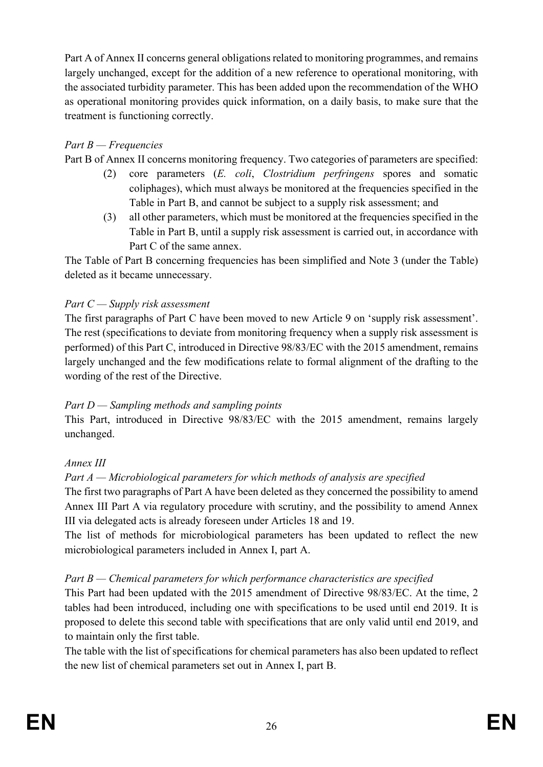Part A of Annex II concerns general obligations related to monitoring programmes, and remains largely unchanged, except for the addition of a new reference to operational monitoring, with the associated turbidity parameter. This has been added upon the recommendation of the WHO as operational monitoring provides quick information, on a daily basis, to make sure that the treatment is functioning correctly.

## *Part B — Frequencies*

Part B of Annex II concerns monitoring frequency. Two categories of parameters are specified:

- (2) core parameters (*E. coli*, *Clostridium perfringens* spores and somatic coliphages), which must always be monitored at the frequencies specified in the Table in Part B, and cannot be subject to a supply risk assessment; and
- (3) all other parameters, which must be monitored at the frequencies specified in the Table in Part B, until a supply risk assessment is carried out, in accordance with Part C of the same annex.

The Table of Part B concerning frequencies has been simplified and Note 3 (under the Table) deleted as it became unnecessary.

### *Part C — Supply risk assessment*

The first paragraphs of Part C have been moved to new Article 9 on 'supply risk assessment'. The rest (specifications to deviate from monitoring frequency when a supply risk assessment is performed) of this Part C, introduced in Directive 98/83/EC with the 2015 amendment, remains largely unchanged and the few modifications relate to formal alignment of the drafting to the wording of the rest of the Directive.

### *Part D — Sampling methods and sampling points*

This Part, introduced in Directive 98/83/EC with the 2015 amendment, remains largely unchanged.

### *Annex III*

### *Part A — Microbiological parameters for which methods of analysis are specified*

The first two paragraphs of Part A have been deleted as they concerned the possibility to amend Annex III Part A via regulatory procedure with scrutiny, and the possibility to amend Annex III via delegated acts is already foreseen under Articles 18 and 19.

The list of methods for microbiological parameters has been updated to reflect the new microbiological parameters included in Annex I, part A.

### *Part B — Chemical parameters for which performance characteristics are specified*

This Part had been updated with the 2015 amendment of Directive 98/83/EC. At the time, 2 tables had been introduced, including one with specifications to be used until end 2019. It is proposed to delete this second table with specifications that are only valid until end 2019, and to maintain only the first table.

The table with the list of specifications for chemical parameters has also been updated to reflect the new list of chemical parameters set out in Annex I, part B.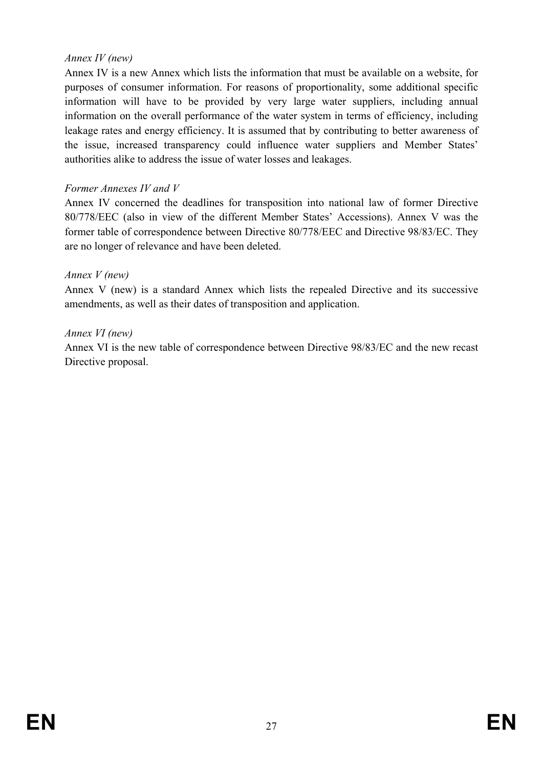### *Annex IV (new)*

Annex IV is a new Annex which lists the information that must be available on a website, for purposes of consumer information. For reasons of proportionality, some additional specific information will have to be provided by very large water suppliers, including annual information on the overall performance of the water system in terms of efficiency, including leakage rates and energy efficiency. It is assumed that by contributing to better awareness of the issue, increased transparency could influence water suppliers and Member States' authorities alike to address the issue of water losses and leakages.

### *Former Annexes IV and V*

Annex IV concerned the deadlines for transposition into national law of former Directive 80/778/EEC (also in view of the different Member States' Accessions). Annex V was the former table of correspondence between Directive 80/778/EEC and Directive 98/83/EC. They are no longer of relevance and have been deleted.

### *Annex V (new)*

Annex V (new) is a standard Annex which lists the repealed Directive and its successive amendments, as well as their dates of transposition and application.

### *Annex VI (new)*

Annex VI is the new table of correspondence between Directive 98/83/EC and the new recast Directive proposal.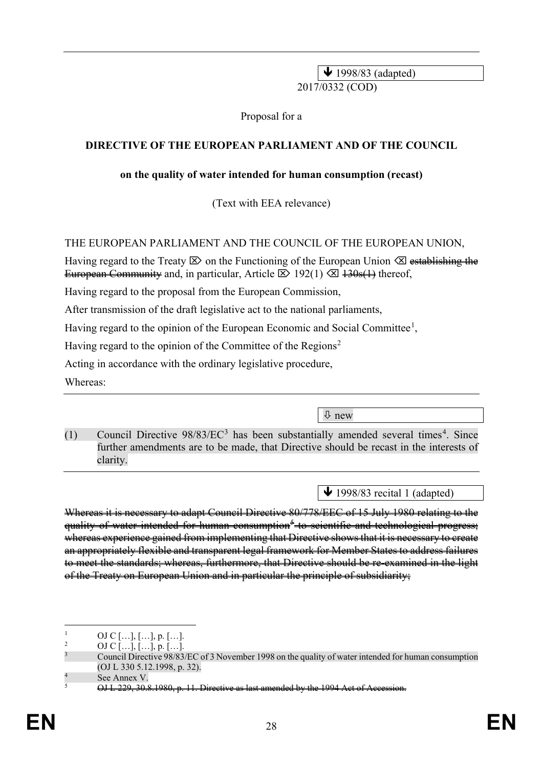$\sqrt{1998/83}$  (adapted) 2017/0332 (COD)

Proposal for a

### **DIRECTIVE OF THE EUROPEAN PARLIAMENT AND OF THE COUNCIL**

### **on the quality of water intended for human consumption (recast)**

(Text with EEA relevance)

### THE EUROPEAN PARLIAMENT AND THE COUNCIL OF THE EUROPEAN UNION,

Having regard to the Treaty  $\boxtimes$  on the Functioning of the European Union  $\boxtimes$  establishing the European Community and, in particular, Article  $\boxtimes$  192(1)  $\boxtimes$  130s(1) thereof,

Having regard to the proposal from the European Commission,

After transmission of the draft legislative act to the national parliaments,

Having regard to the opinion of the European Economic and Social Committee<sup>[1](#page-29-0)</sup>,

Having regard to the opinion of the Committee of the Regions<sup>[2](#page-29-1)</sup>

Acting in accordance with the ordinary legislative procedure,

Whereas:

new

(1) Council Directive  $98/83/EC^3$  $98/83/EC^3$  $98/83/EC^3$  has been substantially amended several times<sup>[4](#page-29-3)</sup>. Since further amendments are to be made, that Directive should be recast in the interests of clarity.

 $\bigvee$  1998/83 recital 1 (adapted)

Whereas it is necessary to adapt Council Directive 80/778/EEC of 15 July 1980 relating to the quality of water intended for human consumption<sup>[5](#page-29-4)</sup> to scientific and technological progress; whereas experience gained from implementing that Directive shows that it is necessary to create an appropriately flexible and transparent legal framework for Member States to address failures to meet the standards; whereas, furthermore, that Directive should be re-examined in the light of the Treaty on European Union and in particular the principle of subsidiarity;

<span id="page-29-1"></span><span id="page-29-0"></span> $\frac{1}{2}$  OJ C [...], [...], p. [...].

OJ C  $[...]$ ,  $[...]$ , p.  $[...]$ .

<span id="page-29-2"></span><sup>3</sup> Council Directive 98/83/EC of 3 November 1998 on the quality of water intended for human consumption (OJ L 330 5.12.1998, p. 32).

<span id="page-29-4"></span><span id="page-29-3"></span>See Annex V.

 $6$ J L 229, 30.8.1980, p. 11. Directive as last amended by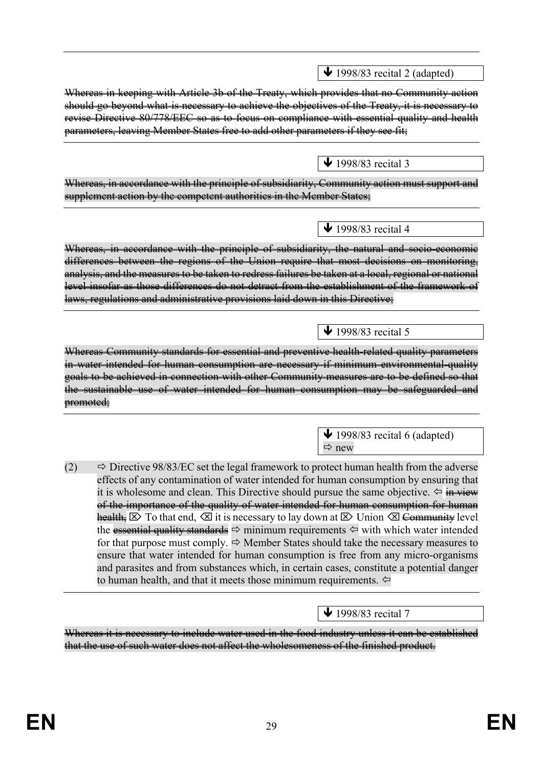Whereas in keeping with Article 3b of the Treaty, which provides that no Community action should go beyond what is necessary to achieve the objectives of the Treaty, it is necessary to revise Directive 80/778/EEC so as to focus on compliance with essential quality and health parameters, leaving Member States free to add other parameters if they see fit;

Whereas, in accordance with the principle of subsidiarity, Community action must support and supplement action by the competent authorities in the Member States;

Whereas, in accordance with the principle of subsidiarity, the natural and socio-economic differences between the regions of the Union require that most decisions on monitoring, analysis, and the measures to be taken to redress failures be taken at a local, regional or national level insofar as those differences do not detract from the establishment of the framework of laws, regulations and administrative provisions laid down in this Directive;

Whereas Community standards for essential and preventive health-related quality parameters in water intended for human consumption are necessary if minimum environmental-quality goals to be achieved in connection with other Community measures are to be defined so that the sustainable use of water intended for human consumption may be safeguarded and promoted;

(2)  $\Rightarrow$  Directive 98/83/EC set the legal framework to protect human health from the adverse effects of any contamination of water intended for human consumption by ensuring that it is wholesome and clean. This Directive should pursue the same objective.  $\Leftrightarrow$  in view of the importance of the quality of water intended for human consumption for human health,  $\boxtimes$  To that end,  $\boxtimes$  it is necessary to lay down at  $\boxtimes$  Union  $\boxtimes$  Community level the essential quality standards  $\Rightarrow$  minimum requirements  $\Leftarrow$  with which water intended for that purpose must comply.  $\Rightarrow$  Member States should take the necessary measures to ensure that water intended for human consumption is free from any micro-organisms and parasites and from substances which, in certain cases, constitute a potential danger to human health, and that it meets those minimum requirements.  $\Leftrightarrow$ 

Whereas it is necessary to include water used in the food industry unless it can be established that the use of such water does not affect the wholesomeness of the finished product.

 $\bigvee$  1998/83 recital 3

 $\bigvee$  1998/83 recital 2 (adapted)

 $\bigvee$  1998/83 recital 4

 $\bigvee$  1998/83 recital 5

 $\blacktriangleright$  1998/83 recital 7

 $\bigvee$  1998/83 recital 6 (adapted)  $\Rightarrow$  new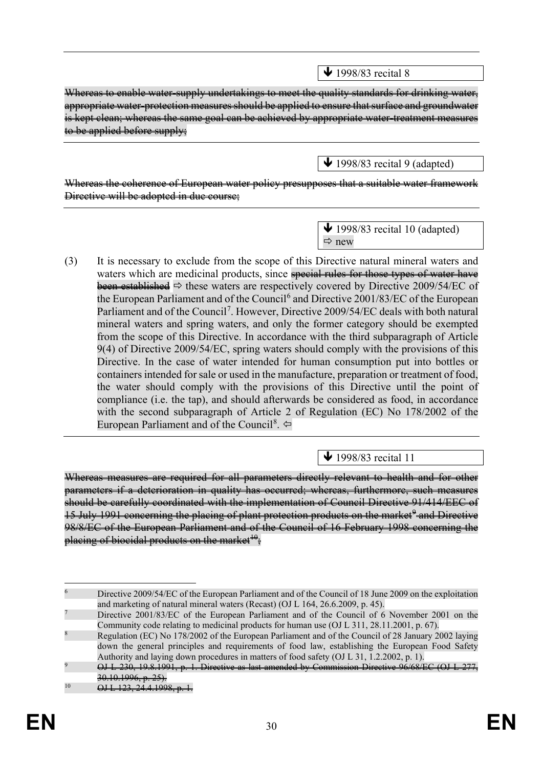$\bigvee$  1998/83 recital 8

Whereas to enable water-supply undertakings to meet the quality standards for drinking water, appropriate water-protection measures should be applied to ensure that surface and groundwater is kept clean; whereas the same goal can be achieved by appropriate water-treatment measures to be applied before supply;

 $\blacktriangleright$  1998/83 recital 9 (adapted)

Whereas the coherence of European water policy presupposes that a suitable water framework Directive will be adopted in due course;

> $\blacklozenge$  1998/83 recital 10 (adapted)  $Arr$  new

(3) It is necessary to exclude from the scope of this Directive natural mineral waters and waters which are medicinal products, since special rules for those types of water have been established  $\Rightarrow$  these waters are respectively covered by Directive 2009/54/EC of the European Parliament and of the Council<sup>[6](#page-31-0)</sup> and Directive 2001/83/EC of the European Parliament and of the Council<sup>[7](#page-31-1)</sup>. However, Directive 2009/54/EC deals with both natural mineral waters and spring waters, and only the former category should be exempted from the scope of this Directive. In accordance with the third subparagraph of Article 9(4) of Directive 2009/54/EC, spring waters should comply with the provisions of this Directive. In the case of water intended for human consumption put into bottles or containers intended for sale or used in the manufacture, preparation or treatment of food, the water should comply with the provisions of this Directive until the point of compliance (i.e. the tap), and should afterwards be considered as food, in accordance with the second subparagraph of Article 2 of Regulation (EC) No 178/2002 of the European Parliament and of the Council<sup>[8](#page-31-2)</sup>.

 $\bigvee$  1998/83 recital 11

Whereas measures are required for all parameters directly relevant to health and for other parameters if a deterioration in quality has occurred; whereas, furthermore, such measures should be carefully coordinated with the implementation of Council Directive 91/414/EEC of 15 July 1[9](#page-31-3)91 concerning the placing of plant protection products on the market<sup>9</sup> and Directive 98/8/EC of the European Parliament and of the Council of 16 February 1998 concerning the placing of biocidal products on the market<sup> $\theta$ </sup>.

<span id="page-31-0"></span> <sup>6</sup> Directive 2009/54/EC of the European Parliament and of the Council of 18 June 2009 on the exploitation and marketing of natural mineral waters (Recast) (OJ L 164, 26.6.2009, p. 45).

<span id="page-31-1"></span><sup>7</sup> Directive 2001/83/EC of the European Parliament and of the Council of 6 November 2001 on the Community code relating to medicinal products for human use (OJ L 311, 28.11.2001, p. 67).

<span id="page-31-2"></span><sup>8</sup> Regulation (EC) No 178/2002 of the European Parliament and of the Council of 28 January 2002 laying down the general principles and requirements of food law, establishing the European Food Safety Authority and laying down procedures in matters of food safety (OJ L 31, 1.2.2002, p. 1).

<span id="page-31-3"></span><sup>9</sup> OJ L 230, 19.8.1991, p. 1. Directive as last amended by Commission Directive 96/68/EC (OJ L 277,  $30.10.1996, p. 25$ 

<span id="page-31-4"></span> $^{10}$  OJ L 123, 24.4.1998, p. 1.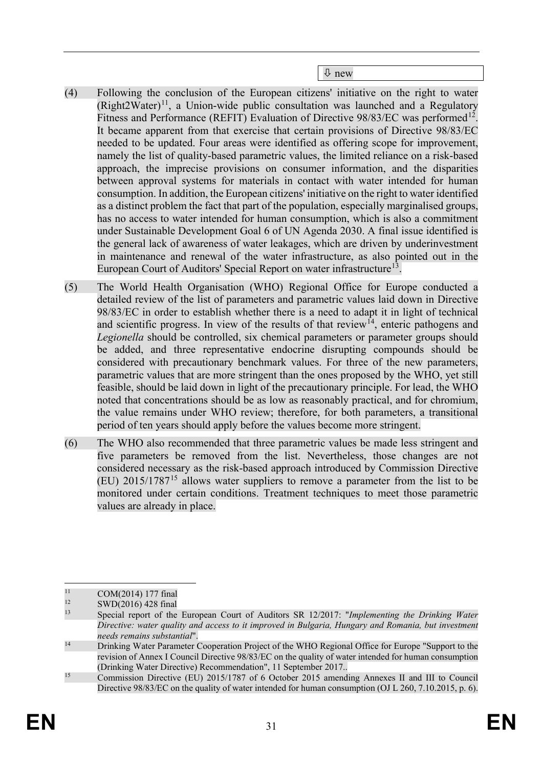new

- (4) Following the conclusion of the European citizens' initiative on the right to water  $(Right2Water)^{11}$ , a Union-wide public consultation was launched and a Regulatory Fitness and Performance (REFIT) Evaluation of Directive 98/83/EC was performed<sup>12</sup>. It became apparent from that exercise that certain provisions of Directive 98/83/EC needed to be updated. Four areas were identified as offering scope for improvement, namely the list of quality-based parametric values, the limited reliance on a risk-based approach, the imprecise provisions on consumer information, and the disparities between approval systems for materials in contact with water intended for human consumption. In addition, the European citizens' initiative on the right to water identified as a distinct problem the fact that part of the population, especially marginalised groups, has no access to water intended for human consumption, which is also a commitment under Sustainable Development Goal 6 of UN Agenda 2030. A final issue identified is the general lack of awareness of water leakages, which are driven by underinvestment in maintenance and renewal of the water infrastructure, as also pointed out in the European Court of Auditors' Special Report on water infrastructure<sup>13</sup>.
- (5) The World Health Organisation (WHO) Regional Office for Europe conducted a detailed review of the list of parameters and parametric values laid down in Directive 98/83/EC in order to establish whether there is a need to adapt it in light of technical and scientific progress. In view of the results of that review<sup>14</sup>, enteric pathogens and *Legionella* should be controlled, six chemical parameters or parameter groups should be added, and three representative endocrine disrupting compounds should be considered with precautionary benchmark values. For three of the new parameters, parametric values that are more stringent than the ones proposed by the WHO, yet still feasible, should be laid down in light of the precautionary principle. For lead, the WHO noted that concentrations should be as low as reasonably practical, and for chromium, the value remains under WHO review; therefore, for both parameters, a transitional period of ten years should apply before the values become more stringent.
- (6) The WHO also recommended that three parametric values be made less stringent and five parameters be removed from the list. Nevertheless, those changes are not considered necessary as the risk-based approach introduced by Commission Directive (EU) 2015/1787[15](#page-32-4) allows water suppliers to remove a parameter from the list to be monitored under certain conditions. Treatment techniques to meet those parametric values are already in place.

<span id="page-32-0"></span> $\frac{11}{12}$  COM(2014) 177 final<br>swD(2016) 428 final

<span id="page-32-1"></span> $12$  SWD(2016) 428 final<br> $13$  Special report of the

<span id="page-32-2"></span><sup>13</sup> Special report of the European Court of Auditors SR 12/2017: "*Implementing the Drinking Water Directive: water quality and access to it improved in Bulgaria, Hungary and Romania, but investment needs remains substantial*".<br><sup>14</sup> Drinking Water Parameter Cooperation Project of the WHO Regional Office for Europe "Support to the

<span id="page-32-3"></span>revision of Annex I Council Directive 98/83/EC on the quality of water intended for human consumption (Drinking Water Directive) Recommendation", 11 September 2017..

<span id="page-32-4"></span><sup>&</sup>lt;sup>15</sup> Commission Directive (EU) 2015/1787 of 6 October 2015 amending Annexes II and III to Council Directive 98/83/EC on the quality of water intended for human consumption (OJ L 260, 7.10.2015, p. 6).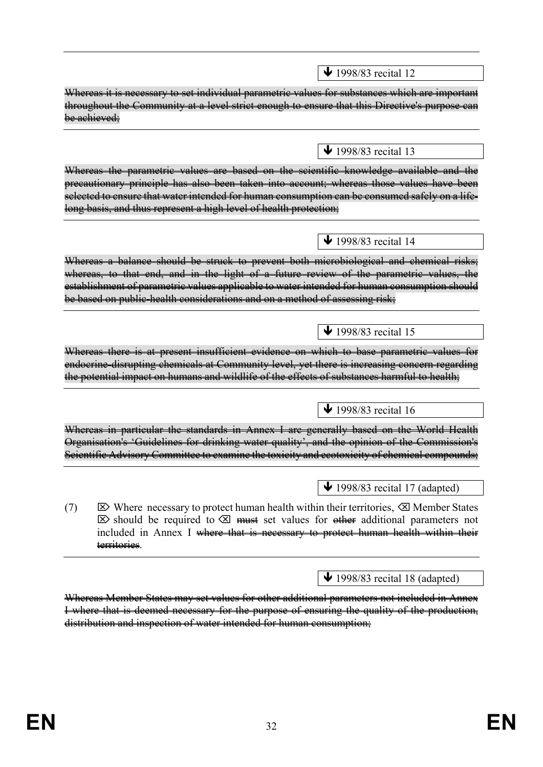Whereas it is necessary to set individual parametric values for substances which are important throughout the Community at a level strict enough to ensure that this Directive's purpose can be achieved;  $\bigvee$  1998/83 recital 13 Whereas the parametric values are based on the scientific knowledge available and the precautionary principle has also been taken into account; whereas those values have been selected to ensure that water intended for human consumption can be consumed safely on a lifelong basis, and thus represent a high level of health protection;  $\bigvee$  1998/83 recital 14 Whereas a balance should be struck to prevent both microbiological and chemical risks; whereas, to that end, and in the light of a future review of the parametric values, the establishment of parametric values applicable to water intended for human consumption should be based on public-health considerations and on a method of assessing risk;  $\bigvee$  1998/83 recital 15 Whereas there is at present insufficient evidence on which to base parametric values for endocrine-disrupting chemicals at Community level, yet there is increasing concern regarding the potential impact on humans and wildlife of the effects of substances harmful to health;  $\sqrt{1998/83}$  recital 16 Whereas in particular the standards in Annex I are generally based on the World Health Organisation's 'Guidelines for drinking water quality', and the opinion of the Commission's Scientific Advisory Committee to examine the toxicity and ecotoxicity of chemical compounds;  $\bigvee$  1998/83 recital 17 (adapted) (7)  $\boxtimes$  Where necessary to protect human health within their territories,  $\boxtimes$  Member States  $\boxtimes$  should be required to  $\boxtimes$  must set values for other additional parameters not included in Annex I where that is necessary to protect human health within their territories.  $\overline{\text{4}}$  1998/83 recital 18 (adapted)

 $\bigvee$  1998/83 recital 12

Whereas Member States may set values for other additional parameters not included in Annex I where that is deemed necessary for the purpose of ensuring the quality of the production, distribution and inspection of water intended for human consumption;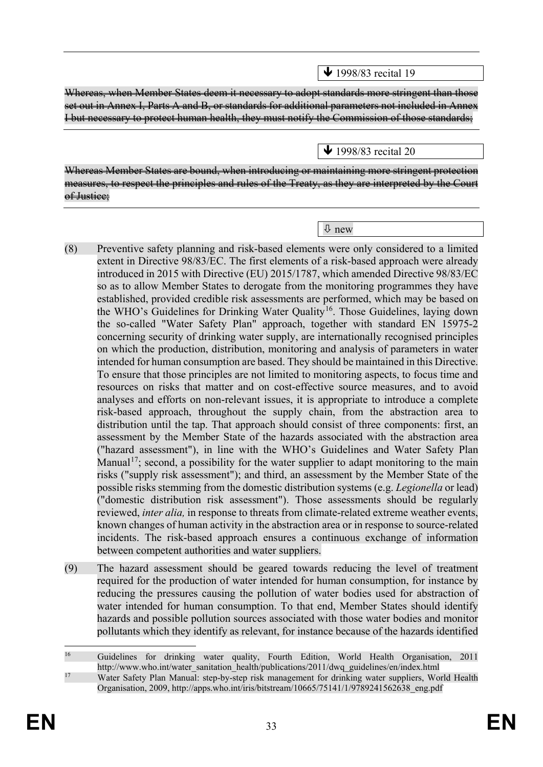$\bigvee$  1998/83 recital 19

Whereas, when Member States deem it necessary to adopt standards more stringent than those set out in Annex I, Parts A and B, or standards for additional parameters not included in Annex I but necessary to protect human health, they must notify the Commission of those standards;

 $\bigvee$  1998/83 recital 20

Whereas Member States are bound, when introducing or maintaining more stringent protection measures, to respect the principles and rules of the Treaty, as they are interpreted by the Court of Justice;

new

- (8) Preventive safety planning and risk-based elements were only considered to a limited extent in Directive 98/83/EC. The first elements of a risk-based approach were already introduced in 2015 with Directive (EU) 2015/1787, which amended Directive 98/83/EC so as to allow Member States to derogate from the monitoring programmes they have established, provided credible risk assessments are performed, which may be based on the WHO's Guidelines for Drinking Water Quality<sup>16</sup>. Those Guidelines, laying down the so-called "Water Safety Plan" approach, together with standard EN 15975-2 concerning security of drinking water supply, are internationally recognised principles on which the production, distribution, monitoring and analysis of parameters in water intended for human consumption are based. They should be maintained in this Directive. To ensure that those principles are not limited to monitoring aspects, to focus time and resources on risks that matter and on cost-effective source measures, and to avoid analyses and efforts on non-relevant issues, it is appropriate to introduce a complete risk-based approach, throughout the supply chain, from the abstraction area to distribution until the tap. That approach should consist of three components: first, an assessment by the Member State of the hazards associated with the abstraction area ("hazard assessment"), in line with the WHO's Guidelines and Water Safety Plan Manual<sup>17</sup>; second, a possibility for the water supplier to adapt monitoring to the main risks ("supply risk assessment"); and third, an assessment by the Member State of the possible risks stemming from the domestic distribution systems (e.g. *Legionella* or lead) ("domestic distribution risk assessment"). Those assessments should be regularly reviewed, *inter alia,* in response to threats from climate-related extreme weather events, known changes of human activity in the abstraction area or in response to source-related incidents. The risk-based approach ensures a continuous exchange of information between competent authorities and water suppliers.
- (9) The hazard assessment should be geared towards reducing the level of treatment required for the production of water intended for human consumption, for instance by reducing the pressures causing the pollution of water bodies used for abstraction of water intended for human consumption. To that end, Member States should identify hazards and possible pollution sources associated with those water bodies and monitor pollutants which they identify as relevant, for instance because of the hazards identified

<span id="page-34-0"></span><sup>&</sup>lt;sup>16</sup> Guidelines for drinking water quality, Fourth Edition, World Health Organisation, 2011 http://www.who.int/water\_sanitation\_health/publications/2011/dwq\_guidelines/en/index.html

<span id="page-34-1"></span><sup>&</sup>lt;sup>17</sup> Water Safety Plan Manual: step-by-step risk management for drinking water suppliers, World Health Organisation, 2009, http://apps.who.int/iris/bitstream/10665/75141/1/9789241562638\_eng.pdf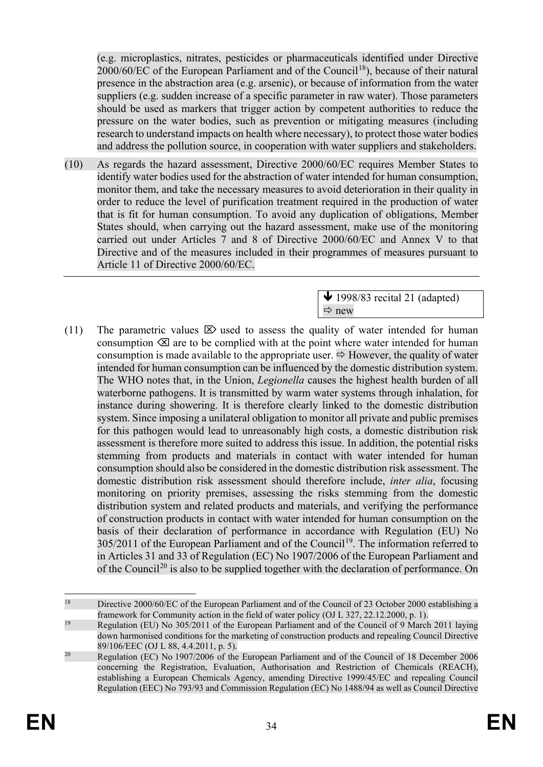(e.g. microplastics, nitrates, pesticides or pharmaceuticals identified under Directive  $2000/60/EC$  of the European Parliament and of the Council<sup>[18](#page-35-0)</sup>), because of their natural presence in the abstraction area (e.g. arsenic), or because of information from the water suppliers (e.g. sudden increase of a specific parameter in raw water). Those parameters should be used as markers that trigger action by competent authorities to reduce the pressure on the water bodies, such as prevention or mitigating measures (including research to understand impacts on health where necessary), to protect those water bodies and address the pollution source, in cooperation with water suppliers and stakeholders.

(10) As regards the hazard assessment, Directive 2000/60/EC requires Member States to identify water bodies used for the abstraction of water intended for human consumption, monitor them, and take the necessary measures to avoid deterioration in their quality in order to reduce the level of purification treatment required in the production of water that is fit for human consumption. To avoid any duplication of obligations, Member States should, when carrying out the hazard assessment, make use of the monitoring carried out under Articles 7 and 8 of Directive 2000/60/EC and Annex V to that Directive and of the measures included in their programmes of measures pursuant to Article 11 of Directive 2000/60/EC.

> $\bigvee$  1998/83 recital 21 (adapted)  $\Rightarrow$  new

(11) The parametric values  $\boxtimes$  used to assess the quality of water intended for human consumption  $\otimes$  are to be complied with at the point where water intended for human consumption is made available to the appropriate user.  $\Rightarrow$  However, the quality of water intended for human consumption can be influenced by the domestic distribution system. The WHO notes that, in the Union, *Legionella* causes the highest health burden of all waterborne pathogens. It is transmitted by warm water systems through inhalation, for instance during showering. It is therefore clearly linked to the domestic distribution system. Since imposing a unilateral obligation to monitor all private and public premises for this pathogen would lead to unreasonably high costs, a domestic distribution risk assessment is therefore more suited to address this issue. In addition, the potential risks stemming from products and materials in contact with water intended for human consumption should also be considered in the domestic distribution risk assessment. The domestic distribution risk assessment should therefore include, *inter alia*, focusing monitoring on priority premises, assessing the risks stemming from the domestic distribution system and related products and materials, and verifying the performance of construction products in contact with water intended for human consumption on the basis of their declaration of performance in accordance with Regulation (EU) No  $305/2011$  of the European Parliament and of the Council<sup>19</sup>. The information referred to in Articles 31 and 33 of Regulation (EC) No 1907/2006 of the European Parliament and of the Council<sup>[20](#page-35-2)</sup> is also to be supplied together with the declaration of performance. On

<span id="page-35-0"></span><sup>&</sup>lt;sup>18</sup> Directive 2000/60/EC of the European Parliament and of the Council of 23 October 2000 establishing a framework for Community action in the field of water policy (OJ L 327, 22.12.2000, p. 1).

<span id="page-35-1"></span><sup>&</sup>lt;sup>19</sup> Regulation (EU) No 305/2011 of the European Parliament and of the Council of 9 March 2011 laying down harmonised conditions for the marketing of construction products and repealing Council Directive 89/106/EEC (OJ L 88, 4.4.2011, p. 5).

<span id="page-35-2"></span><sup>&</sup>lt;sup>20</sup> Regulation (EC) No 1907/2006 of the European Parliament and of the Council of 18 December 2006 concerning the Registration, Evaluation, Authorisation and Restriction of Chemicals (REACH), establishing a European Chemicals Agency, amending Directive 1999/45/EC and repealing Council Regulation (EEC) No 793/93 and Commission Regulation (EC) No 1488/94 as well as Council Directive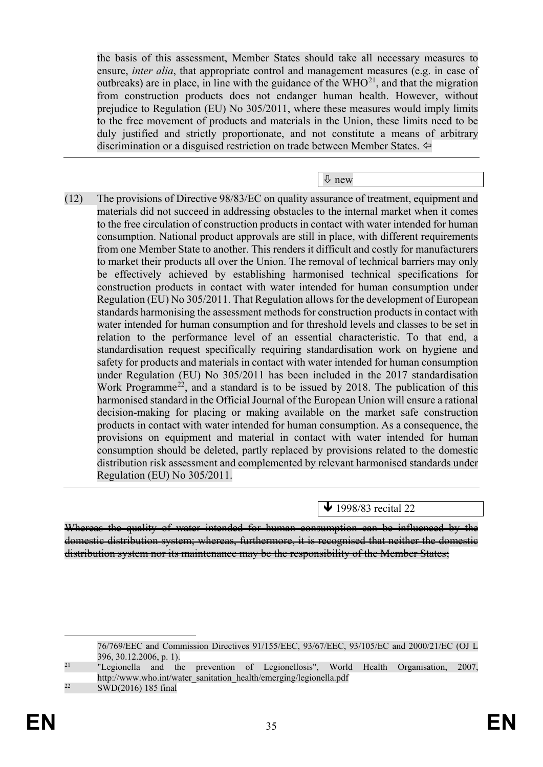the basis of this assessment, Member States should take all necessary measures to ensure, *inter alia*, that appropriate control and management measures (e.g. in case of outbreaks) are in place, in line with the guidance of the  $WHO^{21}$  $WHO^{21}$  $WHO^{21}$ , and that the migration from construction products does not endanger human health. However, without prejudice to Regulation (EU) No 305/2011, where these measures would imply limits to the free movement of products and materials in the Union, these limits need to be duly justified and strictly proportionate, and not constitute a means of arbitrary discrimination or a disguised restriction on trade between Member States.

new

(12) The provisions of Directive 98/83/EC on quality assurance of treatment, equipment and materials did not succeed in addressing obstacles to the internal market when it comes to the free circulation of construction products in contact with water intended for human consumption. National product approvals are still in place, with different requirements from one Member State to another. This renders it difficult and costly for manufacturers to market their products all over the Union. The removal of technical barriers may only be effectively achieved by establishing harmonised technical specifications for construction products in contact with water intended for human consumption under Regulation (EU) No 305/2011. That Regulation allows for the development of European standards harmonising the assessment methods for construction products in contact with water intended for human consumption and for threshold levels and classes to be set in relation to the performance level of an essential characteristic. To that end, a standardisation request specifically requiring standardisation work on hygiene and safety for products and materials in contact with water intended for human consumption under Regulation (EU) No 305/2011 has been included in the 2017 standardisation Work Programme<sup>22</sup>, and a standard is to be issued by 2018. The publication of this harmonised standard in the Official Journal of the European Union will ensure a rational decision-making for placing or making available on the market safe construction products in contact with water intended for human consumption. As a consequence, the provisions on equipment and material in contact with water intended for human consumption should be deleted, partly replaced by provisions related to the domestic distribution risk assessment and complemented by relevant harmonised standards under Regulation (EU) No 305/2011.

↓ 1998/83 recital 22

Whereas the quality of water intended for human consumption can be influenced by the domestic distribution system; whereas, furthermore, it is recognised that neither the domestic distribution system nor its maintenance may be the responsibility of the Member States;

 76/769/EEC and Commission Directives 91/155/EEC, 93/67/EEC, 93/105/EC and 2000/21/EC (OJ L 396, 30.12.2006, p. 1).

<span id="page-36-0"></span><sup>&</sup>lt;sup>21</sup> "Legionella and the prevention of Legionellosis", World Health Organisation, 2007, http://www.who.int/water\_sanitation\_health/emerging/legionella.pdf

<span id="page-36-1"></span> $22 \qquad \text{SWD}(2016)$  185 final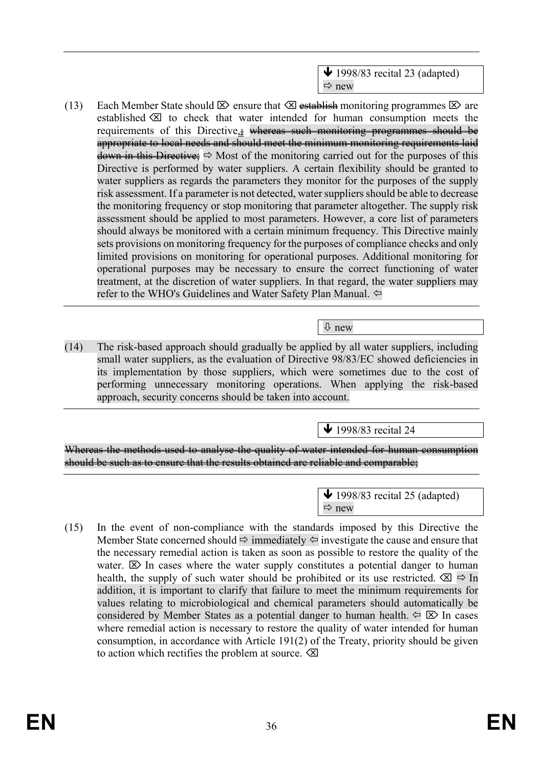

(13) Each Member State should  $\boxtimes$  ensure that  $\boxtimes$  establish monitoring programmes  $\boxtimes$  are established  $\otimes$  to check that water intended for human consumption meets the requirements of this Directive...; whereas such monitoring programmes should be appropriate to local needs and should meet the minimum monitoring requirements laid down in this Directive;  $\Rightarrow$  Most of the monitoring carried out for the purposes of this Directive is performed by water suppliers. A certain flexibility should be granted to water suppliers as regards the parameters they monitor for the purposes of the supply risk assessment. If a parameter is not detected, water suppliers should be able to decrease the monitoring frequency or stop monitoring that parameter altogether. The supply risk assessment should be applied to most parameters. However, a core list of parameters should always be monitored with a certain minimum frequency. This Directive mainly sets provisions on monitoring frequency for the purposes of compliance checks and only limited provisions on monitoring for operational purposes. Additional monitoring for operational purposes may be necessary to ensure the correct functioning of water treatment, at the discretion of water suppliers. In that regard, the water suppliers may refer to the WHO's Guidelines and Water Safety Plan Manual.

### new

(14) The risk-based approach should gradually be applied by all water suppliers, including small water suppliers, as the evaluation of Directive 98/83/EC showed deficiencies in its implementation by those suppliers, which were sometimes due to the cost of performing unnecessary monitoring operations. When applying the risk-based approach, security concerns should be taken into account.

 $\blacktriangleright$  1998/83 recital 24

Whereas the methods used to analyse the quality of water intended for human consumption should be such as to ensure that the results obtained are reliable and comparable;

> $\blacktriangleright$  1998/83 recital 25 (adapted)  $Arr$  new

(15) In the event of non-compliance with the standards imposed by this Directive the Member State concerned should  $\Rightarrow$  immediately  $\Leftrightarrow$  investigate the cause and ensure that the necessary remedial action is taken as soon as possible to restore the quality of the water.  $\boxtimes$  In cases where the water supply constitutes a potential danger to human health, the supply of such water should be prohibited or its use restricted.  $\otimes \mathbb{I}$   $\Rightarrow$  In addition, it is important to clarify that failure to meet the minimum requirements for values relating to microbiological and chemical parameters should automatically be considered by Member States as a potential danger to human health.  $\Leftarrow \boxtimes$  In cases where remedial action is necessary to restore the quality of water intended for human consumption, in accordance with Article 191(2) of the Treaty, priority should be given to action which rectifies the problem at source.  $\otimes$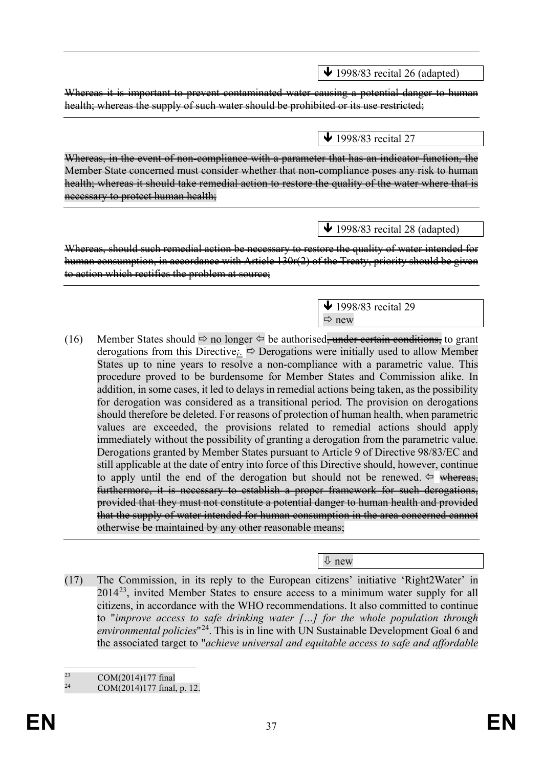$\bigvee$  1998/83 recital 26 (adapted)

Whereas it is important to prevent contaminated water causing a potential danger to human health; whereas the supply of such water should be prohibited or its use restricted;

 $\bigvee$  1998/83 recital 27

Whereas, in the event of non-compliance with a parameter that has an indicator function, the Member State concerned must consider whether that non-compliance poses any risk to human health; whereas it should take remedial action to restore the quality of the water where that is necessary to protect human health;

 $\bigvee$  1998/83 recital 28 (adapted)

Whereas, should such remedial action be necessary to restore the quality of water intended for human consumption, in accordance with Article 130r(2) of the Treaty, priority should be given to action which rectifies the problem at source;

> $\bigvee$  1998/83 recital 29  $\Rightarrow$  new

(16) Member States should  $\Rightarrow$  no longer  $\Leftrightarrow$  be authorised<del>, under certain conditions,</del> to grant derogations from this Directive<sub> $\dot{z}$ </sub>  $\Rightarrow$  Derogations were initially used to allow Member States up to nine years to resolve a non-compliance with a parametric value. This procedure proved to be burdensome for Member States and Commission alike. In addition, in some cases, it led to delays in remedial actions being taken, as the possibility for derogation was considered as a transitional period. The provision on derogations should therefore be deleted. For reasons of protection of human health, when parametric values are exceeded, the provisions related to remedial actions should apply immediately without the possibility of granting a derogation from the parametric value. Derogations granted by Member States pursuant to Article 9 of Directive 98/83/EC and still applicable at the date of entry into force of this Directive should, however, continue to apply until the end of the derogation but should not be renewed.  $\Leftrightarrow$  whereas, furthermore, it is necessary to establish a proper framework for such derogations, provided that they must not constitute a potential danger to human health and provided that the supply of water intended for human consumption in the area concerned cannot otherwise be maintained by any other reasonable means;

new

(17) The Commission, in its reply to the European citizens' initiative 'Right2Water' in  $2014^{23}$ , invited Member States to ensure access to a minimum water supply for all citizens, in accordance with the WHO recommendations. It also committed to continue to "*improve access to safe drinking water […] for the whole population through environmental policies*"[24](#page-38-1). This is in line with UN Sustainable Development Goal 6 and the associated target to "*achieve universal and equitable access to safe and affordable* 

 $23$  COM(2014)177 final<br>  $24$  COM(2014)177 final

<span id="page-38-1"></span><span id="page-38-0"></span>COM(2014)177 final, p. 12.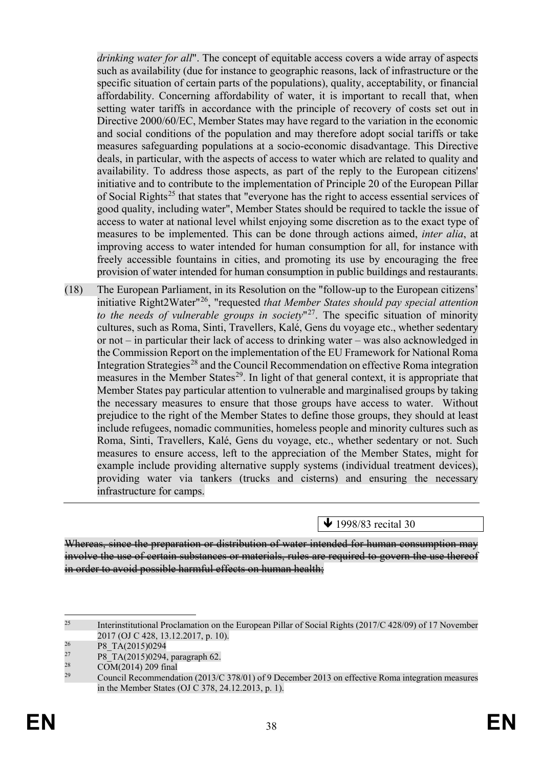*drinking water for all*". The concept of equitable access covers a wide array of aspects such as availability (due for instance to geographic reasons, lack of infrastructure or the specific situation of certain parts of the populations), quality, acceptability, or financial affordability. Concerning affordability of water, it is important to recall that, when setting water tariffs in accordance with the principle of recovery of costs set out in Directive 2000/60/EC, Member States may have regard to the variation in the economic and social conditions of the population and may therefore adopt social tariffs or take measures safeguarding populations at a socio-economic disadvantage. This Directive deals, in particular, with the aspects of access to water which are related to quality and availability. To address those aspects, as part of the reply to the European citizens' initiative and to contribute to the implementation of Principle 20 of the European Pillar of Social Rights<sup>[25](#page-39-0)</sup> that states that "everyone has the right to access essential services of good quality, including water", Member States should be required to tackle the issue of access to water at national level whilst enjoying some discretion as to the exact type of measures to be implemented. This can be done through actions aimed, *inter alia*, at improving access to water intended for human consumption for all, for instance with freely accessible fountains in cities, and promoting its use by encouraging the free provision of water intended for human consumption in public buildings and restaurants.

(18) The European Parliament, in its Resolution on the "follow-up to the European citizens' initiative Right2Water"[26](#page-39-1), "requested *that Member States should pay special attention to the needs of vulnerable groups in society*"[27.](#page-39-2) The specific situation of minority cultures, such as Roma, Sinti, Travellers, Kalé, Gens du voyage etc., whether sedentary or not – in particular their lack of access to drinking water – was also acknowledged in the Commission Report on the implementation of the EU Framework for National Roma Integration Strategies<sup>[28](#page-39-3)</sup> and the Council Recommendation on effective Roma integration measures in the Member States<sup>29</sup>. In light of that general context, it is appropriate that Member States pay particular attention to vulnerable and marginalised groups by taking the necessary measures to ensure that those groups have access to water. Without prejudice to the right of the Member States to define those groups, they should at least include refugees, nomadic communities, homeless people and minority cultures such as Roma, Sinti, Travellers, Kalé, Gens du voyage, etc., whether sedentary or not. Such measures to ensure access, left to the appreciation of the Member States, might for example include providing alternative supply systems (individual treatment devices), providing water via tankers (trucks and cisterns) and ensuring the necessary infrastructure for camps.

 $\bigvee$  1998/83 recital 30

Whereas, since the preparation or distribution of water intended for human consumption may involve the use of certain substances or materials, rules are required to govern the use thereof in order to avoid possible harmful effects on human health;

<span id="page-39-0"></span><sup>&</sup>lt;sup>25</sup> Interinstitutional Proclamation on the European Pillar of Social Rights (2017/C 428/09) of 17 November 2017 (OJ C 428, 13.12.2017, p. 10).<br>
<sup>26</sup> P8\_TA(2015)0294<br>
<sup>27</sup> P8\_TA(2015)0294 personab 62

<span id="page-39-2"></span><span id="page-39-1"></span><sup>&</sup>lt;sup>27</sup> P8\_TA(2015)0294, paragraph 62.<br>
COM(2014) 209 final

<span id="page-39-3"></span> $\frac{28}{29}$  COM(2014) 209 final

<span id="page-39-4"></span><sup>29</sup> Council Recommendation (2013/C 378/01) of 9 December 2013 on effective Roma integration measures in the Member States (OJ C 378, 24.12.2013, p. 1).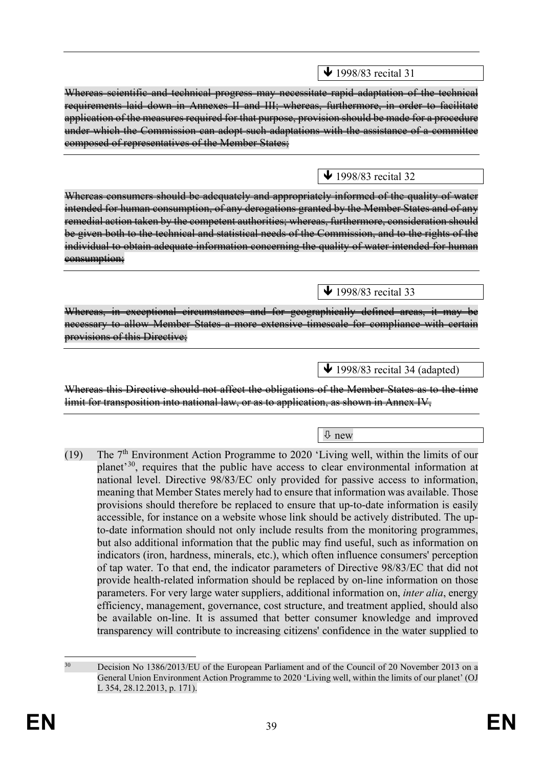$\bigvee$  1998/83 recital 31

Whereas scientific and technical progress may necessitate rapid adaptation of the technical requirements laid down in Annexes II and III; whereas, furthermore, in order to facilitate application of the measures required for that purpose, provision should be made for a procedure under which the Commission can adopt such adaptations with the assistance of a committee composed of representatives of the Member States;

 $\bigvee$  1998/83 recital 32

 $\bigvee$  1998/83 recital 33

Whereas consumers should be adequately and appropriately informed of the quality of water intended for human consumption, of any derogations granted by the Member States and of any remedial action taken by the competent authorities; whereas, furthermore, consideration should be given both to the technical and statistical needs of the Commission, and to the rights of the individual to obtain adequate information concerning the quality of water intended for human eonsumption;

Whereas, in exceptional circumstances and for geographically defined areas, it may be necessary to allow Member States a more extensive timescale for compliance with certain provisions of this Directive:

 $\bigvee$  1998/83 recital 34 (adapted)

Whereas this Directive should not affect the obligations of the Member States as to the time limit for transposition into national law, or as to application, as shown in Annex IV,

new

(19) The  $7<sup>th</sup>$  Environment Action Programme to 2020 'Living well, within the limits of our planet'[30](#page-40-0), requires that the public have access to clear environmental information at national level. Directive 98/83/EC only provided for passive access to information, meaning that Member States merely had to ensure that information was available. Those provisions should therefore be replaced to ensure that up-to-date information is easily accessible, for instance on a website whose link should be actively distributed. The upto-date information should not only include results from the monitoring programmes, but also additional information that the public may find useful, such as information on indicators (iron, hardness, minerals, etc.), which often influence consumers' perception of tap water. To that end, the indicator parameters of Directive 98/83/EC that did not provide health-related information should be replaced by on-line information on those parameters. For very large water suppliers, additional information on, *inter alia*, energy efficiency, management, governance, cost structure, and treatment applied, should also be available on-line. It is assumed that better consumer knowledge and improved transparency will contribute to increasing citizens' confidence in the water supplied to

<span id="page-40-0"></span><sup>&</sup>lt;sup>30</sup> Decision No 1386/2013/EU of the European Parliament and of the Council of 20 November 2013 on a General Union Environment Action Programme to 2020 'Living well, within the limits of our planet' (OJ L 354, 28.12.2013, p. 171).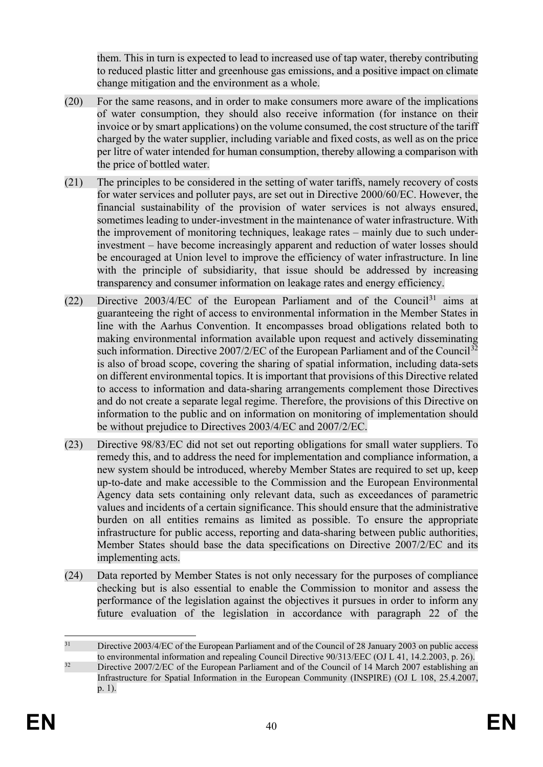them. This in turn is expected to lead to increased use of tap water, thereby contributing to reduced plastic litter and greenhouse gas emissions, and a positive impact on climate change mitigation and the environment as a whole.

- (20) For the same reasons, and in order to make consumers more aware of the implications of water consumption, they should also receive information (for instance on their invoice or by smart applications) on the volume consumed, the cost structure of the tariff charged by the water supplier, including variable and fixed costs, as well as on the price per litre of water intended for human consumption, thereby allowing a comparison with the price of bottled water.
- (21) The principles to be considered in the setting of water tariffs, namely recovery of costs for water services and polluter pays, are set out in Directive 2000/60/EC. However, the financial sustainability of the provision of water services is not always ensured, sometimes leading to under-investment in the maintenance of water infrastructure. With the improvement of monitoring techniques, leakage rates – mainly due to such underinvestment – have become increasingly apparent and reduction of water losses should be encouraged at Union level to improve the efficiency of water infrastructure. In line with the principle of subsidiarity, that issue should be addressed by increasing transparency and consumer information on leakage rates and energy efficiency.
- (22) Directive  $2003/4/EC$  of the European Parliament and of the Council<sup>[31](#page-41-0)</sup> aims at guaranteeing the right of access to environmental information in the Member States in line with the Aarhus Convention. It encompasses broad obligations related both to making environmental information available upon request and actively disseminating such information. Directive  $2007/2/EC$  of the European Parliament and of the Council<sup>[32](#page-41-1)</sup> is also of broad scope, covering the sharing of spatial information, including data-sets on different environmental topics. It is important that provisions of this Directive related to access to information and data-sharing arrangements complement those Directives and do not create a separate legal regime. Therefore, the provisions of this Directive on information to the public and on information on monitoring of implementation should be without prejudice to Directives 2003/4/EC and 2007/2/EC.
- (23) Directive 98/83/EC did not set out reporting obligations for small water suppliers. To remedy this, and to address the need for implementation and compliance information, a new system should be introduced, whereby Member States are required to set up, keep up-to-date and make accessible to the Commission and the European Environmental Agency data sets containing only relevant data, such as exceedances of parametric values and incidents of a certain significance. This should ensure that the administrative burden on all entities remains as limited as possible. To ensure the appropriate infrastructure for public access, reporting and data-sharing between public authorities, Member States should base the data specifications on Directive 2007/2/EC and its implementing acts.
- (24) Data reported by Member States is not only necessary for the purposes of compliance checking but is also essential to enable the Commission to monitor and assess the performance of the legislation against the objectives it pursues in order to inform any future evaluation of the legislation in accordance with paragraph 22 of the

<span id="page-41-0"></span><sup>&</sup>lt;sup>31</sup> Directive 2003/4/EC of the European Parliament and of the Council of 28 January 2003 on public access to environmental information and repealing Council Directive 90/313/EEC (OJ L 41, 14.2.2003, p. 26).

<span id="page-41-1"></span><sup>&</sup>lt;sup>32</sup> Directive 2007/2/EC of the European Parliament and of the Council of 14 March 2007 establishing an Infrastructure for Spatial Information in the European Community (INSPIRE) (OJ L 108, 25.4.2007, p. 1).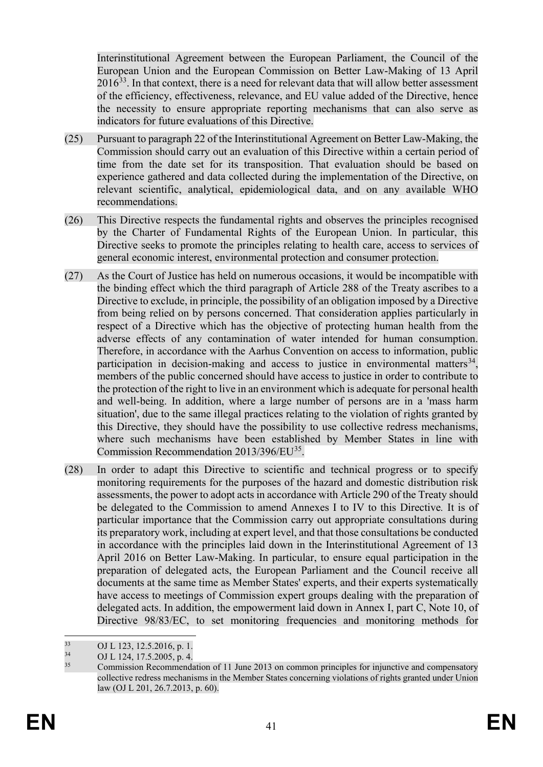Interinstitutional Agreement between the European Parliament, the Council of the European Union and the European Commission on Better Law-Making of 13 April  $2016<sup>33</sup>$ . In that context, there is a need for relevant data that will allow better assessment of the efficiency, effectiveness, relevance, and EU value added of the Directive, hence the necessity to ensure appropriate reporting mechanisms that can also serve as indicators for future evaluations of this Directive.

- (25) Pursuant to paragraph 22 of the Interinstitutional Agreement on Better Law-Making, the Commission should carry out an evaluation of this Directive within a certain period of time from the date set for its transposition. That evaluation should be based on experience gathered and data collected during the implementation of the Directive, on relevant scientific, analytical, epidemiological data, and on any available WHO recommendations.
- (26) This Directive respects the fundamental rights and observes the principles recognised by the Charter of Fundamental Rights of the European Union. In particular, this Directive seeks to promote the principles relating to health care, access to services of general economic interest, environmental protection and consumer protection.
- (27) As the Court of Justice has held on numerous occasions, it would be incompatible with the binding effect which the third paragraph of Article 288 of the Treaty ascribes to a Directive to exclude, in principle, the possibility of an obligation imposed by a Directive from being relied on by persons concerned. That consideration applies particularly in respect of a Directive which has the objective of protecting human health from the adverse effects of any contamination of water intended for human consumption. Therefore, in accordance with the Aarhus Convention on access to information, public participation in decision-making and access to justice in environmental matters<sup>34</sup>, members of the public concerned should have access to justice in order to contribute to the protection of the right to live in an environment which is adequate for personal health and well-being. In addition, where a large number of persons are in a 'mass harm situation', due to the same illegal practices relating to the violation of rights granted by this Directive, they should have the possibility to use collective redress mechanisms, where such mechanisms have been established by Member States in line with Commission Recommendation 2013/396/EU<sup>35</sup>.
- (28) In order to adapt this Directive to scientific and technical progress or to specify monitoring requirements for the purposes of the hazard and domestic distribution risk assessments, the power to adopt acts in accordance with Article 290 of the Treaty should be delegated to the Commission to amend Annexes I to IV to this Directive*.* It is of particular importance that the Commission carry out appropriate consultations during its preparatory work, including at expert level, and that those consultations be conducted in accordance with the principles laid down in the Interinstitutional Agreement of 13 April 2016 on Better Law-Making. In particular, to ensure equal participation in the preparation of delegated acts, the European Parliament and the Council receive all documents at the same time as Member States' experts, and their experts systematically have access to meetings of Commission expert groups dealing with the preparation of delegated acts. In addition, the empowerment laid down in Annex I, part C, Note 10, of Directive 98/83/EC, to set monitoring frequencies and monitoring methods for

<span id="page-42-1"></span><span id="page-42-0"></span><sup>33</sup> OJ L 123, 12.5.2016, p. 1.<br>
34 OJ L 124, 17.5.2005, p. 4.<br>
Commission Becommend

<span id="page-42-2"></span><sup>35</sup> Commission Recommendation of 11 June 2013 on common principles for injunctive and compensatory collective redress mechanisms in the Member States concerning violations of rights granted under Union law (OJ L 201, 26.7.2013, p. 60).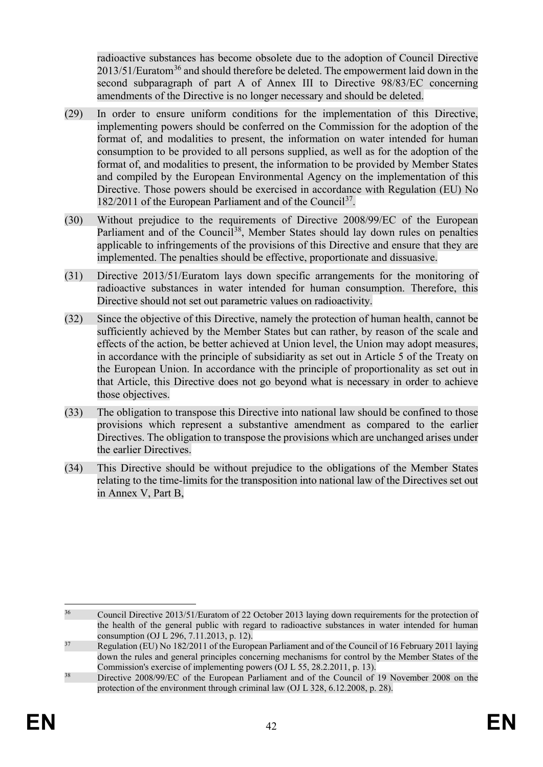radioactive substances has become obsolete due to the adoption of Council Directive  $2013/51/Eu$ ratom<sup>[36](#page-43-0)</sup> and should therefore be deleted. The empowerment laid down in the second subparagraph of part A of Annex III to Directive 98/83/EC concerning amendments of the Directive is no longer necessary and should be deleted.

- (29) In order to ensure uniform conditions for the implementation of this Directive, implementing powers should be conferred on the Commission for the adoption of the format of, and modalities to present, the information on water intended for human consumption to be provided to all persons supplied, as well as for the adoption of the format of, and modalities to present, the information to be provided by Member States and compiled by the European Environmental Agency on the implementation of this Directive. Those powers should be exercised in accordance with Regulation (EU) No 182/2011 of the European Parliament and of the Council<sup>37</sup>.
- (30) Without prejudice to the requirements of Directive 2008/99/EC of the European Parliament and of the Council<sup>38</sup>, Member States should lay down rules on penalties applicable to infringements of the provisions of this Directive and ensure that they are implemented. The penalties should be effective, proportionate and dissuasive.
- (31) Directive 2013/51/Euratom lays down specific arrangements for the monitoring of radioactive substances in water intended for human consumption. Therefore, this Directive should not set out parametric values on radioactivity.
- (32) Since the objective of this Directive, namely the protection of human health, cannot be sufficiently achieved by the Member States but can rather, by reason of the scale and effects of the action, be better achieved at Union level, the Union may adopt measures, in accordance with the principle of subsidiarity as set out in Article 5 of the Treaty on the European Union. In accordance with the principle of proportionality as set out in that Article, this Directive does not go beyond what is necessary in order to achieve those objectives.
- (33) The obligation to transpose this Directive into national law should be confined to those provisions which represent a substantive amendment as compared to the earlier Directives. The obligation to transpose the provisions which are unchanged arises under the earlier Directives.
- (34) This Directive should be without prejudice to the obligations of the Member States relating to the time-limits for the transposition into national law of the Directives set out in Annex V, Part B,

<span id="page-43-0"></span><sup>&</sup>lt;sup>36</sup> Council Directive 2013/51/Euratom of 22 October 2013 laying down requirements for the protection of the health of the general public with regard to radioactive substances in water intended for human consumption (OJ L 296, 7.11.2013, p. 12).

<span id="page-43-1"></span><sup>&</sup>lt;sup>37</sup> Regulation (EU) No 182/2011 of the European Parliament and of the Council of 16 February 2011 laying down the rules and general principles concerning mechanisms for control by the Member States of the Commission's exercise of implementing powers (OJ L 55, 28.2.2011, p. 13).

<span id="page-43-2"></span><sup>&</sup>lt;sup>38</sup> Directive 2008/99/EC of the European Parliament and of the Council of 19 November 2008 on the protection of the environment through criminal law (OJ L 328, 6.12.2008, p. 28).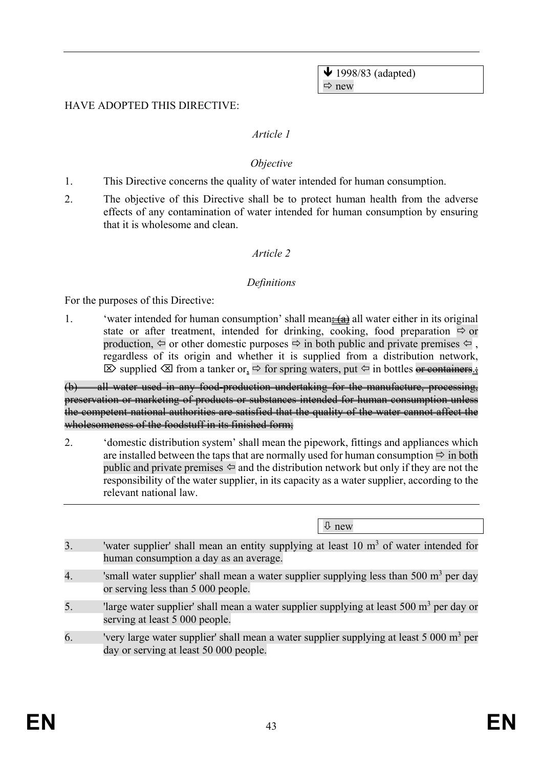$\blacklozenge$  1998/83 (adapted)  $\Rightarrow$  new

#### HAVE ADOPTED THIS DIRECTIVE:

#### *Article 1*

#### *Objective*

- 1. This Directive concerns the quality of water intended for human consumption.
- 2. The objective of this Directive shall be to protect human health from the adverse effects of any contamination of water intended for human consumption by ensuring that it is wholesome and clean.

#### *Article 2*

#### *Definitions*

For the purposes of this Directive:

1. 'water intended for human consumption' shall mean $\frac{1}{2}(a)$  all water either in its original state or after treatment, intended for drinking, cooking, food preparation  $\Rightarrow$  or production,  $\Leftarrow$  or other domestic purposes  $\Rightarrow$  in both public and private premises  $\Leftarrow$ . regardless of its origin and whether it is supplied from a distribution network,  $\boxtimes$  supplied  $\boxtimes$  from a tanker or,  $\Rightarrow$  for spring waters, put  $\Leftarrow$  in bottles or containers.

(b) all water used in any food-production undertaking for the manufacture, processing, preservation or marketing of products or substances intended for human consumption unless the competent national authorities are satisfied that the quality of the water cannot affect the wholesomeness of the foodstuff in its finished form;

2. 'domestic distribution system' shall mean the pipework, fittings and appliances which are installed between the taps that are normally used for human consumption  $\Rightarrow$  in both public and private premises  $\Leftarrow$  and the distribution network but only if they are not the responsibility of the water supplier, in its capacity as a water supplier, according to the relevant national law.

 $\theta$  new

- 3. 'water supplier' shall mean an entity supplying at least  $10 \text{ m}^3$  of water intended for human consumption a day as an average.
- 4. 'small water supplier' shall mean a water supplier supplying less than 500  $m<sup>3</sup>$  per day or serving less than 5 000 people.
- 5. 'large water supplier' shall mean a water supplier supplying at least  $500 \text{ m}^3$  per day or serving at least 5 000 people.
- 6. 'very large water supplier' shall mean a water supplier supplying at least  $5\,000\,\mathrm{m}^3$  per day or serving at least 50 000 people.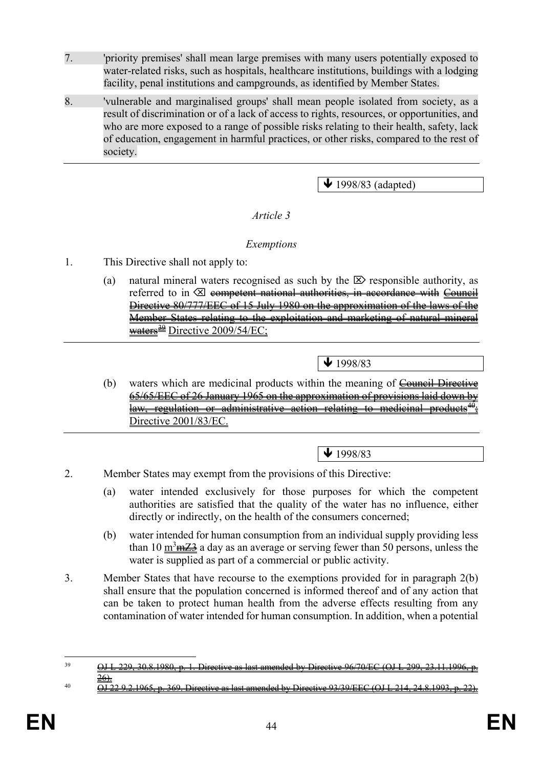- 7. 'priority premises' shall mean large premises with many users potentially exposed to water-related risks, such as hospitals, healthcare institutions, buildings with a lodging facility, penal institutions and campgrounds, as identified by Member States.
- 8. 'vulnerable and marginalised groups' shall mean people isolated from society, as a result of discrimination or of a lack of access to rights, resources, or opportunities, and who are more exposed to a range of possible risks relating to their health, safety, lack of education, engagement in harmful practices, or other risks, compared to the rest of society.

 $\blacklozenge$  1998/83 (adapted)

### *Article 3*

### *Exemptions*

- 1. This Directive shall not apply to:
	- (a) natural mineral waters recognised as such by the  $\boxtimes$  responsible authority, as referred to in  $\boxtimes$  competent national authorities, in accordance with Council Directive 80/777/EEC of 15 July 1980 on the approximation of the laws of the Member States relating to the exploitation and marketing of natural mineral  $\frac{29}{2009/54/EC}$

 $\bigvee$  1998/83

(b) waters which are medicinal products within the meaning of  $\overline{\text{Count}}$  Directive 65/65/EEC of 26 January 1965 on the approximation of provisions laid down by law, regulation or administrative action relating to medicinal products Directive 2001/83/EC.

### $\bigvee$  1998/83

- 2. Member States may exempt from the provisions of this Directive:
	- (a) water intended exclusively for those purposes for which the competent authorities are satisfied that the quality of the water has no influence, either directly or indirectly, on the health of the consumers concerned;
	- (b) water intended for human consumption from an individual supply providing less than 10  $\frac{\text{m}^3 \text{m} \text{Z} \cdot \text{A}}{2}$  a day as an average or serving fewer than 50 persons, unless the water is supplied as part of a commercial or public activity.
- 3. Member States that have recourse to the exemptions provided for in paragraph 2(b) shall ensure that the population concerned is informed thereof and of any action that can be taken to protect human health from the adverse effects resulting from any contamination of water intended for human consumption. In addition, when a potential

<span id="page-45-1"></span> $\frac{10}{\text{OJ}}$  22 9.2.1965, p. 369. Directive as last amended by Directive 93/39/EEC (OJ L 214, 24.8.1993, p. 22).

<span id="page-45-0"></span> $39$  OJ L 229, 30.8.1980, p. 1. Directive as last amended by Directive 96/70/EC (OJ L 299, 23.11.1996, p. <u>26).</u>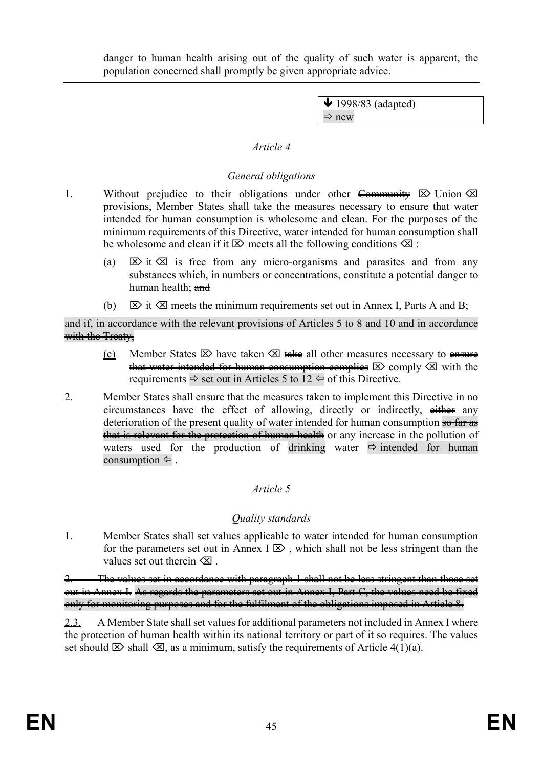danger to human health arising out of the quality of such water is apparent, the population concerned shall promptly be given appropriate advice.

> $\blacktriangleright$  1998/83 (adapted)  $Arr$  new

### *Article 4*

## *General obligations*

- 1. Without prejudice to their obligations under other Community  $\boxtimes$  Union  $\boxtimes$ provisions, Member States shall take the measures necessary to ensure that water intended for human consumption is wholesome and clean. For the purposes of the minimum requirements of this Directive, water intended for human consumption shall be wholesome and clean if it  $\boxtimes$  meets all the following conditions  $\boxtimes$ :
	- (a)  $\boxtimes$  it  $\boxtimes$  is free from any micro-organisms and parasites and from any substances which, in numbers or concentrations, constitute a potential danger to human health: and
	- (b)  $\boxtimes$  it  $\boxtimes$  meets the minimum requirements set out in Annex I, Parts A and B;

and if, in accordance with the relevant provisions of Articles 5 to 8 and 10 and in accordance with the Treaty-

- (c) Member States  $\boxtimes$  have taken  $\boxtimes$  take all other measures necessary to ensure that water intended for human consumption complies  $\boxtimes$  comply  $\boxtimes$  with the requirements  $\Rightarrow$  set out in Articles 5 to 12  $\Leftrightarrow$  of this Directive.
- 2. Member States shall ensure that the measures taken to implement this Directive in no circumstances have the effect of allowing, directly or indirectly, either any deterioration of the present quality of water intended for human consumption so far as that is relevant for the protection of human health or any increase in the pollution of waters used for the production of  $\frac{1}{\text{drinking}}$  water  $\Rightarrow$  intended for human consumption  $\Leftrightarrow$ .

# *Article 5*

# *Quality standards*

1. Member States shall set values applicable to water intended for human consumption for the parameters set out in Annex  $I \boxtimes$ , which shall not be less stringent than the values set out therein  $\otimes$ .

2. The values set in accordance with paragraph 1 shall not be less stringent than those set out in Annex I. As regards the parameters set out in Annex I, Part C, the values need be fixed only for monitoring purposes and for the fulfilment of the obligations imposed in Article 8.

2.<del>3.</del> A Member State shall set values for additional parameters not included in Annex I where the protection of human health within its national territory or part of it so requires. The values set should  $\boxtimes$  shall  $\boxtimes$ , as a minimum, satisfy the requirements of Article 4(1)(a).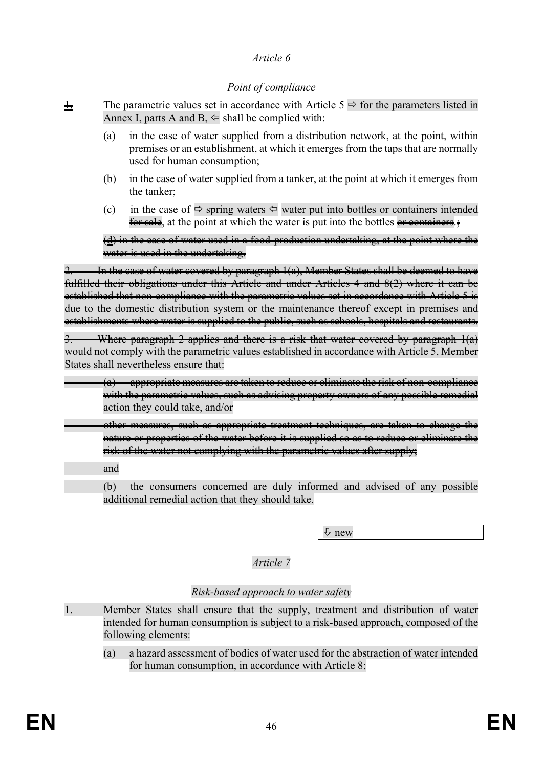### *Article 6*

### *Point of compliance*

- $\frac{1}{2}$  The parametric values set in accordance with Article 5  $\Rightarrow$  for the parameters listed in Annex I, parts A and B,  $\Leftrightarrow$  shall be complied with:
	- (a) in the case of water supplied from a distribution network, at the point, within premises or an establishment, at which it emerges from the taps that are normally used for human consumption;
	- (b) in the case of water supplied from a tanker, at the point at which it emerges from the tanker;
	- (c) in the case of  $\Rightarrow$  spring waters  $\Leftrightarrow$  water put into bottles or containers intended for sale, at the point at which the water is put into the bottles or containers.

(d) in the case of water used in a food-production undertaking, at the point where the water is used in the undertaking.

In the case of water covered by paragraph  $1(a)$ , Member States shall be deemed to have fulfilled their obligations under this Article and under Articles 4 and 8(2) where it can be established that non-compliance with the parametric values set in accordance with Article 5 is due to the domestic distribution system or the maintenance thereof except in premises and establishments where water is supplied to the public, such as schools, hospitals and restaurants.

Where paragraph 2 applies and there is a risk that water covered by paragraph  $1(a)$ would not comply with the parametric values established in accordance with Article 5, Member States shall nevertheless ensure that:

(a) appropriate measures are taken to reduce or eliminate the risk of non-compliance with the parametric values, such as advising property owners of any possible remedial action they could take, and/or

other measures, such as appropriate treatment techniques, are taken to change the nature or properties of the water before it is supplied so as to reduce or eliminate the risk of the water not complying with the parametric values after supply;

and

(b) the consumers concerned are duly informed and advised of any possible additional remedial action that they should take.

new

### *Article 7*

### *Risk-based approach to water safety*

- 1. Member States shall ensure that the supply, treatment and distribution of water intended for human consumption is subject to a risk-based approach, composed of the following elements:
	- (a) a hazard assessment of bodies of water used for the abstraction of water intended for human consumption, in accordance with Article 8;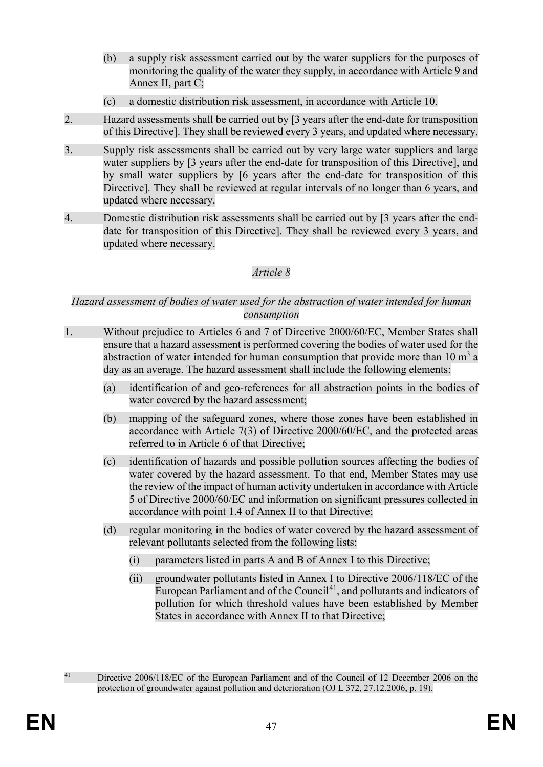- (b) a supply risk assessment carried out by the water suppliers for the purposes of monitoring the quality of the water they supply, in accordance with Article 9 and Annex II, part C;
- (c) a domestic distribution risk assessment, in accordance with Article 10.
- 2. Hazard assessments shall be carried out by [3 years after the end-date for transposition of this Directive]. They shall be reviewed every 3 years, and updated where necessary.
- 3. Supply risk assessments shall be carried out by very large water suppliers and large water suppliers by [3 years after the end-date for transposition of this Directive], and by small water suppliers by [6 years after the end-date for transposition of this Directive]. They shall be reviewed at regular intervals of no longer than 6 years, and updated where necessary.
- 4. Domestic distribution risk assessments shall be carried out by [3 years after the enddate for transposition of this Directive]. They shall be reviewed every 3 years, and updated where necessary.

# *Article 8*

### *Hazard assessment of bodies of water used for the abstraction of water intended for human consumption*

- 1. Without prejudice to Articles 6 and 7 of Directive 2000/60/EC, Member States shall ensure that a hazard assessment is performed covering the bodies of water used for the abstraction of water intended for human consumption that provide more than  $10 \text{ m}^3$  a day as an average. The hazard assessment shall include the following elements:
	- (a) identification of and geo-references for all abstraction points in the bodies of water covered by the hazard assessment;
	- (b) mapping of the safeguard zones, where those zones have been established in accordance with Article 7(3) of Directive 2000/60/EC, and the protected areas referred to in Article 6 of that Directive;
	- (c) identification of hazards and possible pollution sources affecting the bodies of water covered by the hazard assessment. To that end, Member States may use the review of the impact of human activity undertaken in accordance with Article 5 of Directive 2000/60/EC and information on significant pressures collected in accordance with point 1.4 of Annex II to that Directive;
	- (d) regular monitoring in the bodies of water covered by the hazard assessment of relevant pollutants selected from the following lists:
		- (i) parameters listed in parts A and B of Annex I to this Directive;
		- (ii) groundwater pollutants listed in Annex I to Directive 2006/118/EC of the European Parliament and of the Council<sup>[41](#page-48-0)</sup>, and pollutants and indicators of pollution for which threshold values have been established by Member States in accordance with Annex II to that Directive;

<span id="page-48-0"></span><sup>&</sup>lt;sup>41</sup> Directive 2006/118/EC of the European Parliament and of the Council of 12 December 2006 on the protection of groundwater against pollution and deterioration (OJ L 372, 27.12.2006, p. 19).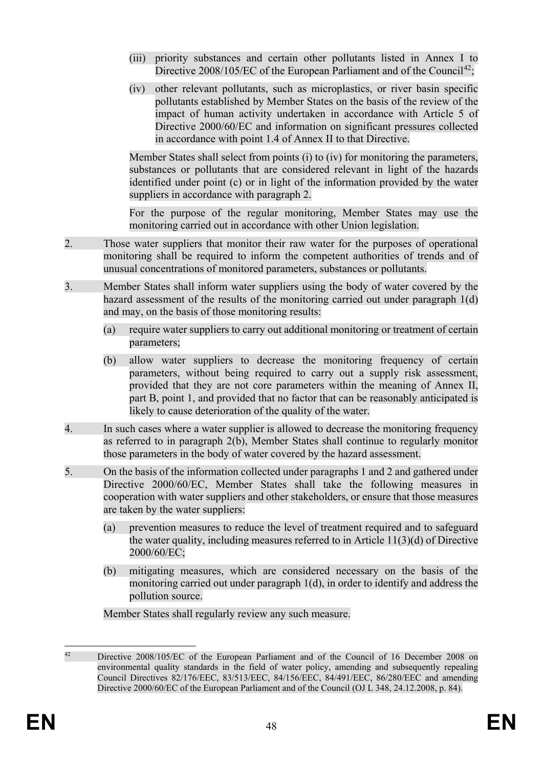- (iii) priority substances and certain other pollutants listed in Annex I to Directive  $2008/105/EC$  of the European Parliament and of the Council<sup>42</sup>;
- (iv) other relevant pollutants, such as microplastics, or river basin specific pollutants established by Member States on the basis of the review of the impact of human activity undertaken in accordance with Article 5 of Directive 2000/60/EC and information on significant pressures collected in accordance with point 1.4 of Annex II to that Directive.

Member States shall select from points (i) to (iv) for monitoring the parameters, substances or pollutants that are considered relevant in light of the hazards identified under point (c) or in light of the information provided by the water suppliers in accordance with paragraph 2.

For the purpose of the regular monitoring, Member States may use the monitoring carried out in accordance with other Union legislation.

- 2. Those water suppliers that monitor their raw water for the purposes of operational monitoring shall be required to inform the competent authorities of trends and of unusual concentrations of monitored parameters, substances or pollutants.
- 3. Member States shall inform water suppliers using the body of water covered by the hazard assessment of the results of the monitoring carried out under paragraph 1(d) and may, on the basis of those monitoring results:
	- (a) require water suppliers to carry out additional monitoring or treatment of certain parameters;
	- (b) allow water suppliers to decrease the monitoring frequency of certain parameters, without being required to carry out a supply risk assessment, provided that they are not core parameters within the meaning of Annex II, part B, point 1, and provided that no factor that can be reasonably anticipated is likely to cause deterioration of the quality of the water.
- 4. In such cases where a water supplier is allowed to decrease the monitoring frequency as referred to in paragraph 2(b), Member States shall continue to regularly monitor those parameters in the body of water covered by the hazard assessment.
- 5. On the basis of the information collected under paragraphs 1 and 2 and gathered under Directive 2000/60/EC, Member States shall take the following measures in cooperation with water suppliers and other stakeholders, or ensure that those measures are taken by the water suppliers:
	- (a) prevention measures to reduce the level of treatment required and to safeguard the water quality, including measures referred to in Article 11(3)(d) of Directive 2000/60/EC;
	- (b) mitigating measures, which are considered necessary on the basis of the monitoring carried out under paragraph 1(d), in order to identify and address the pollution source.

Member States shall regularly review any such measure.

<span id="page-49-0"></span><sup>&</sup>lt;sup>42</sup> Directive 2008/105/EC of the European Parliament and of the Council of 16 December 2008 on environmental quality standards in the field of water policy, amending and subsequently repealing Council Directives 82/176/EEC, 83/513/EEC, 84/156/EEC, 84/491/EEC, 86/280/EEC and amending Directive 2000/60/EC of the European Parliament and of the Council (OJ L 348, 24.12.2008, p. 84).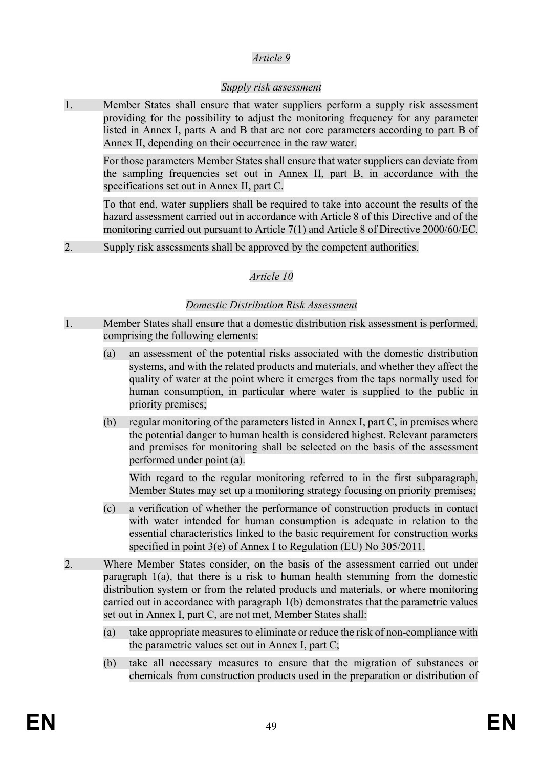### *Article 9*

### *Supply risk assessment*

1. Member States shall ensure that water suppliers perform a supply risk assessment providing for the possibility to adjust the monitoring frequency for any parameter listed in Annex I, parts A and B that are not core parameters according to part B of Annex II, depending on their occurrence in the raw water.

For those parameters Member States shall ensure that water suppliers can deviate from the sampling frequencies set out in Annex II, part B, in accordance with the specifications set out in Annex II, part C.

To that end, water suppliers shall be required to take into account the results of the hazard assessment carried out in accordance with Article 8 of this Directive and of the monitoring carried out pursuant to Article 7(1) and Article 8 of Directive 2000/60/EC.

2. Supply risk assessments shall be approved by the competent authorities.

# *Article 10*

### *Domestic Distribution Risk Assessment*

- 1. Member States shall ensure that a domestic distribution risk assessment is performed, comprising the following elements:
	- (a) an assessment of the potential risks associated with the domestic distribution systems, and with the related products and materials, and whether they affect the quality of water at the point where it emerges from the taps normally used for human consumption, in particular where water is supplied to the public in priority premises;
	- (b) regular monitoring of the parameters listed in Annex I, part C, in premises where the potential danger to human health is considered highest. Relevant parameters and premises for monitoring shall be selected on the basis of the assessment performed under point (a).

With regard to the regular monitoring referred to in the first subparagraph, Member States may set up a monitoring strategy focusing on priority premises;

- (c) a verification of whether the performance of construction products in contact with water intended for human consumption is adequate in relation to the essential characteristics linked to the basic requirement for construction works specified in point 3(e) of Annex I to Regulation (EU) No 305/2011.
- 2. Where Member States consider, on the basis of the assessment carried out under paragraph 1(a), that there is a risk to human health stemming from the domestic distribution system or from the related products and materials, or where monitoring carried out in accordance with paragraph 1(b) demonstrates that the parametric values set out in Annex I, part C, are not met, Member States shall:
	- (a) take appropriate measures to eliminate or reduce the risk of non-compliance with the parametric values set out in Annex I, part C;
	- (b) take all necessary measures to ensure that the migration of substances or chemicals from construction products used in the preparation or distribution of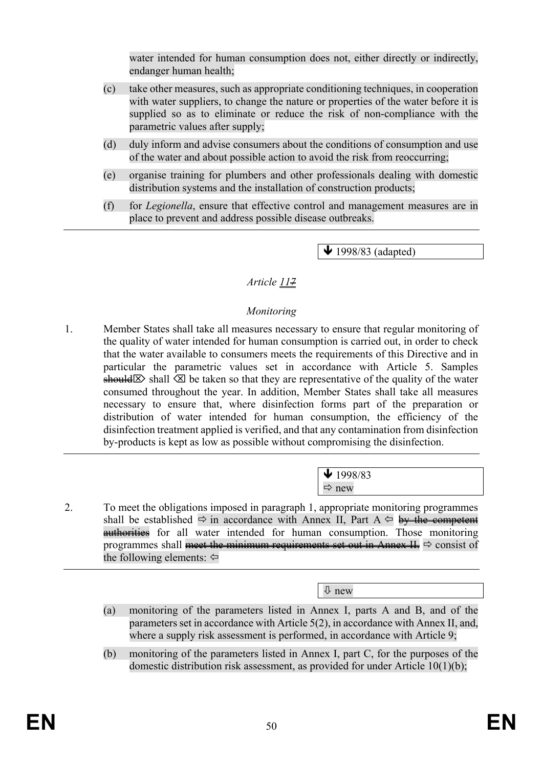water intended for human consumption does not, either directly or indirectly. endanger human health;

- (c) take other measures, such as appropriate conditioning techniques, in cooperation with water suppliers, to change the nature or properties of the water before it is supplied so as to eliminate or reduce the risk of non-compliance with the parametric values after supply;
- (d) duly inform and advise consumers about the conditions of consumption and use of the water and about possible action to avoid the risk from reoccurring;
- (e) organise training for plumbers and other professionals dealing with domestic distribution systems and the installation of construction products;
- (f) for *Legionella*, ensure that effective control and management measures are in place to prevent and address possible disease outbreaks.

 $\blacktriangleright$  1998/83 (adapted)

### *Article 117*

### *Monitoring*

1. Member States shall take all measures necessary to ensure that regular monitoring of the quality of water intended for human consumption is carried out, in order to check that the water available to consumers meets the requirements of this Directive and in particular the parametric values set in accordance with Article 5. Samples should  $\boxtimes$  shall  $\boxtimes$  be taken so that they are representative of the quality of the water consumed throughout the year. In addition, Member States shall take all measures necessary to ensure that, where disinfection forms part of the preparation or distribution of water intended for human consumption, the efficiency of the disinfection treatment applied is verified, and that any contamination from disinfection by-products is kept as low as possible without compromising the disinfection.

> $\bigvee$  1998/83  $\Rightarrow$  new

2. To meet the obligations imposed in paragraph 1, appropriate monitoring programmes shall be established  $\Rightarrow$  in accordance with Annex II, Part A  $\Leftrightarrow$  by the competent **authorities** for all water intended for human consumption. Those monitoring programmes shall meet the minimum requirements set out in Annex II.  $\Rightarrow$  consist of the following elements:  $\Leftrightarrow$ 

new

- (a) monitoring of the parameters listed in Annex I, parts A and B, and of the parameters set in accordance with Article 5(2), in accordance with Annex II, and, where a supply risk assessment is performed, in accordance with Article 9;
- (b) monitoring of the parameters listed in Annex I, part C, for the purposes of the domestic distribution risk assessment, as provided for under Article 10(1)(b);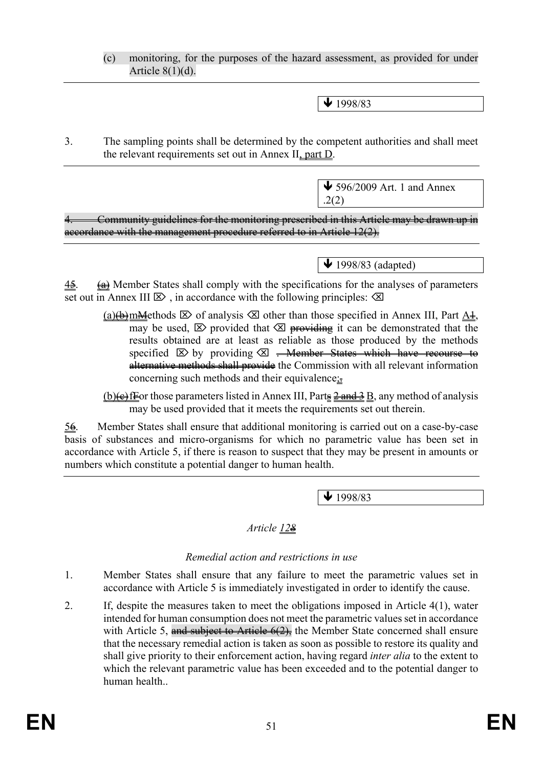(c) monitoring, for the purposes of the hazard assessment, as provided for under Article  $8(1)(d)$ .

 $\blacktriangleright$  1998/83

3. The sampling points shall be determined by the competent authorities and shall meet the relevant requirements set out in Annex II, part D.

> $\bigvee$  596/2009 Art. 1 and Annex .2(2)

4. Community guidelines for the monitoring prescribed in this Article may be drawn up in accordance with the management procedure referred to in Article 12(2).

 $\bigvee$  1998/83 (adapted)

 $4\frac{2}{3}$ . (a) Member States shall comply with the specifications for the analyses of parameters set out in Annex III  $\boxtimes$ , in accordance with the following principles:  $\boxtimes$ 

(a)(b)mMethods  $\boxtimes$  of analysis  $\boxtimes$  other than those specified in Annex III, Part  $A\pm$ , may be used,  $\boxtimes$  provided that  $\boxtimes$  providing it can be demonstrated that the results obtained are at least as reliable as those produced by the methods specified  $\boxtimes$  by providing  $\boxtimes$  -Member States which have recourse to alternative methods shall provide the Commission with all relevant information concerning such methods and their equivalence;

(b) $\leftrightarrow$  fFor those parameters listed in Annex III, Parts  $\frac{2 \text{ and } 3}{2}$  B, any method of analysis may be used provided that it meets the requirements set out therein.

 $56.$  Member States shall ensure that additional monitoring is carried out on a case-by-case basis of substances and micro-organisms for which no parametric value has been set in accordance with Article 5, if there is reason to suspect that they may be present in amounts or numbers which constitute a potential danger to human health.

 $\sqrt{1998/83}$ 

### *Article 128*

#### *Remedial action and restrictions in use*

- 1. Member States shall ensure that any failure to meet the parametric values set in accordance with Article 5 is immediately investigated in order to identify the cause.
- 2. If, despite the measures taken to meet the obligations imposed in Article 4(1), water intended for human consumption does not meet the parametric values set in accordance with Article 5, and subject to Article  $6(2)$ , the Member State concerned shall ensure that the necessary remedial action is taken as soon as possible to restore its quality and shall give priority to their enforcement action, having regard *inter alia* to the extent to which the relevant parametric value has been exceeded and to the potential danger to human health..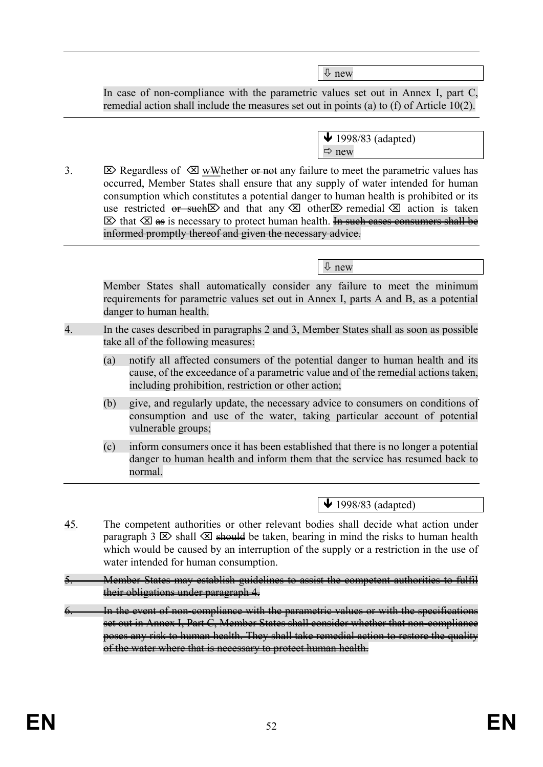new

In case of non-compliance with the parametric values set out in Annex I, part C, remedial action shall include the measures set out in points (a) to (f) of Article 10(2).

- $\bigvee$  1998/83 (adapted)  $\Rightarrow$  new
- 3.  $\boxtimes$  Regardless of  $\boxtimes$  wWhether or not any failure to meet the parametric values has occurred, Member States shall ensure that any supply of water intended for human consumption which constitutes a potential danger to human health is prohibited or its use restricted  $\overline{or}$  such  $\boxtimes$  and that any  $\boxtimes$  other  $\boxtimes$  remedial  $\boxtimes$  action is taken  $\triangleright$  that  $\triangleright$  as is necessary to protect human health. In such cases consumers shall be informed promptly thereof and given the necessary advice.

Member States shall automatically consider any failure to meet the minimum requirements for parametric values set out in Annex I, parts A and B, as a potential danger to human health.

- 4. In the cases described in paragraphs 2 and 3, Member States shall as soon as possible take all of the following measures:
	- (a) notify all affected consumers of the potential danger to human health and its cause, of the exceedance of a parametric value and of the remedial actions taken, including prohibition, restriction or other action;
	- (b) give, and regularly update, the necessary advice to consumers on conditions of consumption and use of the water, taking particular account of potential vulnerable groups;
	- (c) inform consumers once it has been established that there is no longer a potential danger to human health and inform them that the service has resumed back to normal.

 $\bigvee$  1998/83 (adapted)

- 45. The competent authorities or other relevant bodies shall decide what action under paragraph 3  $\boxtimes$  shall  $\boxtimes$  should be taken, bearing in mind the risks to human health which would be caused by an interruption of the supply or a restriction in the use of water intended for human consumption.
- 5. Member States may establish guidelines to assist the competent authorities to fulfil their obligations under paragraph 4.
- In the event of non-compliance with the parametric values or with the specifications set out in Annex I, Part C, Member States shall consider whether that non-compliance poses any risk to human health. They shall take remedial action to restore the quality of the water where that is necessary to protect human health.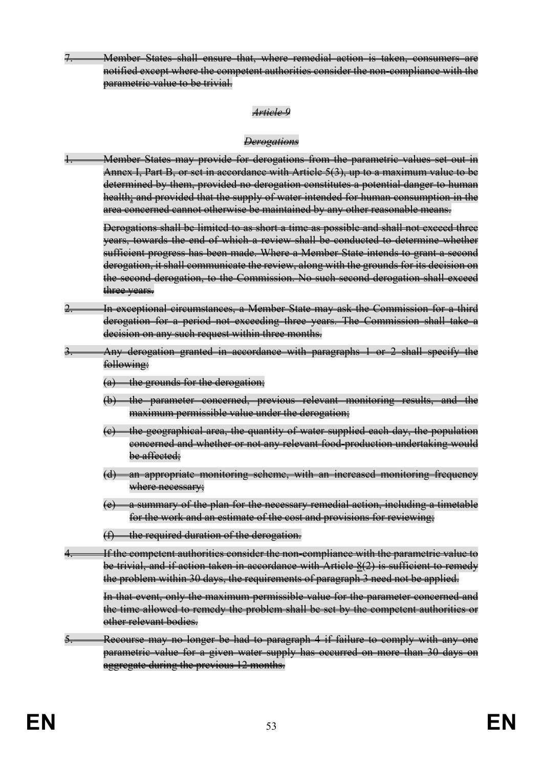7. Member States shall ensure that, where remedial action is taken, consumers are notified except where the competent authorities consider the non-compliance with the parametric value to be trivial.

#### *Article 9*

#### *Derogations*

Member States may provide for derogations from the parametric values set out in Annex I, Part B, or set in accordance with Article 5(3), up to a maximum value to be determined by them, provided no derogation constitutes a potential danger to human health; and provided that the supply of water intended for human consumption in the area concerned cannot otherwise be maintained by any other reasonable means.

Derogations shall be limited to as short a time as possible and shall not exceed three years, towards the end of which a review shall be conducted to determine whether sufficient progress has been made. Where a Member State intends to grant a second derogation, it shall communicate the review, along with the grounds for its decision on the second derogation, to the Commission. No such second derogation shall exceed three vears.

- In exceptional circumstances, a Member State may ask the Commission for a third derogation for a period not exceeding three years. The Commission shall take a decision on any such request within three months.
- **3. Any derogation granted in accordance with paragraphs 1 or 2 shall specify the** following:
	- $(a)$  the grounds for the derogation;
	- (b) the parameter concerned, previous relevant monitoring results, and the maximum permissible value under the derogation;
	- (c) the geographical area, the quantity of water supplied each day, the population concerned and whether or not any relevant food-production undertaking would be affected;
	- (d) an appropriate monitoring scheme, with an increased monitoring frequency where necessary;
	- (e) a summary of the plan for the necessary remedial action, including a timetable for the work and an estimate of the cost and provisions for reviewing;
	- $(f)$  the required duration of the derogation.
- 4. If the competent authorities consider the non-compliance with the parametric value to be trivial, and if action taken in accordance with Article 8(2) is sufficient to remedy the problem within 30 days, the requirements of paragraph 3 need not be applied.

In that event, only the maximum permissible value for the parameter concerned and the time allowed to remedy the problem shall be set by the competent authorities or other relevant bodies.

Recourse may no longer be had to paragraph 4 if failure to comply with any one parametric value for a given water supply has occurred on more than 30 days on aggregate during the previous 12 months.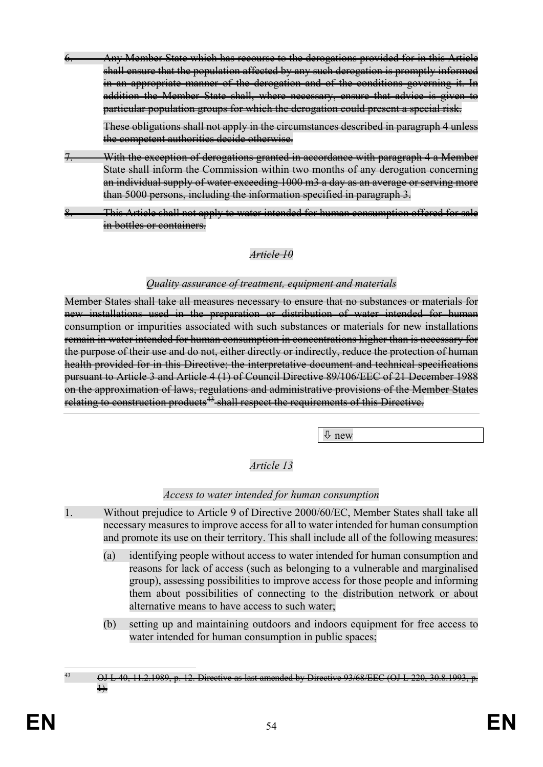6. Any Member State which has recourse to the derogations provided for in this Article shall ensure that the population affected by any such derogation is promptly informed in an appropriate manner of the derogation and of the conditions governing it. In addition the Member State shall, where necessary, ensure that advice is given to particular population groups for which the derogation could present a special risk.

These obligations shall not apply in the circumstances described in paragraph 4 unless the competent authorities decide otherwise.

- With the exception of derogations granted in accordance with paragraph 4 a Member State shall inform the Commission within two months of any derogation concerning an individual supply of water exceeding 1000 m3 a day as an average or serving more than 5000 persons, including the information specified in paragraph 3.
- This Article shall not apply to water intended for human consumption offered for sale in bottles or containers.

#### *Article 10*

#### *Quality assurance of treatment, equipment and materials*

Member States shall take all measures necessary to ensure that no substances or materials for new installations used in the preparation or distribution of water intended for human consumption or impurities associated with such substances or materials for new installations remain in water intended for human consumption in concentrations higher than is necessary for the purpose of their use and do not, either directly or indirectly, reduce the protection of human health provided for in this Directive; the interpretative document and technical specifications pursuant to Article 3 and Article 4 (1) of Council Directive 89/106/EEC of 21 December 1988 on the approximation of laws, regulations and administrative provisions of the Member States relating to construction products<sup>[43](#page-55-0)</sup> shall respect the requirements of this Directive.

 $\sqrt{2}$  new

# *Article 13*

### *Access to water intended for human consumption*

- 1. Without prejudice to Article 9 of Directive 2000/60/EC, Member States shall take all necessary measures to improve access for all to water intended for human consumption and promote its use on their territory. This shall include all of the following measures:
	- (a) identifying people without access to water intended for human consumption and reasons for lack of access (such as belonging to a vulnerable and marginalised group), assessing possibilities to improve access for those people and informing them about possibilities of connecting to the distribution network or about alternative means to have access to such water;
	- (b) setting up and maintaining outdoors and indoors equipment for free access to water intended for human consumption in public spaces;

<span id="page-55-0"></span> $^{43}$  OJ L 40, 11.2.1989, p. 12. Directive as last amended by Directive 93/68/EEC (OJ L 220, 30.8.1993, p.  $\rightarrow$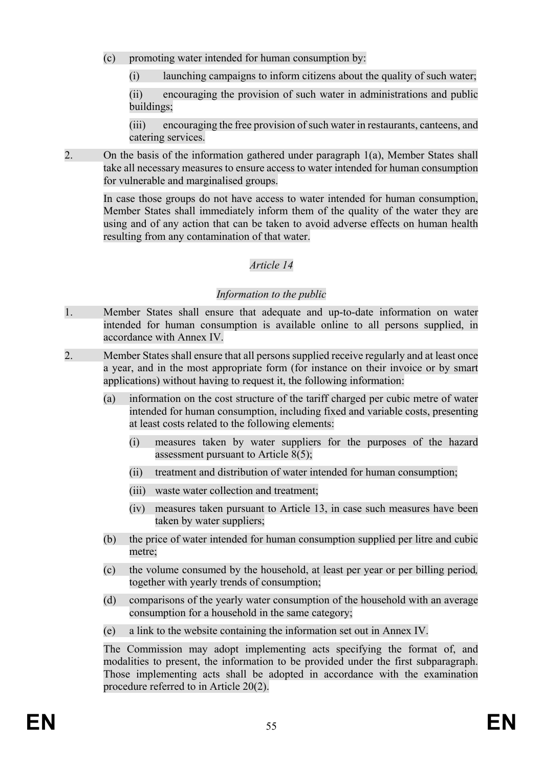- (c) promoting water intended for human consumption by:
	- (i) launching campaigns to inform citizens about the quality of such water;

(ii) encouraging the provision of such water in administrations and public buildings;

(iii) encouraging the free provision of such water in restaurants, canteens, and catering services.

2. On the basis of the information gathered under paragraph 1(a), Member States shall take all necessary measures to ensure access to water intended for human consumption for vulnerable and marginalised groups.

In case those groups do not have access to water intended for human consumption, Member States shall immediately inform them of the quality of the water they are using and of any action that can be taken to avoid adverse effects on human health resulting from any contamination of that water.

# *Article 14*

### *Information to the public*

- 1. Member States shall ensure that adequate and up-to-date information on water intended for human consumption is available online to all persons supplied, in accordance with Annex IV.
- 2. Member States shall ensure that all persons supplied receive regularly and at least once a year, and in the most appropriate form (for instance on their invoice or by smart applications) without having to request it, the following information:
	- (a) information on the cost structure of the tariff charged per cubic metre of water intended for human consumption, including fixed and variable costs, presenting at least costs related to the following elements:
		- (i) measures taken by water suppliers for the purposes of the hazard assessment pursuant to Article 8(5);
		- (ii) treatment and distribution of water intended for human consumption;
		- (iii) waste water collection and treatment;
		- (iv) measures taken pursuant to Article 13, in case such measures have been taken by water suppliers;
	- (b) the price of water intended for human consumption supplied per litre and cubic metre;
	- (c) the volume consumed by the household, at least per year or per billing period*,*  together with yearly trends of consumption;
	- (d) comparisons of the yearly water consumption of the household with an average consumption for a household in the same category;
	- (e) a link to the website containing the information set out in Annex IV.

The Commission may adopt implementing acts specifying the format of, and modalities to present, the information to be provided under the first subparagraph. Those implementing acts shall be adopted in accordance with the examination procedure referred to in Article 20(2).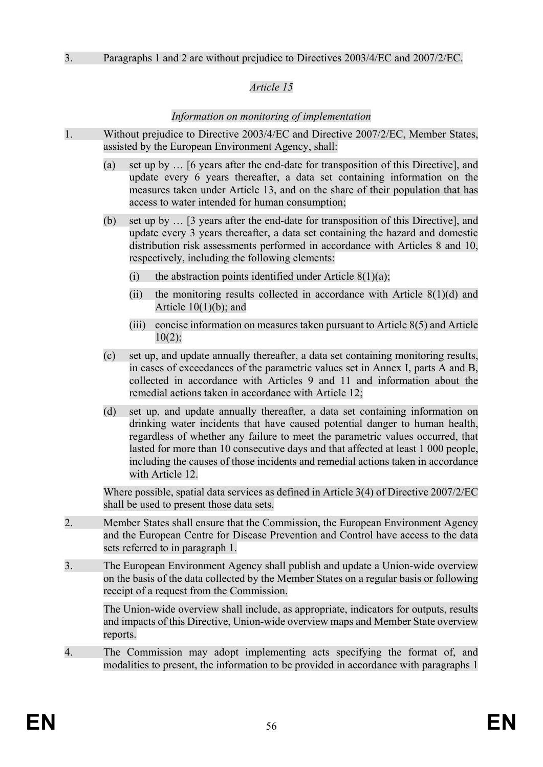## *Article 15*

### *Information on monitoring of implementation*

- 1. Without prejudice to Directive 2003/4/EC and Directive 2007/2/EC, Member States, assisted by the European Environment Agency, shall:
	- (a) set up by … [6 years after the end-date for transposition of this Directive], and update every 6 years thereafter, a data set containing information on the measures taken under Article 13, and on the share of their population that has access to water intended for human consumption;
	- (b) set up by … [3 years after the end-date for transposition of this Directive], and update every 3 years thereafter, a data set containing the hazard and domestic distribution risk assessments performed in accordance with Articles 8 and 10, respectively, including the following elements:
		- (i) the abstraction points identified under Article  $8(1)(a)$ ;
		- (ii) the monitoring results collected in accordance with Article  $8(1)(d)$  and Article 10(1)(b); and
		- (iii) concise information on measures taken pursuant to Article 8(5) and Article  $10(2)$
	- (c) set up, and update annually thereafter, a data set containing monitoring results, in cases of exceedances of the parametric values set in Annex I, parts A and B, collected in accordance with Articles 9 and 11 and information about the remedial actions taken in accordance with Article 12;
	- (d) set up, and update annually thereafter, a data set containing information on drinking water incidents that have caused potential danger to human health, regardless of whether any failure to meet the parametric values occurred, that lasted for more than 10 consecutive days and that affected at least 1 000 people, including the causes of those incidents and remedial actions taken in accordance with Article 12

Where possible, spatial data services as defined in Article 3(4) of Directive 2007/2/EC shall be used to present those data sets.

- 2. Member States shall ensure that the Commission, the European Environment Agency and the European Centre for Disease Prevention and Control have access to the data sets referred to in paragraph 1.
- 3. The European Environment Agency shall publish and update a Union-wide overview on the basis of the data collected by the Member States on a regular basis or following receipt of a request from the Commission.

The Union-wide overview shall include, as appropriate, indicators for outputs, results and impacts of this Directive, Union-wide overview maps and Member State overview reports.

4. The Commission may adopt implementing acts specifying the format of, and modalities to present, the information to be provided in accordance with paragraphs 1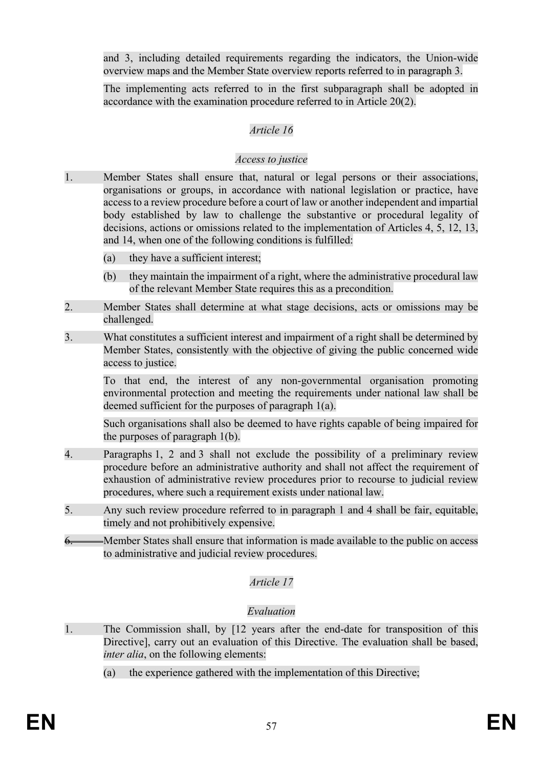and 3, including detailed requirements regarding the indicators, the Union-wide overview maps and the Member State overview reports referred to in paragraph 3.

The implementing acts referred to in the first subparagraph shall be adopted in accordance with the examination procedure referred to in Article 20(2).

### *Article 16*

### *Access to justice*

- 1. Member States shall ensure that, natural or legal persons or their associations, organisations or groups, in accordance with national legislation or practice, have access to a review procedure before a court of law or another independent and impartial body established by law to challenge the substantive or procedural legality of decisions, actions or omissions related to the implementation of Articles 4, 5, 12, 13, and 14, when one of the following conditions is fulfilled:
	- (a) they have a sufficient interest;
	- (b) they maintain the impairment of a right, where the administrative procedural law of the relevant Member State requires this as a precondition.
- 2. Member States shall determine at what stage decisions, acts or omissions may be challenged.
- 3. What constitutes a sufficient interest and impairment of a right shall be determined by Member States, consistently with the objective of giving the public concerned wide access to justice.

To that end, the interest of any non-governmental organisation promoting environmental protection and meeting the requirements under national law shall be deemed sufficient for the purposes of paragraph 1(a).

Such organisations shall also be deemed to have rights capable of being impaired for the purposes of paragraph 1(b).

- 4. Paragraphs 1, 2 and 3 shall not exclude the possibility of a preliminary review procedure before an administrative authority and shall not affect the requirement of exhaustion of administrative review procedures prior to recourse to judicial review procedures, where such a requirement exists under national law.
- 5. Any such review procedure referred to in paragraph 1 and 4 shall be fair, equitable, timely and not prohibitively expensive.
- 6. Member States shall ensure that information is made available to the public on access to administrative and judicial review procedures.

### *Article 17*

### *Evaluation*

- 1. The Commission shall, by [12 years after the end-date for transposition of this Directive], carry out an evaluation of this Directive. The evaluation shall be based, *inter alia*, on the following elements:
	- (a) the experience gathered with the implementation of this Directive;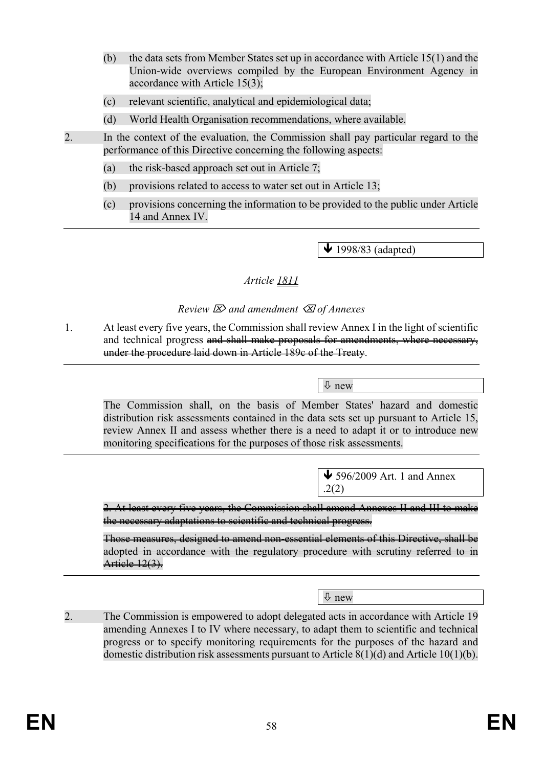- (b) the data sets from Member States set up in accordance with Article 15(1) and the Union-wide overviews compiled by the European Environment Agency in accordance with Article 15(3);
- (c) relevant scientific, analytical and epidemiological data;
- (d) World Health Organisation recommendations, where available.
- 2. In the context of the evaluation, the Commission shall pay particular regard to the performance of this Directive concerning the following aspects:
	- (a) the risk-based approach set out in Article 7;
	- (b) provisions related to access to water set out in Article 13;
	- (c) provisions concerning the information to be provided to the public under Article 14 and Annex IV.

 $\overline{\text{4}}$  1998/83 (adapted)

### *Article* 18<sup>11</sup>

### *Review and amendment of Annexes*

1. At least every five years, the Commission shall review Annex I in the light of scientific and technical progress and shall make proposals for amendments, where necessary, under the procedure laid down in Article 189c of the Treaty.

new

The Commission shall, on the basis of Member States' hazard and domestic distribution risk assessments contained in the data sets set up pursuant to Article 15, review Annex II and assess whether there is a need to adapt it or to introduce new monitoring specifications for the purposes of those risk assessments.

> $\bigvee$  596/2009 Art. 1 and Annex .2(2)

2. At least every five years, the Commission shall amend Annexes II and III to make the necessary adaptations to scientific and technical progress.

Those measures, designed to amend non-essential elements of this Directive, shall be adopted in accordance with the regulatory procedure with scrutiny referred to in Artiele 12(3).

new

2. The Commission is empowered to adopt delegated acts in accordance with Article 19 amending Annexes I to IV where necessary, to adapt them to scientific and technical progress or to specify monitoring requirements for the purposes of the hazard and domestic distribution risk assessments pursuant to Article 8(1)(d) and Article 10(1)(b).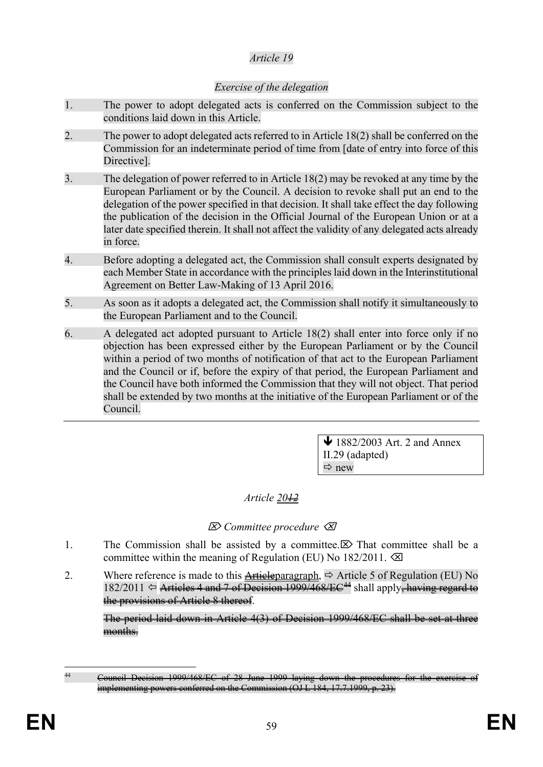### *Article 19*

### *Exercise of the delegation*

- 1. The power to adopt delegated acts is conferred on the Commission subject to the conditions laid down in this Article.
- 2. The power to adopt delegated acts referred to in Article 18(2) shall be conferred on the Commission for an indeterminate period of time from [date of entry into force of this Directive].
- 3. The delegation of power referred to in Article 18(2) may be revoked at any time by the European Parliament or by the Council. A decision to revoke shall put an end to the delegation of the power specified in that decision. It shall take effect the day following the publication of the decision in the Official Journal of the European Union or at a later date specified therein. It shall not affect the validity of any delegated acts already in force.
- 4. Before adopting a delegated act, the Commission shall consult experts designated by each Member State in accordance with the principles laid down in the Interinstitutional Agreement on Better Law-Making of 13 April 2016.
- 5. As soon as it adopts a delegated act, the Commission shall notify it simultaneously to the European Parliament and to the Council.
- 6. A delegated act adopted pursuant to Article 18(2) shall enter into force only if no objection has been expressed either by the European Parliament or by the Council within a period of two months of notification of that act to the European Parliament and the Council or if, before the expiry of that period, the European Parliament and the Council have both informed the Commission that they will not object. That period shall be extended by two months at the initiative of the European Parliament or of the Council.

 $\bigvee$  1882/2003 Art. 2 and Annex II.29 (adapted)  $Arr$  new

### *Article 2012*

### *Committee procedure*

- 1. The Commission shall be assisted by a committee.  $\boxtimes$  That committee shall be a committee within the meaning of Regulation (EU) No  $182/2011$ .  $\oslash$
- 2. Where reference is made to this Articleparagraph,  $\Rightarrow$  Article 5 of Regulation (EU) No  $182/2011 \Leftrightarrow$  Articles 4 and 7 of Decision 1999/468/EC<sup>[44](#page-60-0)</sup> shall apply<del>, having regard to</del> the provisions of Article 8 thereof.

The period laid down in Article 4(3) of Decision 1999/468/EC shall be set at three months.

<span id="page-60-0"></span><sup>&</sup>lt;sup>44</sup> Council Decision 1999/468/EC of 28 June 1999 laying down the conferred on the Commission (OJ L 184, 17.7.1999, p.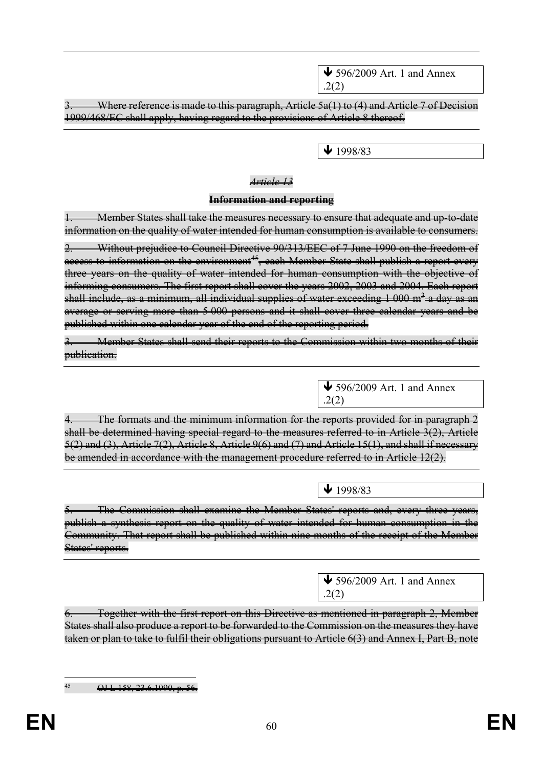$\bigvee$  596/2009 Art. 1 and Annex .2(2)

Where reference is made to this paragraph, Article 5a(1) to (4) and Article 7 of Decision 1999/468/EC shall apply, having regard to the provisions of Article 8 thereof.

 $\bigvee$  1998/83

### *Article 13*

#### **Information and reporting**

Member States shall take the measures necessary to ensure that adequate and up-to-date information on the quality of water intended for human consumption is available to consumers.

Without prejudice to Council Directive 90/313/EEC of 7 June 1990 on the freedom of access to information on the environment<sup>45</sup>, each Member State shall publish a report every three years on the quality of water intended for human consumption with the objective of informing consumers. The first report shall cover the years 2002, 2003 and 2004. Each report shall include, as a minimum, all individual supplies of water exceeding  $1\,000$  m<sup>3</sup> a day as an average or serving more than 5 000 persons and it shall cover three calendar years and be published within one calendar year of the end of the reporting period.

3. Member States shall send their reports to the Commission within two months of their publication.

> $\bigvee$  596/2009 Art. 1 and Annex .2(2)

The formats and the minimum information for the reports provided for in paragraph 2 shall be determined having special regard to the measures referred to in Article 3(2), Article 5(2) and (3), Article 7(2), Article 8, Article 9(6) and (7) and Article 15(1), and shall if necessary be amended in accordance with the management procedure referred to in Article 12(2).

 $\overline{\text{1998}}/83$ 

The Commission shall examine the Member States' reports and, every three years, publish a synthesis report on the quality of water intended for human consumption in the Community. That report shall be published within nine months of the receipt of the Member States' reports.

> $\bigvee$  596/2009 Art. 1 and Annex .2(2)

Together with the first report on this Directive as mentioned in paragraph 2, Member States shall also produce a report to be forwarded to the Commission on the measures they have taken or plan to take to fulfil their obligations pursuant to Article 6(3) and Annex I, Part B, note

<span id="page-61-0"></span>

 $\frac{45}{1}$  OJ L 158, 23.6.1990, p. 56.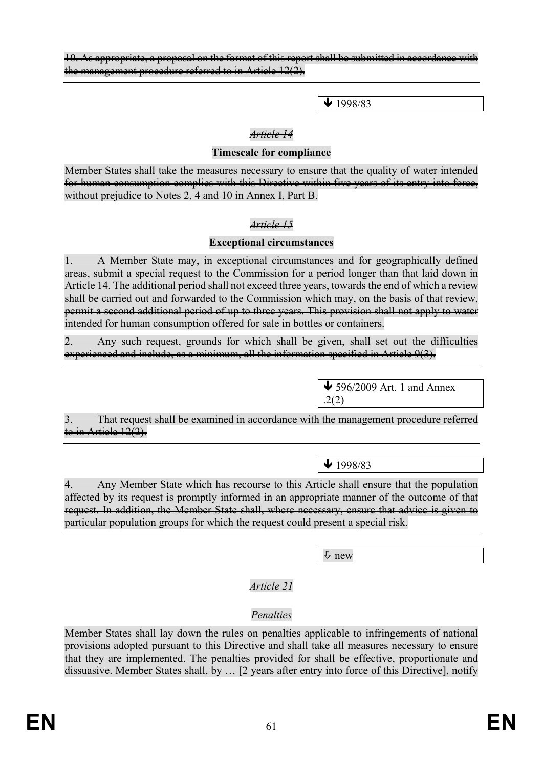10. As appropriate, a proposal on the format of this report shall be submitted in accordance with the management procedure referred to in Article 12(2).

 $\bigvee$  1998/83

#### *Article 14*

#### **Timescale for compliance**

Member States shall take the measures necessary to ensure that the quality of water intended for human consumption complies with this Directive within five years of its entry into force, without prejudice to Notes 2, 4 and 10 in Annex I, Part B.

#### *Article 15*

#### **Exceptional circumstances**

1. A Member State may, in exceptional circumstances and for geographically defined areas, submit a special request to the Commission for a period longer than that laid down in Article 14. The additional period shall not exceed three years, towards the end of which a review shall be carried out and forwarded to the Commission which may, on the basis of that review, permit a second additional period of up to three years. This provision shall not apply to water intended for human consumption offered for sale in bottles or containers.

Any such request, grounds for which shall be given, shall set out the difficulties experienced and include, as a minimum, all the information specified in Article 9(3).

> $\bigvee$  596/2009 Art. 1 and Annex .2(2)

That request shall be examined in accordance with the management procedure referred to in Artiele 12(2).

 $\downarrow$  1998/83

4. Any Member State which has recourse to this Article shall ensure that the population affected by its request is promptly informed in an appropriate manner of the outcome of that request. In addition, the Member State shall, where necessary, ensure that advice is given to particular population groups for which the request could present a special risk.

new

*Article 21*

### *Penalties*

Member States shall lay down the rules on penalties applicable to infringements of national provisions adopted pursuant to this Directive and shall take all measures necessary to ensure that they are implemented. The penalties provided for shall be effective, proportionate and dissuasive. Member States shall, by … [2 years after entry into force of this Directive], notify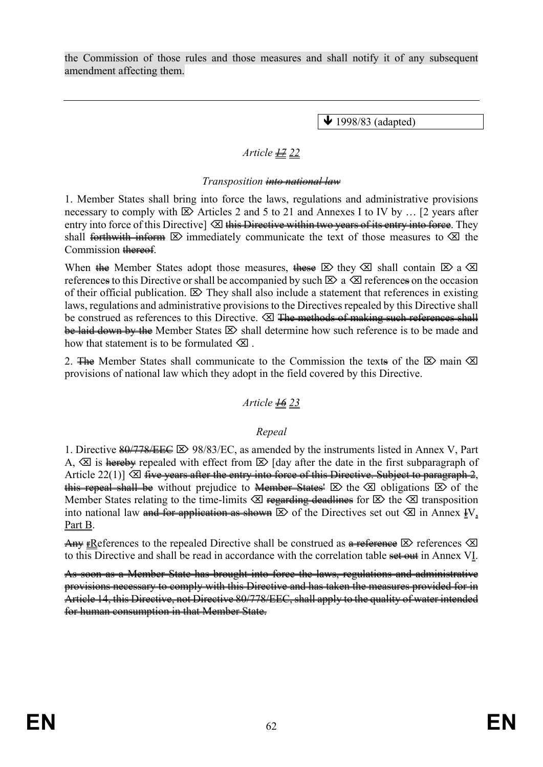the Commission of those rules and those measures and shall notify it of any subsequent amendment affecting them.

 $\bigvee$  1998/83 (adapted)

# *Article 17 22*

### *Transposition into national law*

1. Member States shall bring into force the laws, regulations and administrative provisions necessary to comply with  $\boxtimes$  Articles 2 and 5 to 21 and Annexes I to IV by ... [2 years after entry into force of this Directive]  $\otimes$  this Directive within two years of its entry into force. They shall forthwith inform  $\boxtimes$  immediately communicate the text of those measures to  $\boxtimes$  the Commission thereof.

When the Member States adopt those measures, these  $\boxtimes$  they  $\boxtimes$  shall contain  $\boxtimes$  a  $\boxtimes$ references to this Directive or shall be accompanied by such  $\boxtimes$  a  $\boxtimes$  references on the occasion of their official publication.  $\boxtimes$  They shall also include a statement that references in existing laws, regulations and administrative provisions to the Directives repealed by this Directive shall be construed as references to this Directive.  $\boxtimes$  <del>The methods of making such references shall</del> be laid down by the Member States  $\boxtimes$  shall determine how such reference is to be made and how that statement is to be formulated  $\times$ 

2. The Member States shall communicate to the Commission the texts of the  $\boxtimes$  main  $\boxtimes$ provisions of national law which they adopt in the field covered by this Directive.

### *Article 16 23*

### *Repeal*

1. Directive  $\frac{80}{778}{\text{EE}} \cong 98/83/{\text{EC}}$ , as amended by the instruments listed in Annex V, Part A,  $\otimes$  is hereby repealed with effect from  $\otimes$  [day after the date in the first subparagraph of Article 22(1)]  $\otimes$  five years after the entry into force of this Directive. Subject to paragraph 2, this repeal shall be without prejudice to Member States'  $\boxtimes$  the  $\boxtimes$  obligations  $\boxtimes$  of the Member States relating to the time-limits  $\otimes$  regarding deadlines for  $\otimes$  the  $\otimes$  transposition into national law and for application as shown  $\boxtimes$  of the Directives set out  $\boxtimes$  in Annex IV, Part B.

Any FReferences to the repealed Directive shall be construed as  $\theta$  references  $\otimes$ to this Directive and shall be read in accordance with the correlation table set out in Annex VI.

As soon as a Member State has brought into force the laws, regulations and administrative provisions necessary to comply with this Directive and has taken the measures provided for in Article 14, this Directive, not Directive 80/778/EEC, shall apply to the quality of water intended for human consumption in that Member State.